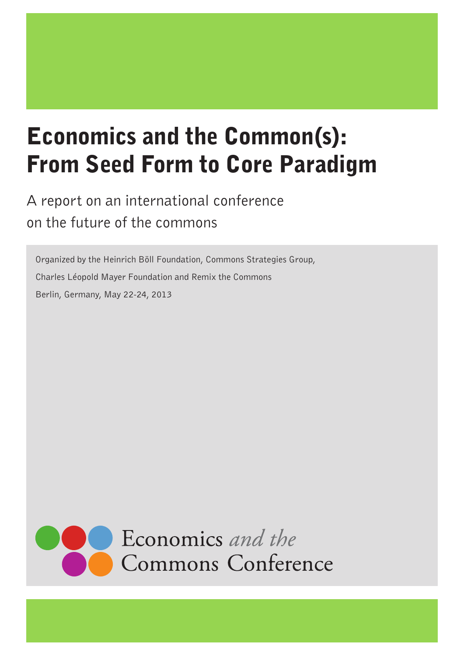# Economics and the Common(s): From Seed Form to Core Paradigm

A report on an international conference on the future of the commons

Organized by the Heinrich Böll Foundation, Commons Strategies Group, Charles Léopold Mayer Foundation and Remix the Commons Berlin, Germany, May 22-24, 2013

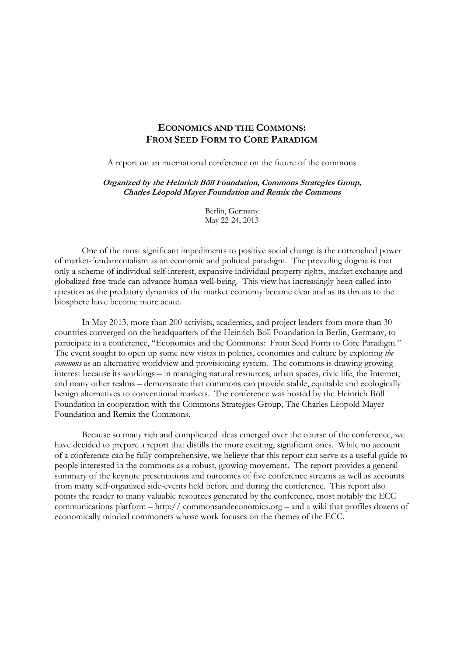# **ECONOMICS AND THE COMMONS: FROM SEED FORM TO CORE PARADIGM**

A report on an international conference on the future of the commons

#### **Organized by the Heinrich Böll Foundation, Commons Strategies Group, Charles Léopold Mayer Foundation and Remix the Commons**

Berlin, Germany May 22-24, 2013

 One of the most significant impediments to positive social change is the entrenched power of market-fundamentalism as an economic and political paradigm. The prevailing dogma is that only a scheme of individual self-interest, expansive individual property rights, market exchange and globalized free trade can advance human well-being. This view has increasingly been called into question as the predatory dynamics of the market economy became clear and as its threats to the biosphere have become more acute.

 In May 2013, more than 200 activists, academics, and project leaders from more than 30 countries converged on the headquarters of the Heinrich Böll Foundation in Berlin, Germany, to participate in a conference, "Economics and the Commons: From Seed Form to Core Paradigm." The event sought to open up some new vistas in politics, economics and culture by exploring *the commons* as an alternative worldview and provisioning system. The commons is drawing growing interest because its workings – in managing natural resources, urban spaces, civic life, the Internet, and many other realms – demonstrate that commons can provide stable, equitable and ecologically benign alternatives to conventional markets. The conference was hosted by the Heinrich Böll Foundation in cooperation with the Commons Strategies Group, The Charles Léopold Mayer Foundation and Remix the Commons.

 Because so many rich and complicated ideas emerged over the course of the conference, we have decided to prepare a report that distills the more exciting, significant ones. While no account of a conference can be fully comprehensive, we believe that this report can serve as a useful guide to people interested in the commons as a robust, growing movement. The report provides a general summary of the keynote presentations and outcomes of five conference streams as well as accounts from many self-organized side-events held before and during the conference. This report also points the reader to many valuable resources generated by the conference, most notably the ECC communications platform – http:// commonsandeconomics.org – and a wiki that profiles dozens of economically minded commoners whose work focuses on the themes of the ECC.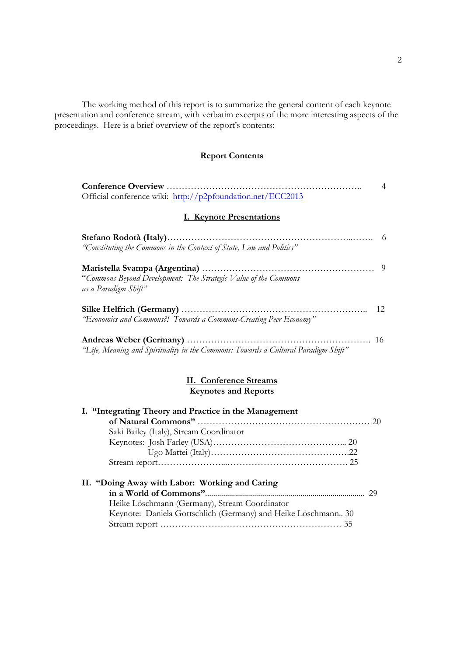The working method of this report is to summarize the general content of each keynote presentation and conference stream, with verbatim excerpts of the more interesting aspects of the proceedings. Here is a brief overview of the report's contents:

# **Report Contents**

|                                                                                         | 4  |
|-----------------------------------------------------------------------------------------|----|
| Official conference wiki: http://p2pfoundation.net/ECC2013                              |    |
| <b>I. Keynote Presentations</b>                                                         |    |
|                                                                                         | 6  |
| "Constituting the Commons in the Context of State, Law and Politics"                    |    |
| "Commons Beyond Development: The Strategic Value of the Commons<br>as a Paradigm Shift" | -9 |
|                                                                                         | 12 |
| "Economics and Commons?! Towards a Commons-Creating Peer Economy"                       |    |
| "Life, Meaning and Spirituality in the Commons: Towards a Cultural Paradigm Shift"      | 16 |

# **II. Conference Streams Keynotes and Reports**

| I. "Integrating Theory and Practice in the Management         |  |
|---------------------------------------------------------------|--|
|                                                               |  |
| Saki Bailey (Italy), Stream Coordinator                       |  |
|                                                               |  |
|                                                               |  |
|                                                               |  |
| II. "Doing Away with Labor: Working and Caring                |  |
|                                                               |  |
| Heike Löschmann (Germany), Stream Coordinator                 |  |
| Keynote: Daniela Gottschlich (Germany) and Heike Löschmann 30 |  |
|                                                               |  |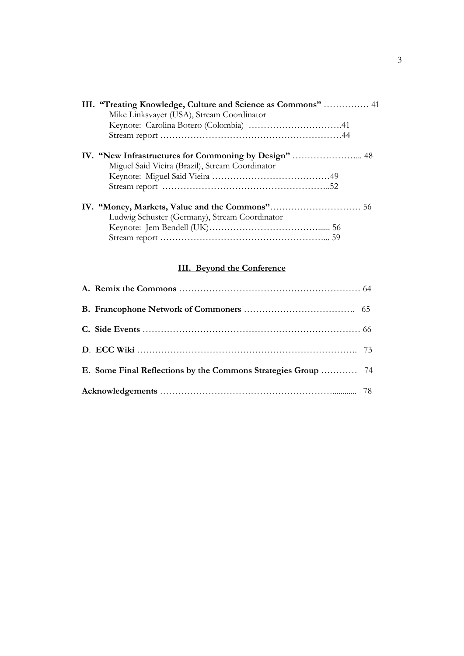| III. "Treating Knowledge, Culture and Science as Commons"  41 |  |
|---------------------------------------------------------------|--|
| Mike Linksvayer (USA), Stream Coordinator                     |  |
|                                                               |  |
|                                                               |  |
|                                                               |  |
| Miguel Said Vieira (Brazil), Stream Coordinator               |  |
|                                                               |  |
|                                                               |  |
|                                                               |  |
| Ludwig Schuster (Germany), Stream Coordinator                 |  |
|                                                               |  |
|                                                               |  |

# **III. Beyond the Conference**

| E. Some Final Reflections by the Commons Strategies Group  74 |  |
|---------------------------------------------------------------|--|
|                                                               |  |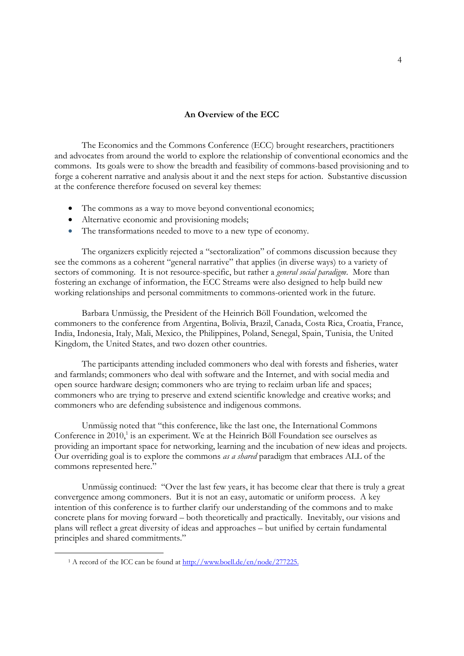#### **An Overview of the ECC**

 The Economics and the Commons Conference (ECC) brought researchers, practitioners and advocates from around the world to explore the relationship of conventional economics and the commons. Its goals were to show the breadth and feasibility of commons-based provisioning and to forge a coherent narrative and analysis about it and the next steps for action. Substantive discussion at the conference therefore focused on several key themes:

- The commons as a way to move beyond conventional economics;
- Alternative economic and provisioning models;
- The transformations needed to move to a new type of economy.

 The organizers explicitly rejected a "sectoralization" of commons discussion because they see the commons as a coherent "general narrative" that applies (in diverse ways) to a variety of sectors of commoning. It is not resource-specific, but rather a *general social paradigm*. More than fostering an exchange of information, the ECC Streams were also designed to help build new working relationships and personal commitments to commons-oriented work in the future.

 Barbara Unmüssig, the President of the Heinrich Böll Foundation, welcomed the commoners to the conference from Argentina, Bolivia, Brazil, Canada, Costa Rica, Croatia, France, India, Indonesia, Italy, Mali, Mexico, the Philippines, Poland, Senegal, Spain, Tunisia, the United Kingdom, the United States, and two dozen other countries.

 The participants attending included commoners who deal with forests and fisheries, water and farmlands; commoners who deal with software and the Internet, and with social media and open source hardware design; commoners who are trying to reclaim urban life and spaces; commoners who are trying to preserve and extend scientific knowledge and creative works; and commoners who are defending subsistence and indigenous commons.

 Unmüssig noted that "this conference, like the last one, the International Commons Conference in  $2010$ ,<sup>1</sup> is an experiment. We at the Heinrich Böll Foundation see ourselves as providing an important space for networking, learning and the incubation of new ideas and projects. Our overriding goal is to explore the commons *as a shared* paradigm that embraces ALL of the commons represented here."

 Unmüssig continued: "Over the last few years, it has become clear that there is truly a great convergence among commoners. But it is not an easy, automatic or uniform process. A key intention of this conference is to further clarify our understanding of the commons and to make concrete plans for moving forward – both theoretically and practically. Inevitably, our visions and plans will reflect a great diversity of ideas and approaches – but unified by certain fundamental principles and shared commitments."

<sup>&</sup>lt;sup>1</sup> A record of the ICC can be found at http://www.boell.de/en/node/277225.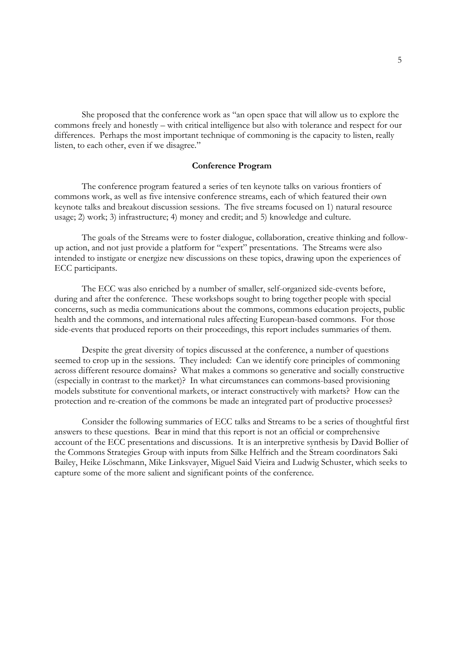She proposed that the conference work as "an open space that will allow us to explore the commons freely and honestly – with critical intelligence but also with tolerance and respect for our differences. Perhaps the most important technique of commoning is the capacity to listen, really listen, to each other, even if we disagree."

#### **Conference Program**

 The conference program featured a series of ten keynote talks on various frontiers of commons work, as well as five intensive conference streams, each of which featured their own keynote talks and breakout discussion sessions. The five streams focused on 1) natural resource usage; 2) work; 3) infrastructure; 4) money and credit; and 5) knowledge and culture.

 The goals of the Streams were to foster dialogue, collaboration, creative thinking and followup action, and not just provide a platform for "expert" presentations. The Streams were also intended to instigate or energize new discussions on these topics, drawing upon the experiences of ECC participants.

 The ECC was also enriched by a number of smaller, self-organized side-events before, during and after the conference. These workshops sought to bring together people with special concerns, such as media communications about the commons, commons education projects, public health and the commons, and international rules affecting European-based commons. For those side-events that produced reports on their proceedings, this report includes summaries of them.

 Despite the great diversity of topics discussed at the conference, a number of questions seemed to crop up in the sessions. They included: Can we identify core principles of commoning across different resource domains? What makes a commons so generative and socially constructive (especially in contrast to the market)? In what circumstances can commons-based provisioning models substitute for conventional markets, or interact constructively with markets? How can the protection and re-creation of the commons be made an integrated part of productive processes?

 Consider the following summaries of ECC talks and Streams to be a series of thoughtful first answers to these questions. Bear in mind that this report is not an official or comprehensive account of the ECC presentations and discussions. It is an interpretive synthesis by David Bollier of the Commons Strategies Group with inputs from Silke Helfrich and the Stream coordinators Saki Bailey, Heike Löschmann, Mike Linksvayer, Miguel Said Vieira and Ludwig Schuster, which seeks to capture some of the more salient and significant points of the conference.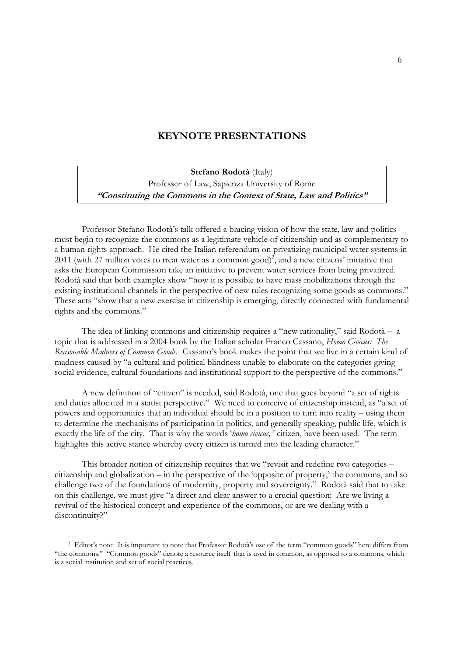# **KEYNOTE PRESENTATIONS**

**Stefano Rodotà** (Italy) Professor of Law, Sapienza University of Rome **"Constituting the Commons in the Context of State, Law and Politics"**

 Professor Stefano Rodotà's talk offered a bracing vision of how the state, law and politics must begin to recognize the commons as a legitimate vehicle of citizenship and as complementary to a human rights approach. He cited the Italian referendum on privatizing municipal water systems in 2011 (with 27 million votes to treat water as a common good)<sup>2</sup>, and a new citizens' initiative that asks the European Commission take an initiative to prevent water services from being privatized. Rodotà said that both examples show "how it is possible to have mass mobilizations through the existing institutional channels in the perspective of new rules recognizing some goods as commons." These acts "show that a new exercise in citizenship is emerging, directly connected with fundamental rights and the commons."

 The idea of linking commons and citizenship requires a "new rationality," said Rodotà – a topic that is addressed in a 2004 book by the Italian scholar Franco Cassano, *Homo Civicus: The Reasonable Madness of Common Goods.* Cassano's book makes the point that we live in a certain kind of madness caused by "a cultural and political blindness unable to elaborate on the categories giving social evidence, cultural foundations and institutional support to the perspective of the commons."

 A new definition of "citizen" is needed, said Rodotà, one that goes beyond "a set of rights and duties allocated in a statist perspective." We need to conceive of citizenship instead, as "a set of powers and opportunities that an individual should be in a position to turn into reality – using them to determine the mechanisms of participation in politics, and generally speaking, public life, which is exactly the life of the city. That is why the words '*homo civicus,"* citizen, have been used. The term highlights this active stance whereby every citizen is turned into the leading character."

 This broader notion of citizenship requires that we "revisit and redefine two categories – citizenship and globalization – in the perspective of the 'opposite of property,' the commons, and so challenge two of the foundations of modernity, property and sovereignty." Rodotà said that to take on this challenge, we must give "a direct and clear answer to a crucial question: Are we living a revival of the historical concept and experience of the commons, or are we dealing with a discontinuity?"

 <sup>2</sup> Editor's note: It is important to note that Professor Rodotà's use of the term "common goods" here differs from "the commons." "Common goods" denote a resource itself that is used in common, as opposed to a commons, which is a social institution and set of social practices.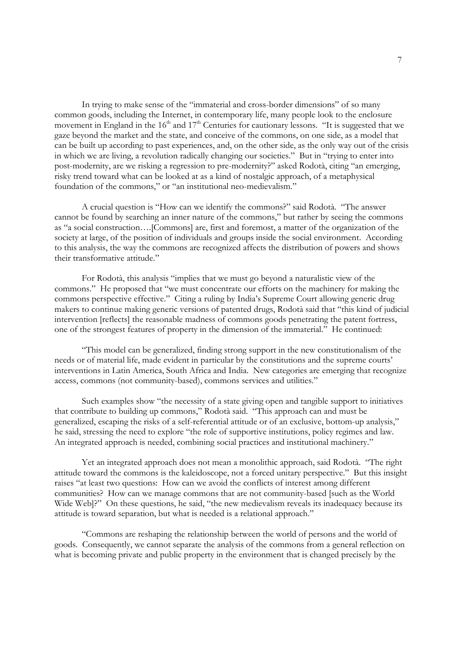In trying to make sense of the "immaterial and cross-border dimensions" of so many common goods, including the Internet, in contemporary life, many people look to the enclosure movement in England in the  $16<sup>th</sup>$  and  $17<sup>th</sup>$  Centuries for cautionary lessons. "It is suggested that we gaze beyond the market and the state, and conceive of the commons, on one side, as a model that can be built up according to past experiences, and, on the other side, as the only way out of the crisis in which we are living, a revolution radically changing our societies." But in "trying to enter into post-modernity, are we risking a regression to pre-modernity?" asked Rodotà, citing "an emerging, risky trend toward what can be looked at as a kind of nostalgic approach, of a metaphysical foundation of the commons," or "an institutional neo-medievalism."

 A crucial question is "How can we identify the commons?" said Rodotà. "The answer cannot be found by searching an inner nature of the commons," but rather by seeing the commons as "a social construction….[Commons] are, first and foremost, a matter of the organization of the society at large, of the position of individuals and groups inside the social environment. According to this analysis, the way the commons are recognized affects the distribution of powers and shows their transformative attitude."

 For Rodotà, this analysis "implies that we must go beyond a naturalistic view of the commons." He proposed that "we must concentrate our efforts on the machinery for making the commons perspective effective." Citing a ruling by India's Supreme Court allowing generic drug makers to continue making generic versions of patented drugs, Rodotà said that "this kind of judicial intervention [reflects] the reasonable madness of commons goods penetrating the patent fortress, one of the strongest features of property in the dimension of the immaterial." He continued:

 "This model can be generalized, finding strong support in the new constitutionalism of the needs or of material life, made evident in particular by the constitutions and the supreme courts' interventions in Latin America, South Africa and India. New categories are emerging that recognize access, commons (not community-based), commons services and utilities."

 Such examples show "the necessity of a state giving open and tangible support to initiatives that contribute to building up commons," Rodotà said. "This approach can and must be generalized, escaping the risks of a self-referential attitude or of an exclusive, bottom-up analysis," he said, stressing the need to explore "the role of supportive institutions, policy regimes and law. An integrated approach is needed, combining social practices and institutional machinery."

 Yet an integrated approach does not mean a monolithic approach, said Rodotà. "The right attitude toward the commons is the kaleidoscope, not a forced unitary perspective." But this insight raises "at least two questions: How can we avoid the conflicts of interest among different communities? How can we manage commons that are not community-based [such as the World Wide Web]?" On these questions, he said, "the new medievalism reveals its inadequacy because its attitude is toward separation, but what is needed is a relational approach."

 "Commons are reshaping the relationship between the world of persons and the world of goods. Consequently, we cannot separate the analysis of the commons from a general reflection on what is becoming private and public property in the environment that is changed precisely by the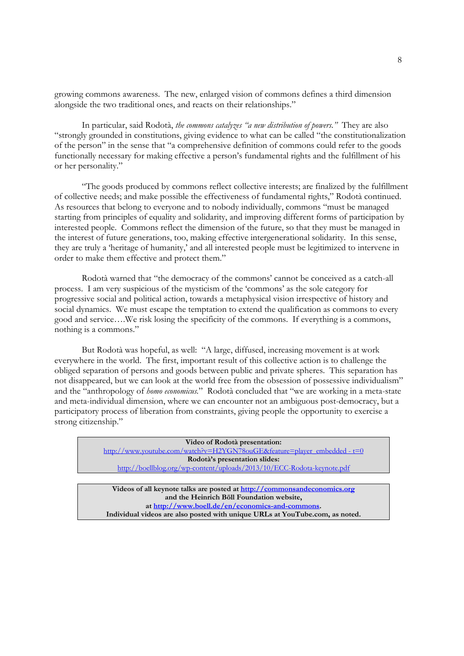growing commons awareness. The new, enlarged vision of commons defines a third dimension alongside the two traditional ones, and reacts on their relationships."

 In particular, said Rodotà, *the commons catalyzes "a new distribution of powers."* They are also "strongly grounded in constitutions, giving evidence to what can be called "the constitutionalization of the person" in the sense that "a comprehensive definition of commons could refer to the goods functionally necessary for making effective a person's fundamental rights and the fulfillment of his or her personality."

 "The goods produced by commons reflect collective interests; are finalized by the fulfillment of collective needs; and make possible the effectiveness of fundamental rights," Rodotà continued. As resources that belong to everyone and to nobody individually, commons "must be managed starting from principles of equality and solidarity, and improving different forms of participation by interested people. Commons reflect the dimension of the future, so that they must be managed in the interest of future generations, too, making effective intergenerational solidarity. In this sense, they are truly a 'heritage of humanity,' and all interested people must be legitimized to intervene in order to make them effective and protect them."

 Rodotà warned that "the democracy of the commons' cannot be conceived as a catch-all process. I am very suspicious of the mysticism of the 'commons' as the sole category for progressive social and political action, towards a metaphysical vision irrespective of history and social dynamics. We must escape the temptation to extend the qualification as commons to every good and service….We risk losing the specificity of the commons. If everything is a commons, nothing is a commons."

 But Rodotà was hopeful, as well: "A large, diffused, increasing movement is at work everywhere in the world. The first, important result of this collective action is to challenge the obliged separation of persons and goods between public and private spheres. This separation has not disappeared, but we can look at the world free from the obsession of possessive individualism" and the "anthropology of *homo economicus.*" Rodotà concluded that "we are working in a meta-state and meta-individual dimension, where we can encounter not an ambiguous post-democracy, but a participatory process of liberation from constraints, giving people the opportunity to exercise a strong citizenship."

> **Video of Rodotà presentation:**  http://www.youtube.com/watch?v=H2YGN78ouGE&feature=player\_embedded - t=0 **Rodotà's presentation slides:**  http://boellblog.org/wp-content/uploads/2013/10/ECC-Rodota-keynote.pdf

**Videos of all keynote talks are posted at http://commonsandeconomics.org and the Heinrich Böll Foundation website, at http://www.boell.de/en/economics-and-commons. Individual videos are also posted with unique URLs at YouTube.com, as noted.**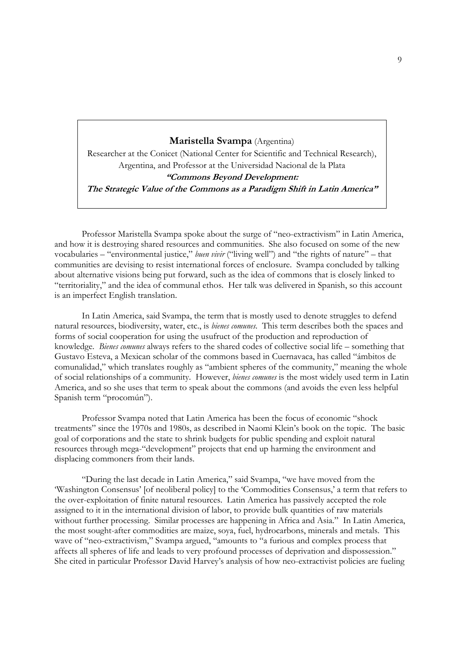#### **Maristella Svampa** (Argentina)

Researcher at the Conicet (National Center for Scientific and Technical Research), Argentina, and Professor at the Universidad Nacional de la Plata **"Commons Beyond Development: The Strategic Value of the Commons as a Paradigm Shift in Latin America"** 

 Professor Maristella Svampa spoke about the surge of "neo-extractivism" in Latin America, and how it is destroying shared resources and communities. She also focused on some of the new vocabularies – "environmental justice," *buen vivir* ("living well") and "the rights of nature" – that communities are devising to resist international forces of enclosure. Svampa concluded by talking about alternative visions being put forward, such as the idea of commons that is closely linked to "territoriality," and the idea of communal ethos. Her talk was delivered in Spanish, so this account is an imperfect English translation.

 In Latin America, said Svampa, the term that is mostly used to denote struggles to defend natural resources, biodiversity, water, etc., is *bienes comunes.* This term describes both the spaces and forms of social cooperation for using the usufruct of the production and reproduction of knowledge. *Bienes comunes* always refers to the shared codes of collective social life – something that Gustavo Esteva, a Mexican scholar of the commons based in Cuernavaca, has called "ámbitos de comunalidad," which translates roughly as "ambient spheres of the community," meaning the whole of social relationships of a community. However, *bienes comunes* is the most widely used term in Latin America, and so she uses that term to speak about the commons (and avoids the even less helpful Spanish term "procomún").

 Professor Svampa noted that Latin America has been the focus of economic "shock treatments" since the 1970s and 1980s, as described in Naomi Klein's book on the topic. The basic goal of corporations and the state to shrink budgets for public spending and exploit natural resources through mega-"development" projects that end up harming the environment and displacing commoners from their lands.

 "During the last decade in Latin America," said Svampa, "we have moved from the 'Washington Consensus' [of neoliberal policy] to the 'Commodities Consensus,' a term that refers to the over-exploitation of finite natural resources. Latin America has passively accepted the role assigned to it in the international division of labor, to provide bulk quantities of raw materials without further processing. Similar processes are happening in Africa and Asia." In Latin America, the most sought-after commodities are maize, soya, fuel, hydrocarbons, minerals and metals. This wave of "neo-extractivism," Svampa argued, "amounts to "a furious and complex process that affects all spheres of life and leads to very profound processes of deprivation and dispossession." She cited in particular Professor David Harvey's analysis of how neo-extractivist policies are fueling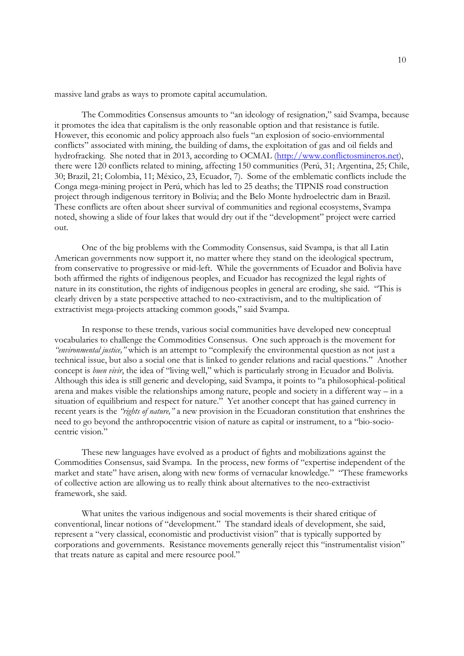massive land grabs as ways to promote capital accumulation.

 The Commodities Consensus amounts to "an ideology of resignation," said Svampa, because it promotes the idea that capitalism is the only reasonable option and that resistance is futile. However, this economic and policy approach also fuels "an explosion of socio-enviornmental conflicts" associated with mining, the building of dams, the exploitation of gas and oil fields and hydrofracking. She noted that in 2013, according to OCMAL (http://www.conflictosmineros.net), there were 120 conflicts related to mining, affecting 150 communities (Perú, 31; Argentina, 25; Chile, 30; Brazil, 21; Colombia, 11; México, 23, Ecuador, 7). Some of the emblematic conflicts include the Conga mega-mining project in Perú, which has led to 25 deaths; the TIPNIS road construction project through indigenous territory in Bolivia; and the Belo Monte hydroelectric dam in Brazil. These conflicts are often about sheer survival of communities and regional ecosystems, Svampa noted, showing a slide of four lakes that would dry out if the "development" project were carried out.

 One of the big problems with the Commodity Consensus, said Svampa, is that all Latin American governments now support it, no matter where they stand on the ideological spectrum, from conservative to progressive or mid-left. While the governments of Ecuador and Bolivia have both affirmed the rights of indigenous peoples, and Ecuador has recognized the legal rights of nature in its constitution, the rights of indigenous peoples in general are eroding, she said. "This is clearly driven by a state perspective attached to neo-extractivism, and to the multiplication of extractivist mega-projects attacking common goods," said Svampa.

 In response to these trends, various social communities have developed new conceptual vocabularies to challenge the Commodities Consensus. One such approach is the movement for *"environmental justice,"* which is an attempt to "complexify the environmental question as not just a technical issue, but also a social one that is linked to gender relations and racial questions." Another concept is *buen vivir*, the idea of "living well," which is particularly strong in Ecuador and Bolivia. Although this idea is still generic and developing, said Svampa, it points to "a philosophical-political arena and makes visible the relationships among nature, people and society in a different way – in a situation of equilibrium and respect for nature." Yet another concept that has gained currency in recent years is the *"rights of nature,"* a new provision in the Ecuadoran constitution that enshrines the need to go beyond the anthropocentric vision of nature as capital or instrument, to a "bio-sociocentric vision."

 These new languages have evolved as a product of fights and mobilizations against the Commodities Consensus, said Svampa. In the process, new forms of "expertise independent of the market and state" have arisen, along with new forms of vernacular knowledge." "These frameworks of collective action are allowing us to really think about alternatives to the neo-extractivist framework, she said.

 What unites the various indigenous and social movements is their shared critique of conventional, linear notions of "development." The standard ideals of development, she said, represent a "very classical, economistic and productivist vision" that is typically supported by corporations and governments. Resistance movements generally reject this "instrumentalist vision" that treats nature as capital and mere resource pool."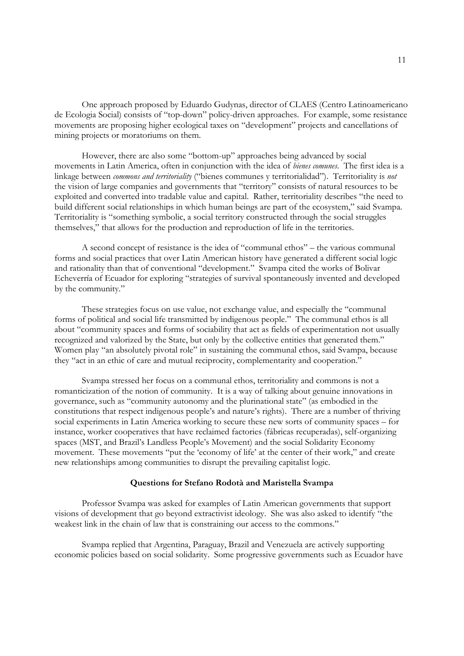One approach proposed by Eduardo Gudynas, director of CLAES (Centro Latinoamericano de Ecologia Social) consists of "top-down" policy-driven approaches. For example, some resistance movements are proposing higher ecological taxes on "development" projects and cancellations of mining projects or moratoriums on them.

 However, there are also some "bottom-up" approaches being advanced by social movements in Latin America, often in conjunction with the idea of *bienes comunes*. The first idea is a linkage between *commons and territoriality* ("bienes communes y territorialidad"). Territoriality is *not* the vision of large companies and governments that "territory" consists of natural resources to be exploited and converted into tradable value and capital. Rather, territoriality describes "the need to build different social relationships in which human beings are part of the ecosystem," said Svampa. Territoriality is "something symbolic, a social territory constructed through the social struggles themselves," that allows for the production and reproduction of life in the territories.

 A second concept of resistance is the idea of "communal ethos" – the various communal forms and social practices that over Latin American history have generated a different social logic and rationality than that of conventional "development." Svampa cited the works of Bolivar Echeverría of Ecuador for exploring "strategies of survival spontaneously invented and developed by the community."

 These strategies focus on use value, not exchange value, and especially the "communal forms of political and social life transmitted by indigenous people." The communal ethos is all about "community spaces and forms of sociability that act as fields of experimentation not usually recognized and valorized by the State, but only by the collective entities that generated them." Women play "an absolutely pivotal role" in sustaining the communal ethos, said Svampa, because they "act in an ethic of care and mutual reciprocity, complementarity and cooperation."

 Svampa stressed her focus on a communal ethos, territoriality and commons is not a romanticization of the notion of community. It is a way of talking about genuine innovations in governance, such as "community autonomy and the plurinational state" (as embodied in the constitutions that respect indigenous people's and nature's rights). There are a number of thriving social experiments in Latin America working to secure these new sorts of community spaces – for instance, worker cooperatives that have reclaimed factories (fábricas recuperadas), self-organizing spaces (MST, and Brazil's Landless People's Movement) and the social Solidarity Economy movement. These movements "put the 'economy of life' at the center of their work," and create new relationships among communities to disrupt the prevailing capitalist logic.

#### **Questions for Stefano Rodotà and Maristella Svampa**

 Professor Svampa was asked for examples of Latin American governments that support visions of development that go beyond extractivist ideology. She was also asked to identify "the weakest link in the chain of law that is constraining our access to the commons."

 Svampa replied that Argentina, Paraguay, Brazil and Venezuela are actively supporting economic policies based on social solidarity. Some progressive governments such as Ecuador have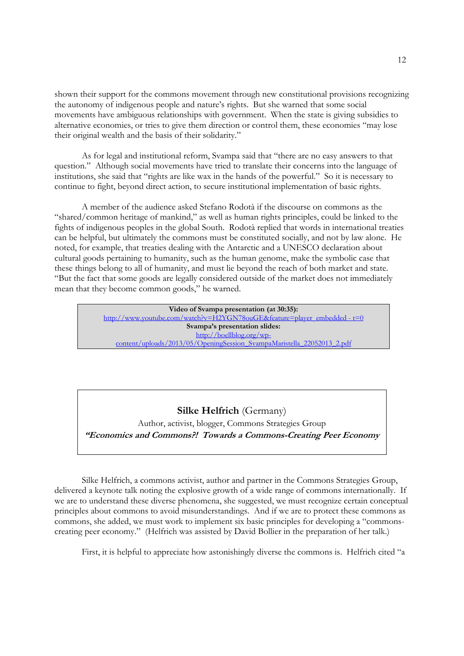shown their support for the commons movement through new constitutional provisions recognizing the autonomy of indigenous people and nature's rights. But she warned that some social movements have ambiguous relationships with government. When the state is giving subsidies to alternative economies, or tries to give them direction or control them, these economies "may lose their original wealth and the basis of their solidarity."

 As for legal and institutional reform, Svampa said that "there are no easy answers to that question." Although social movements have tried to translate their concerns into the language of institutions, she said that "rights are like wax in the hands of the powerful." So it is necessary to continue to fight, beyond direct action, to secure institutional implementation of basic rights.

 A member of the audience asked Stefano Rodotà if the discourse on commons as the "shared/common heritage of mankind," as well as human rights principles, could be linked to the fights of indigenous peoples in the global South. Rodotà replied that words in international treaties can be helpful, but ultimately the commons must be constituted socially, and not by law alone. He noted, for example, that treaties dealing with the Antarctic and a UNESCO declaration about cultural goods pertaining to humanity, such as the human genome, make the symbolic case that these things belong to all of humanity, and must lie beyond the reach of both market and state. "But the fact that some goods are legally considered outside of the market does not immediately mean that they become common goods," he warned.

> **Video of Svampa presentation (at 30:35):**  http://www.youtube.com/watch?v=H2YGN78ouGE&feature=player\_embedded - t=0 **Svampa's presentation slides:**  http://boellblog.org/wpcontent/uploads/2013/05/OpeningSession\_SvampaMaristella\_22052013\_2.pdf

# **Silke Helfrich** (Germany)

Author, activist, blogger, Commons Strategies Group **"Economics and Commons?! Towards a Commons-Creating Peer Economy** 

 Silke Helfrich, a commons activist, author and partner in the Commons Strategies Group, delivered a keynote talk noting the explosive growth of a wide range of commons internationally. If we are to understand these diverse phenomena, she suggested, we must recognize certain conceptual principles about commons to avoid misunderstandings. And if we are to protect these commons as commons, she added, we must work to implement six basic principles for developing a "commonscreating peer economy." (Helfrich was assisted by David Bollier in the preparation of her talk.)

First, it is helpful to appreciate how astonishingly diverse the commons is. Helfrich cited "a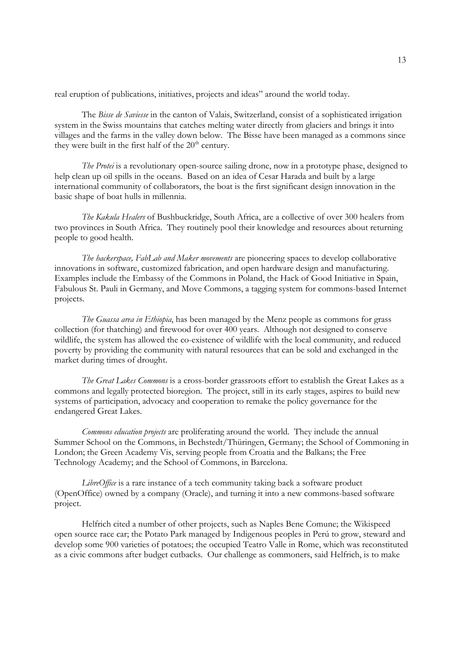real eruption of publications, initiatives, projects and ideas" around the world today.

 The *Bisse de Saviesse* in the canton of Valais, Switzerland, consist of a sophisticated irrigation system in the Swiss mountains that catches melting water directly from glaciers and brings it into villages and the farms in the valley down below. The Bisse have been managed as a commons since they were built in the first half of the  $20<sup>th</sup>$  century.

*The Protei* is a revolutionary open-source sailing drone, now in a prototype phase, designed to help clean up oil spills in the oceans. Based on an idea of Cesar Harada and built by a large international community of collaborators, the boat is the first significant design innovation in the basic shape of boat hulls in millennia.

*The Kakula Healers* of Bushbuckridge, South Africa, are a collective of over 300 healers from two provinces in South Africa. They routinely pool their knowledge and resources about returning people to good health.

*The hackerspace, FabLab and Maker movements* are pioneering spaces to develop collaborative innovations in software, customized fabrication, and open hardware design and manufacturing. Examples include the Embassy of the Commons in Poland, the Hack of Good Initiative in Spain, Fabulous St. Pauli in Germany, and Move Commons, a tagging system for commons-based Internet projects.

*The Guassa area in Ethiopia*, has been managed by the Menz people as commons for grass collection (for thatching) and firewood for over 400 years. Although not designed to conserve wildlife, the system has allowed the co-existence of wildlife with the local community, and reduced poverty by providing the community with natural resources that can be sold and exchanged in the market during times of drought.

*The Great Lakes Commons* is a cross-border grassroots effort to establish the Great Lakes as a commons and legally protected bioregion. The project, still in its early stages, aspires to build new systems of participation, advocacy and cooperation to remake the policy governance for the endangered Great Lakes.

*Commons education projects* are proliferating around the world. They include the annual Summer School on the Commons, in Bechstedt/Thüringen, Germany; the School of Commoning in London; the Green Academy Vis, serving people from Croatia and the Balkans; the Free Technology Academy; and the School of Commons, in Barcelona.

*LibreOffice* is a rare instance of a tech community taking back a software product (OpenOffice) owned by a company (Oracle), and turning it into a new commons-based software project.

 Helfrich cited a number of other projects, such as Naples Bene Comune; the Wikispeed open source race car; the Potato Park managed by Indigenous peoples in Perú to grow, steward and develop some 900 varieties of potatoes; the occupied Teatro Valle in Rome, which was reconstituted as a civic commons after budget cutbacks. Our challenge as commoners, said Helfrich, is to make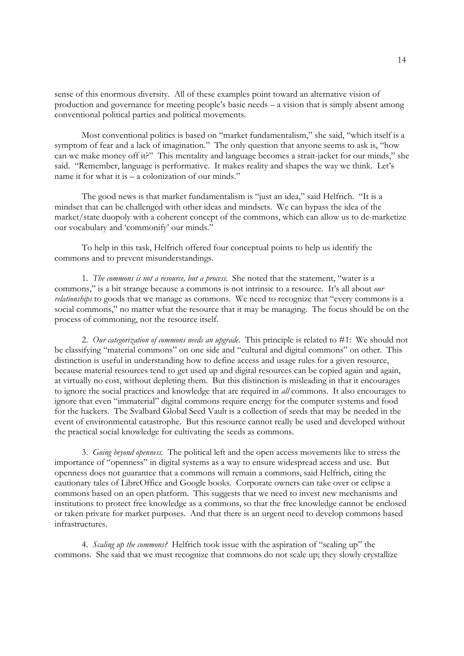sense of this enormous diversity. All of these examples point toward an alternative vision of production and governance for meeting people's basic needs – a vision that is simply absent among conventional political parties and political movements.

 Most conventional politics is based on "market fundamentalism," she said, "which itself is a symptom of fear and a lack of imagination." The only question that anyone seems to ask is, "how can we make money off it?" This mentality and language becomes a strait-jacket for our minds," she said. "Remember, language is performative. It makes reality and shapes the way we think. Let's name it for what it is – a colonization of our minds."

 The good news is that market fundamentalism is "just an idea," said Helfrich. "It is a mindset that can be challenged with other ideas and mindsets. We can bypass the idea of the market/state duopoly with a coherent concept of the commons, which can allow us to de-marketize our vocabulary and 'commonify' our minds."

 To help in this task, Helfrich offered four conceptual points to help us identify the commons and to prevent misunderstandings.

 1. *The commons is not a resource, but a process.* She noted that the statement, "water is a commons," is a bit strange because a commons is not intrinsic to a resource. It's all about *our relationships* to goods that we manage as commons. We need to recognize that "every commons is a social commons," no matter what the resource that it may be managing. The focus should be on the process of commoning, not the resource itself.

 2. *Our categorization of commons needs an upgrade.* This principle is related to #1: We should not be classifying "material commons" on one side and "cultural and digital commons" on other. This distinction is useful in understanding how to define access and usage rules for a given resource, because material resources tend to get used up and digital resources can be copied again and again, at virtually no cost, without depleting them. But this distinction is misleading in that it encourages to ignore the social practices and knowledge that are required in *all* commons. It also encourages to ignore that even "immaterial" digital commons require energy for the computer systems and food for the hackers. The Svalbard Global Seed Vault is a collection of seeds that may be needed in the event of environmental catastrophe. But this resource cannot really be used and developed without the practical social knowledge for cultivating the seeds as commons.

 3. *Going beyond openness.* The political left and the open access movements like to stress the importance of "openness" in digital systems as a way to ensure widespread access and use. But openness does not guarantee that a commons will remain a commons, said Helfrich, citing the cautionary tales of LibreOffice and Google books. Corporate owners can take over or eclipse a commons based on an open platform. This suggests that we need to invest new mechanisms and institutions to protect free knowledge as a commons, so that the free knowledge cannot be enclosed or taken private for market purposes. And that there is an urgent need to develop commons based infrastructures.

 4. *Scaling up the commons?* Helfrich took issue with the aspiration of "scaling up" the commons. She said that we must recognize that commons do not scale up; they slowly crystallize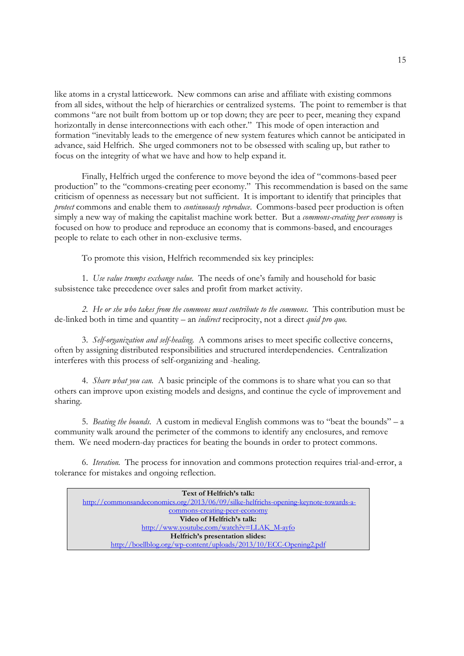like atoms in a crystal latticework. New commons can arise and affiliate with existing commons from all sides, without the help of hierarchies or centralized systems. The point to remember is that commons "are not built from bottom up or top down; they are peer to peer, meaning they expand horizontally in dense interconnections with each other." This mode of open interaction and formation "inevitably leads to the emergence of new system features which cannot be anticipated in advance, said Helfrich. She urged commoners not to be obsessed with scaling up, but rather to focus on the integrity of what we have and how to help expand it.

 Finally, Helfrich urged the conference to move beyond the idea of "commons-based peer production" to the "commons-creating peer economy." This recommendation is based on the same criticism of openness as necessary but not sufficient. It is important to identify that principles that *protect* commons and enable them to *continuously reproduce*. Commons-based peer production is often simply a new way of making the capitalist machine work better. But a *commons-creating peer economy* is focused on how to produce and reproduce an economy that is commons-based, and encourages people to relate to each other in non-exclusive terms.

To promote this vision, Helfrich recommended six key principles:

 1. *Use value trumps exchange value.* The needs of one's family and household for basic subsistence take precedence over sales and profit from market activity.

 *2. He or she who takes from the commons must contribute to the commons.* This contribution must be de-linked both in time and quantity – an *indirect* reciprocity, not a direct *quid pro quo.* 

 3. *Self-organization and self-healing.* A commons arises to meet specific collective concerns, often by assigning distributed responsibilities and structured interdependencies. Centralization interferes with this process of self-organizing and -healing.

 4. *Share what you can.* A basic principle of the commons is to share what you can so that others can improve upon existing models and designs, and continue the cycle of improvement and sharing.

 5. *Beating the bounds.* A custom in medieval English commons was to "beat the bounds" – a community walk around the perimeter of the commons to identify any enclosures, and remove them. We need modern-day practices for beating the bounds in order to protect commons.

 6. *Iteration.* The process for innovation and commons protection requires trial-and-error, a tolerance for mistakes and ongoing reflection.

| Text of Helfrich's talk:                                                             |
|--------------------------------------------------------------------------------------|
| http://commonsandeconomics.org/2013/06/09/silke-helfrichs-opening-keynote-towards-a- |
| commons-creating-peer-economy                                                        |
| Video of Helfrich's talk:                                                            |
| http://www.youtube.com/watch?v=LLAK M-ayfo                                           |
| Helfrich's presentation slides:                                                      |
| http://boellblog.org/wp-content/uploads/2013/10/ECC-Opening2.pdf                     |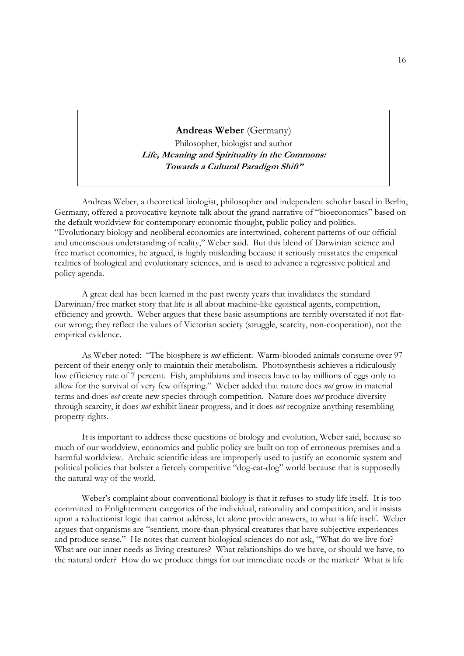**Andreas Weber** (Germany) Philosopher, biologist and author **Life, Meaning and Spirituality in the Commons: Towards a Cultural Paradigm Shift"** 

 Andreas Weber, a theoretical biologist, philosopher and independent scholar based in Berlin, Germany, offered a provocative keynote talk about the grand narrative of "bioeconomics" based on the default worldview for contemporary economic thought, public policy and politics. "Evolutionary biology and neoliberal economics are intertwined, coherent patterns of our official and unconscious understanding of reality," Weber said. But this blend of Darwinian science and free market economics, he argued, is highly misleading because it seriously misstates the empirical realities of biological and evolutionary sciences, and is used to advance a regressive political and policy agenda.

 A great deal has been learned in the past twenty years that invalidates the standard Darwinian/free market story that life is all about machine-like egoistical agents, competition, efficiency and growth. Weber argues that these basic assumptions are terribly overstated if not flatout wrong; they reflect the values of Victorian society (struggle, scarcity, non-cooperation), not the empirical evidence.

 As Weber noted: "The biosphere is *not* efficient. Warm-blooded animals consume over 97 percent of their energy only to maintain their metabolism. Photosynthesis achieves a ridiculously low efficiency rate of 7 percent. Fish, amphibians and insects have to lay millions of eggs only to allow for the survival of very few offspring." Weber added that nature does *not* grow in material terms and does *not* create new species through competition. Nature does *not* produce diversity through scarcity, it does *not* exhibit linear progress, and it does *not* recognize anything resembling property rights.

 It is important to address these questions of biology and evolution, Weber said, because so much of our worldview, economics and public policy are built on top of erroneous premises and a harmful worldview. Archaic scientific ideas are improperly used to justify an economic system and political policies that bolster a fiercely competitive "dog-eat-dog" world because that is supposedly the natural way of the world.

 Weber's complaint about conventional biology is that it refuses to study life itself. It is too committed to Enlightenment categories of the individual, rationality and competition, and it insists upon a reductionist logic that cannot address, let alone provide answers, to what is life itself. Weber argues that organisms are "sentient, more-than-physical creatures that have subjective experiences and produce sense." He notes that current biological sciences do not ask, "What do we live for? What are our inner needs as living creatures? What relationships do we have, or should we have, to the natural order? How do we produce things for our immediate needs or the market? What is life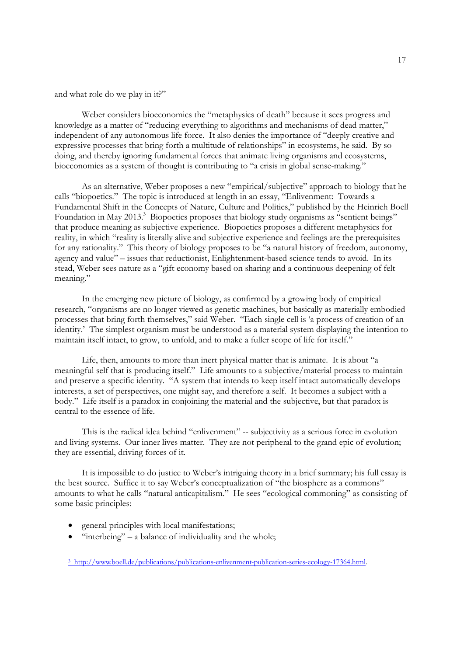and what role do we play in it?"

 Weber considers bioeconomics the "metaphysics of death" because it sees progress and knowledge as a matter of "reducing everything to algorithms and mechanisms of dead matter," independent of any autonomous life force. It also denies the importance of "deeply creative and expressive processes that bring forth a multitude of relationships" in ecosystems, he said. By so doing, and thereby ignoring fundamental forces that animate living organisms and ecosystems, bioeconomics as a system of thought is contributing to "a crisis in global sense-making."

 As an alternative, Weber proposes a new "empirical/subjective" approach to biology that he calls "biopoetics." The topic is introduced at length in an essay, "Enlivenment: Towards a Fundamental Shift in the Concepts of Nature, Culture and Politics," published by the Heinrich Boell Foundation in May 2013.<sup>3</sup> Biopoetics proposes that biology study organisms as "sentient beings" that produce meaning as subjective experience. Biopoetics proposes a different metaphysics for reality, in which "reality is literally alive and subjective experience and feelings are the prerequisites for any rationality." This theory of biology proposes to be "a natural history of freedom, autonomy, agency and value" – issues that reductionist, Enlightenment-based science tends to avoid. In its stead, Weber sees nature as a "gift economy based on sharing and a continuous deepening of felt meaning."

 In the emerging new picture of biology, as confirmed by a growing body of empirical research, "organisms are no longer viewed as genetic machines, but basically as materially embodied processes that bring forth themselves," said Weber. "Each single cell is 'a process of creation of an identity.' The simplest organism must be understood as a material system displaying the intention to maintain itself intact, to grow, to unfold, and to make a fuller scope of life for itself."

 Life, then, amounts to more than inert physical matter that is animate. It is about "a meaningful self that is producing itself." Life amounts to a subjective/material process to maintain and preserve a specific identity. "A system that intends to keep itself intact automatically develops interests, a set of perspectives, one might say, and therefore a self. It becomes a subject with a body." Life itself is a paradox in conjoining the material and the subjective, but that paradox is central to the essence of life.

 This is the radical idea behind "enlivenment" -- subjectivity as a serious force in evolution and living systems. Our inner lives matter. They are not peripheral to the grand epic of evolution; they are essential, driving forces of it.

 It is impossible to do justice to Weber's intriguing theory in a brief summary; his full essay is the best source. Suffice it to say Weber's conceptualization of "the biosphere as a commons" amounts to what he calls "natural anticapitalism." He sees "ecological commoning" as consisting of some basic principles:

- general principles with local manifestations;
- $\bullet$  "interbeing" a balance of individuality and the whole;

 <sup>3</sup> http://www.boell.de/publications/publications-enlivenment-publication-series-ecology-17364.html.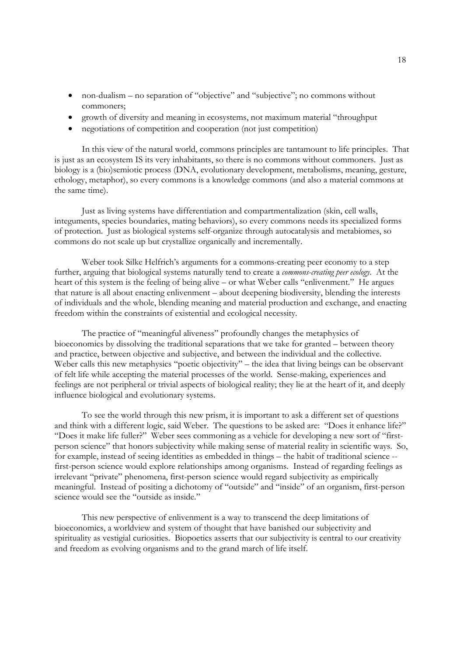- non-dualism no separation of "objective" and "subjective"; no commons without commoners;
- growth of diversity and meaning in ecosystems, not maximum material "throughput
- negotiations of competition and cooperation (not just competition)

 In this view of the natural world, commons principles are tantamount to life principles. That is just as an ecosystem IS its very inhabitants, so there is no commons without commoners. Just as biology is a (bio)semiotic process (DNA, evolutionary development, metabolisms, meaning, gesture, ethology, metaphor), so every commons is a knowledge commons (and also a material commons at the same time).

 Just as living systems have differentiation and compartmentalization (skin, cell walls, integuments, species boundaries, mating behaviors), so every commons needs its specialized forms of protection. Just as biological systems self-organize through autocatalysis and metabiomes, so commons do not scale up but crystallize organically and incrementally.

 Weber took Silke Helfrich's arguments for a commons-creating peer economy to a step further, arguing that biological systems naturally tend to create a *commons-creating peer ecology*. At the heart of this system is the feeling of being alive – or what Weber calls "enlivenment." He argues that nature is all about enacting enlivenment – about deepening biodiversity, blending the interests of individuals and the whole, blending meaning and material production and exchange, and enacting freedom within the constraints of existential and ecological necessity.

 The practice of "meaningful aliveness" profoundly changes the metaphysics of bioeconomics by dissolving the traditional separations that we take for granted – between theory and practice, between objective and subjective, and between the individual and the collective. Weber calls this new metaphysics "poetic objectivity" – the idea that living beings can be observant of felt life while accepting the material processes of the world. Sense-making, experiences and feelings are not peripheral or trivial aspects of biological reality; they lie at the heart of it, and deeply influence biological and evolutionary systems.

 To see the world through this new prism, it is important to ask a different set of questions and think with a different logic, said Weber. The questions to be asked are: "Does it enhance life?" "Does it make life fuller?" Weber sees commoning as a vehicle for developing a new sort of "firstperson science" that honors subjectivity while making sense of material reality in scientific ways. So, for example, instead of seeing identities as embedded in things – the habit of traditional science - first-person science would explore relationships among organisms. Instead of regarding feelings as irrelevant "private" phenomena, first-person science would regard subjectivity as empirically meaningful. Instead of positing a dichotomy of "outside" and "inside" of an organism, first-person science would see the "outside as inside."

 This new perspective of enlivenment is a way to transcend the deep limitations of bioeconomics, a worldview and system of thought that have banished our subjectivity and spirituality as vestigial curiosities. Biopoetics asserts that our subjectivity is central to our creativity and freedom as evolving organisms and to the grand march of life itself.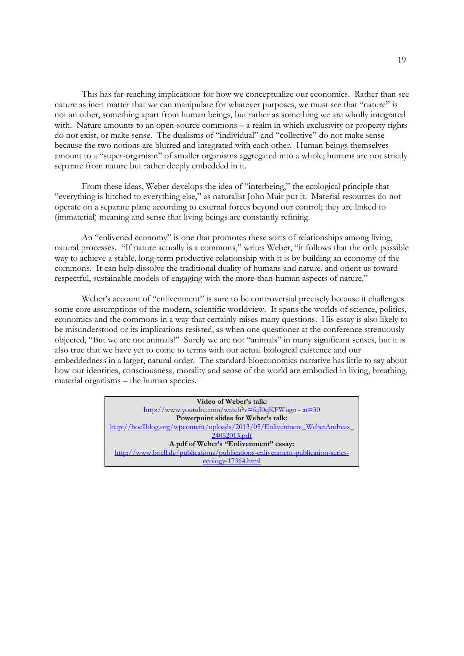This has far-reaching implications for how we conceptualize our economics. Rather than see nature as inert matter that we can manipulate for whatever purposes, we must see that "nature" is not an other, something apart from human beings, but rather as something we are wholly integrated with. Nature amounts to an open-source commons – a realm in which exclusivity or property rights do not exist, or make sense. The dualisms of "individual" and "collective" do not make sense because the two notions are blurred and integrated with each other. Human beings themselves amount to a "super-organism" of smaller organisms aggregated into a whole; humans are not strictly separate from nature but rather deeply embedded in it.

 From these ideas, Weber develops the idea of "interbeing," the ecological principle that "everything is hitched to everything else," as naturalist John Muir put it. Material resources do not operate on a separate plane according to external forces beyond our control; they are linked to (immaterial) meaning and sense that living beings are constantly refining.

 An "enlivened economy" is one that promotes these sorts of relationships among living, natural processes. "If nature actually is a commons," writes Weber, "it follows that the only possible way to achieve a stable, long-term productive relationship with it is by building an economy of the commons. It can help dissolve the traditional duality of humans and nature, and orient us toward respectful, sustainable models of engaging with the more-than-human aspects of nature."

Weber's account of "enlivenment" is sure to be controversial precisely because it challenges some core assumptions of the modern, scientific worldview. It spans the worlds of science, politics, economics and the commons in a way that certainly raises many questions. His essay is also likely to be misunderstood or its implications resisted, as when one questioner at the conference strenuously objected, "But we are not animals!" Surely we are not "animals" in many significant senses, but it is also true that we have yet to come to terms with our actual biological existence and our embeddedness in a larger, natural order. The standard bioeconomics narrative has little to say about how our identities, consciousness, morality and sense of the world are embodied in living, breathing, material organisms – the human species.

> **Video of Weber's talk:** http://www.youtube.com/watch?v=fqI0qKFWugo - at=30 **Powerpoint slides for Weber's talk:** http://boellblog.org/wpcontent/uploads/2013/05/Enlivenment\_WeberAndreas\_ 24052013.pdf **A pdf of Weber's "Enlivenment" essay:** http://www.boell.de/publications/publications-enlivenment-publication-seriesecology-17364.html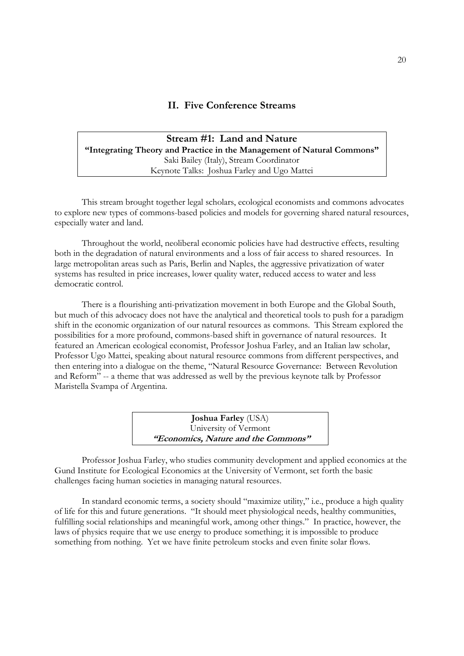# **II. Five Conference Streams**

# **Stream #1: Land and Nature "Integrating Theory and Practice in the Management of Natural Commons"** Saki Bailey (Italy), Stream Coordinator Keynote Talks: Joshua Farley and Ugo Mattei

 This stream brought together legal scholars, ecological economists and commons advocates to explore new types of commons-based policies and models for governing shared natural resources, especially water and land.

 Throughout the world, neoliberal economic policies have had destructive effects, resulting both in the degradation of natural environments and a loss of fair access to shared resources. In large metropolitan areas such as Paris, Berlin and Naples, the aggressive privatization of water systems has resulted in price increases, lower quality water, reduced access to water and less democratic control.

 There is a flourishing anti-privatization movement in both Europe and the Global South, but much of this advocacy does not have the analytical and theoretical tools to push for a paradigm shift in the economic organization of our natural resources as commons. This Stream explored the possibilities for a more profound, commons-based shift in governance of natural resources. It featured an American ecological economist, Professor Joshua Farley, and an Italian law scholar, Professor Ugo Mattei, speaking about natural resource commons from different perspectives, and then entering into a dialogue on the theme, "Natural Resource Governance: Between Revolution and Reform" -- a theme that was addressed as well by the previous keynote talk by Professor Maristella Svampa of Argentina.

| <b>Joshua Farley (USA)</b>          |  |
|-------------------------------------|--|
| University of Vermont               |  |
| "Economics, Nature and the Commons" |  |

Professor Joshua Farley, who studies community development and applied economics at the Gund Institute for Ecological Economics at the University of Vermont, set forth the basic challenges facing human societies in managing natural resources.

 In standard economic terms, a society should "maximize utility," i.e., produce a high quality of life for this and future generations. "It should meet physiological needs, healthy communities, fulfilling social relationships and meaningful work, among other things." In practice, however, the laws of physics require that we use energy to produce something; it is impossible to produce something from nothing. Yet we have finite petroleum stocks and even finite solar flows.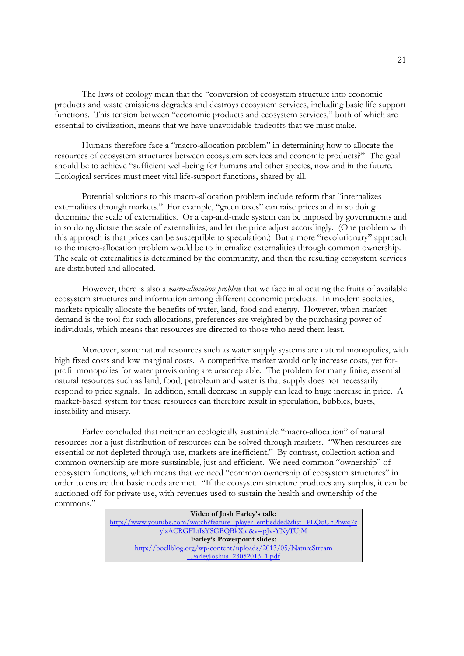The laws of ecology mean that the "conversion of ecosystem structure into economic products and waste emissions degrades and destroys ecosystem services, including basic life support functions. This tension between "economic products and ecosystem services," both of which are essential to civilization, means that we have unavoidable tradeoffs that we must make.

 Humans therefore face a "macro-allocation problem" in determining how to allocate the resources of ecosystem structures between ecosystem services and economic products?" The goal should be to achieve "sufficient well-being for humans and other species, now and in the future. Ecological services must meet vital life-support functions, shared by all.

 Potential solutions to this macro-allocation problem include reform that "internalizes externalities through markets." For example, "green taxes" can raise prices and in so doing determine the scale of externalities. Or a cap-and-trade system can be imposed by governments and in so doing dictate the scale of externalities, and let the price adjust accordingly. (One problem with this approach is that prices can be susceptible to speculation.) But a more "revolutionary" approach to the macro-allocation problem would be to internalize externalities through common ownership. The scale of externalities is determined by the community, and then the resulting ecosystem services are distributed and allocated.

 However, there is also a *micro-allocation problem* that we face in allocating the fruits of available ecosystem structures and information among different economic products. In modern societies, markets typically allocate the benefits of water, land, food and energy. However, when market demand is the tool for such allocations, preferences are weighted by the purchasing power of individuals, which means that resources are directed to those who need them least.

 Moreover, some natural resources such as water supply systems are natural monopolies, with high fixed costs and low marginal costs. A competitive market would only increase costs, yet forprofit monopolies for water provisioning are unacceptable. The problem for many finite, essential natural resources such as land, food, petroleum and water is that supply does not necessarily respond to price signals. In addition, small decrease in supply can lead to huge increase in price. A market-based system for these resources can therefore result in speculation, bubbles, busts, instability and misery.

 Farley concluded that neither an ecologically sustainable "macro-allocation" of natural resources nor a just distribution of resources can be solved through markets. "When resources are essential or not depleted through use, markets are inefficient." By contrast, collection action and common ownership are more sustainable, just and efficient. We need common "ownership" of ecosystem functions, which means that we need "common ownership of ecosystem structures" in order to ensure that basic needs are met. "If the ecosystem structure produces any surplus, it can be auctioned off for private use, with revenues used to sustain the health and ownership of the

commons."

| Video of Josh Farley's talk:                                           |
|------------------------------------------------------------------------|
| http://www.youtube.com/watch?feature=player_embedded&list=PLQoUnPhwq7c |
| ylzACRGFLtIsYSGBQBkXjq&v=pJv-YNyTUjM                                   |
| <b>Farley's Powerpoint slides:</b>                                     |
| http://boellblog.org/wp-content/uploads/2013/05/NatureStream           |
| FarleyJoshua 23052013 1.pdf                                            |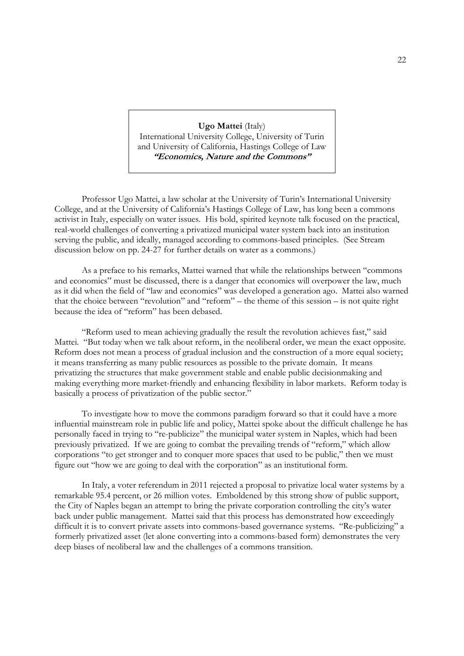**Ugo Mattei** (Italy) International University College, University of Turin and University of California, Hastings College of Law **"Economics, Nature and the Commons"** 

 Professor Ugo Mattei, a law scholar at the University of Turin's International University College, and at the University of California's Hastings College of Law, has long been a commons activist in Italy, especially on water issues. His bold, spirited keynote talk focused on the practical, real-world challenges of converting a privatized municipal water system back into an institution serving the public, and ideally, managed according to commons-based principles. (See Stream discussion below on pp. 24-27 for further details on water as a commons.)

 As a preface to his remarks, Mattei warned that while the relationships between "commons and economics" must be discussed, there is a danger that economics will overpower the law, much as it did when the field of "law and economics" was developed a generation ago. Mattei also warned that the choice between "revolution" and "reform" – the theme of this session – is not quite right because the idea of "reform" has been debased.

 "Reform used to mean achieving gradually the result the revolution achieves fast," said Mattei. "But today when we talk about reform, in the neoliberal order, we mean the exact opposite. Reform does not mean a process of gradual inclusion and the construction of a more equal society; it means transferring as many public resources as possible to the private domain. It means privatizing the structures that make government stable and enable public decisionmaking and making everything more market-friendly and enhancing flexibility in labor markets. Reform today is basically a process of privatization of the public sector."

 To investigate how to move the commons paradigm forward so that it could have a more influential mainstream role in public life and policy, Mattei spoke about the difficult challenge he has personally faced in trying to "re-publicize" the municipal water system in Naples, which had been previously privatized. If we are going to combat the prevailing trends of "reform," which allow corporations "to get stronger and to conquer more spaces that used to be public," then we must figure out "how we are going to deal with the corporation" as an institutional form.

 In Italy, a voter referendum in 2011 rejected a proposal to privatize local water systems by a remarkable 95.4 percent, or 26 million votes. Emboldened by this strong show of public support, the City of Naples began an attempt to bring the private corporation controlling the city's water back under public management. Mattei said that this process has demonstrated how exceedingly difficult it is to convert private assets into commons-based governance systems. "Re-publicizing" a formerly privatized asset (let alone converting into a commons-based form) demonstrates the very deep biases of neoliberal law and the challenges of a commons transition.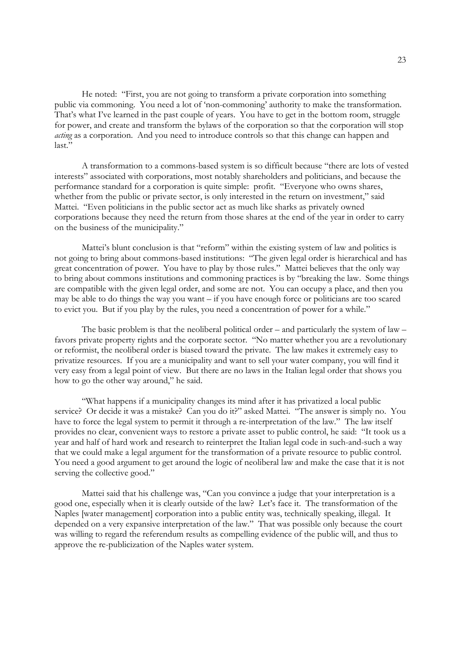He noted: "First, you are not going to transform a private corporation into something public via commoning. You need a lot of 'non-commoning' authority to make the transformation. That's what I've learned in the past couple of years. You have to get in the bottom room, struggle for power, and create and transform the bylaws of the corporation so that the corporation will stop *acting* as a corporation. And you need to introduce controls so that this change can happen and last."

 A transformation to a commons-based system is so difficult because "there are lots of vested interests" associated with corporations, most notably shareholders and politicians, and because the performance standard for a corporation is quite simple: profit. "Everyone who owns shares, whether from the public or private sector, is only interested in the return on investment," said Mattei. "Even politicians in the public sector act as much like sharks as privately owned corporations because they need the return from those shares at the end of the year in order to carry on the business of the municipality."

 Mattei's blunt conclusion is that "reform" within the existing system of law and politics is not going to bring about commons-based institutions: "The given legal order is hierarchical and has great concentration of power. You have to play by those rules." Mattei believes that the only way to bring about commons institutions and commoning practices is by "breaking the law. Some things are compatible with the given legal order, and some are not. You can occupy a place, and then you may be able to do things the way you want – if you have enough force or politicians are too scared to evict you. But if you play by the rules, you need a concentration of power for a while."

 The basic problem is that the neoliberal political order – and particularly the system of law – favors private property rights and the corporate sector. "No matter whether you are a revolutionary or reformist, the neoliberal order is biased toward the private. The law makes it extremely easy to privatize resources. If you are a municipality and want to sell your water company, you will find it very easy from a legal point of view. But there are no laws in the Italian legal order that shows you how to go the other way around," he said.

 "What happens if a municipality changes its mind after it has privatized a local public service? Or decide it was a mistake? Can you do it?" asked Mattei. "The answer is simply no. You have to force the legal system to permit it through a re-interpretation of the law." The law itself provides no clear, convenient ways to restore a private asset to public control, he said: "It took us a year and half of hard work and research to reinterpret the Italian legal code in such-and-such a way that we could make a legal argument for the transformation of a private resource to public control. You need a good argument to get around the logic of neoliberal law and make the case that it is not serving the collective good."

 Mattei said that his challenge was, "Can you convince a judge that your interpretation is a good one, especially when it is clearly outside of the law? Let's face it. The transformation of the Naples [water management] corporation into a public entity was, technically speaking, illegal. It depended on a very expansive interpretation of the law." That was possible only because the court was willing to regard the referendum results as compelling evidence of the public will, and thus to approve the re-publicization of the Naples water system.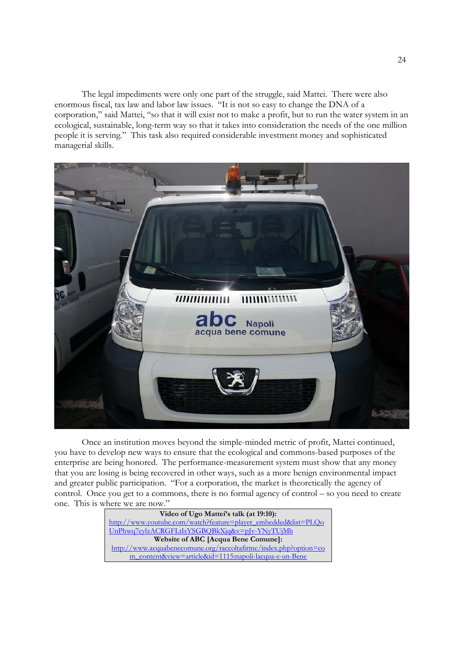The legal impediments were only one part of the struggle, said Mattei. There were also enormous fiscal, tax law and labor law issues. "It is not so easy to change the DNA of a corporation," said Mattei, "so that it will exist not to make a profit, but to run the water system in an ecological, sustainable, long-term way so that it takes into consideration the needs of the one million people it is serving." This task also required considerable investment money and sophisticated managerial skills.



 Once an institution moves beyond the simple-minded metric of profit, Mattei continued, you have to develop new ways to ensure that the ecological and commons-based purposes of the enterprise are being honored. The performance-measurement system must show that any money that you are losing is being recovered in other ways, such as a more benign environmental impact and greater public participation. "For a corporation, the market is theoretically the agency of control. Once you get to a commons, there is no formal agency of control – so you need to create one. This is where we are now."

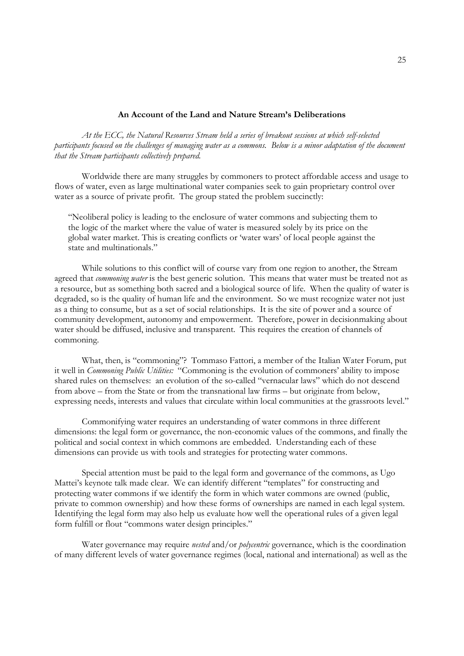#### **An Account of the Land and Nature Stream's Deliberations**

 *At the ECC, the Natural Resources Stream held a series of breakout sessions at which self-selected participants focused on the challenges of managing water as a commons. Below is a minor adaptation of the document that the Stream participants collectively prepared.* 

 Worldwide there are many struggles by commoners to protect affordable access and usage to flows of water, even as large multinational water companies seek to gain proprietary control over water as a source of private profit. The group stated the problem succinctly:

"Neoliberal policy is leading to the enclosure of water commons and subjecting them to the logic of the market where the value of water is measured solely by its price on the global water market. This is creating conflicts or 'water wars' of local people against the state and multinationals."

 While solutions to this conflict will of course vary from one region to another, the Stream agreed that *commoning water* is the best generic solution. This means that water must be treated not as a resource, but as something both sacred and a biological source of life. When the quality of water is degraded, so is the quality of human life and the environment. So we must recognize water not just as a thing to consume, but as a set of social relationships. It is the site of power and a source of community development, autonomy and empowerment. Therefore, power in decisionmaking about water should be diffused, inclusive and transparent. This requires the creation of channels of commoning.

 What, then, is "commoning"? Tommaso Fattori, a member of the Italian Water Forum, put it well in *Commoning Public Utilities:* "Commoning is the evolution of commoners' ability to impose shared rules on themselves: an evolution of the so-called "vernacular laws" which do not descend from above – from the State or from the transnational law firms – but originate from below, expressing needs, interests and values that circulate within local communities at the grassroots level."

 Commonifying water requires an understanding of water commons in three different dimensions: the legal form or governance, the non-economic values of the commons, and finally the political and social context in which commons are embedded. Understanding each of these dimensions can provide us with tools and strategies for protecting water commons.

 Special attention must be paid to the legal form and governance of the commons, as Ugo Mattei's keynote talk made clear. We can identify different "templates" for constructing and protecting water commons if we identify the form in which water commons are owned (public, private to common ownership) and how these forms of ownerships are named in each legal system. Identifying the legal form may also help us evaluate how well the operational rules of a given legal form fulfill or flout "commons water design principles."

 Water governance may require *nested* and/or *polycentric* governance, which is the coordination of many different levels of water governance regimes (local, national and international) as well as the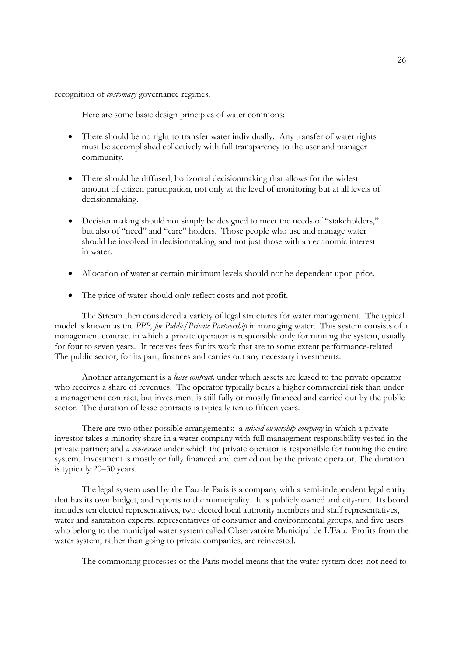recognition of *customary* governance regimes.

Here are some basic design principles of water commons:

- There should be no right to transfer water individually. Any transfer of water rights must be accomplished collectively with full transparency to the user and manager community.
- There should be diffused, horizontal decisionmaking that allows for the widest amount of citizen participation, not only at the level of monitoring but at all levels of decisionmaking.
- Decisionmaking should not simply be designed to meet the needs of "stakeholders," but also of "need" and "care" holders. Those people who use and manage water should be involved in decisionmaking, and not just those with an economic interest in water.
- Allocation of water at certain minimum levels should not be dependent upon price.
- The price of water should only reflect costs and not profit.

 The Stream then considered a variety of legal structures for water management. The typical model is known as the *PPP, for Public/Private Partnership* in managing water. This system consists of a management contract in which a private operator is responsible only for running the system, usually for four to seven years. It receives fees for its work that are to some extent performance-related. The public sector, for its part, finances and carries out any necessary investments.

 Another arrangement is a *lease contract,* under which assets are leased to the private operator who receives a share of revenues. The operator typically bears a higher commercial risk than under a management contract, but investment is still fully or mostly financed and carried out by the public sector. The duration of lease contracts is typically ten to fifteen years.

 There are two other possible arrangements: a *mixed-ownership company* in which a private investor takes a minority share in a water company with full management responsibility vested in the private partner; and *a concession* under which the private operator is responsible for running the entire system. Investment is mostly or fully financed and carried out by the private operator. The duration is typically 20–30 years.

The legal system used by the Eau de Paris is a company with a semi-independent legal entity that has its own budget, and reports to the municipality. It is publicly owned and city-run. Its board includes ten elected representatives, two elected local authority members and staff representatives, water and sanitation experts, representatives of consumer and environmental groups, and five users who belong to the municipal water system called Observatoire Municipal de L'Eau. Profits from the water system, rather than going to private companies, are reinvested.

The commoning processes of the Paris model means that the water system does not need to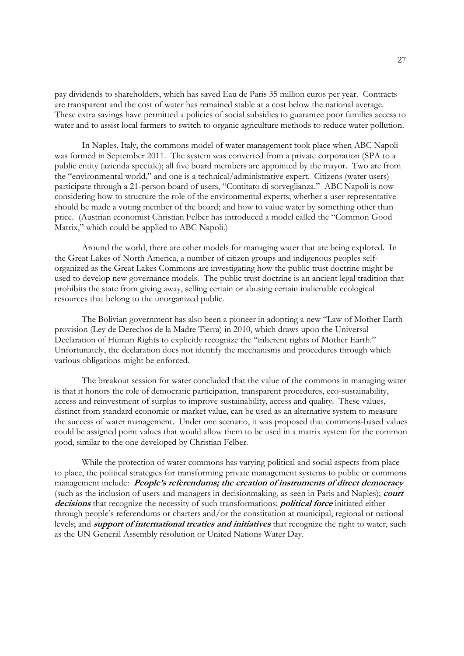pay dividends to shareholders, which has saved Eau de Paris 35 million euros per year. Contracts are transparent and the cost of water has remained stable at a cost below the national average. These extra savings have permitted a policies of social subsidies to guarantee poor families access to water and to assist local farmers to switch to organic agriculture methods to reduce water pollution.

In Naples, Italy, the commons model of water management took place when ABC Napoli was formed in September 2011. The system was converted from a private corporation (SPA to a public entity (azienda speciale); all five board members are appointed by the mayor. Two are from the "environmental world," and one is a technical/administrative expert. Citizens (water users) participate through a 21-person board of users, "Comitato di sorveglianza." ABC Napoli is now considering how to structure the role of the environmental experts; whether a user representative should be made a voting member of the board; and how to value water by something other than price. (Austrian economist Christian Felber has introduced a model called the "Common Good Matrix," which could be applied to ABC Napoli.)

Around the world, there are other models for managing water that are being explored. In the Great Lakes of North America, a number of citizen groups and indigenous peoples selforganized as the Great Lakes Commons are investigating how the public trust doctrine might be used to develop new governance models. The public trust doctrine is an ancient legal tradition that prohibits the state from giving away, selling certain or abusing certain inalienable ecological resources that belong to the unorganized public.

The Bolivian government has also been a pioneer in adopting a new "Law of Mother Earth provision (Ley de Derechos de la Madre Tierra) in 2010, which draws upon the Universal Declaration of Human Rights to explicitly recognize the "inherent rights of Mother Earth." Unfortunately, the declaration does not identify the mechanisms and procedures through which various obligations might be enforced.

The breakout session for water concluded that the value of the commons in managing water is that it honors the role of democratic participation, transparent procedures, eco-sustainability, access and reinvestment of surplus to improve sustainability, access and quality. These values, distinct from standard economic or market value, can be used as an alternative system to measure the success of water management. Under one scenario, it was proposed that commons-based values could be assigned point values that would allow them to be used in a matrix system for the common good, similar to the one developed by Christian Felber.

While the protection of water commons has varying political and social aspects from place to place, the political strategies for transforming private management systems to public or commons management include: **People's referendums; the creation of instruments of direct democracy** (such as the inclusion of users and managers in decisionmaking, as seen in Paris and Naples); **court decisions** that recognize the necessity of such transformations; **political force** initiated either through people's referendums or charters and/or the constitution at municipal, regional or national levels; and **support of international treaties and initiatives** that recognize the right to water, such as the UN General Assembly resolution or United Nations Water Day.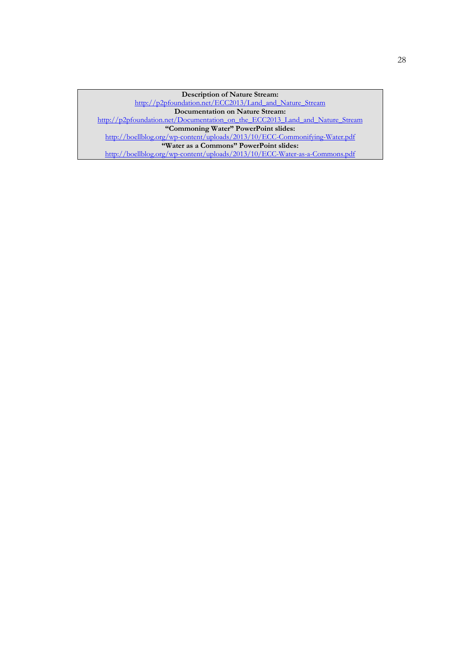**Description of Nature Stream:** http://p2pfoundation.net/ECC2013/Land\_and\_Nature\_Stream **Documentation on Nature Stream:** http://p2pfoundation.net/Documentation\_on\_the\_ECC2013\_Land\_and\_Nature\_Stream **"Commoning Water" PowerPoint slides:**  http://boellblog.org/wp-content/uploads/2013/10/ECC-Commonifying-Water.pdf **"Water as a Commons" PowerPoint slides:**  http://boellblog.org/wp-content/uploads/2013/10/ECC-Water-as-a-Commons.pdf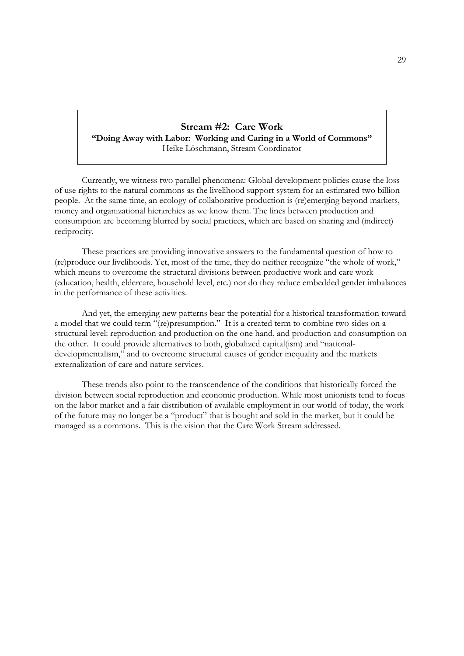### **Stream #2: Care Work "Doing Away with Labor: Working and Caring in a World of Commons"** Heike Löschmann, Stream Coordinator

 Currently, we witness two parallel phenomena: Global development policies cause the loss of use rights to the natural commons as the livelihood support system for an estimated two billion people. At the same time, an ecology of collaborative production is (re)emerging beyond markets, money and organizational hierarchies as we know them. The lines between production and consumption are becoming blurred by social practices, which are based on sharing and (indirect) reciprocity.

 These practices are providing innovative answers to the fundamental question of how to (re)produce our livelihoods. Yet, most of the time, they do neither recognize "the whole of work," which means to overcome the structural divisions between productive work and care work (education, health, eldercare, household level, etc.) nor do they reduce embedded gender imbalances in the performance of these activities.

 And yet, the emerging new patterns bear the potential for a historical transformation toward a model that we could term "(re)presumption." It is a created term to combine two sides on a structural level: reproduction and production on the one hand, and production and consumption on the other. It could provide alternatives to both, globalized capital(ism) and "nationaldevelopmentalism," and to overcome structural causes of gender inequality and the markets externalization of care and nature services.

 These trends also point to the transcendence of the conditions that historically forced the division between social reproduction and economic production. While most unionists tend to focus on the labor market and a fair distribution of available employment in our world of today, the work of the future may no longer be a "product" that is bought and sold in the market, but it could be managed as a commons. This is the vision that the Care Work Stream addressed.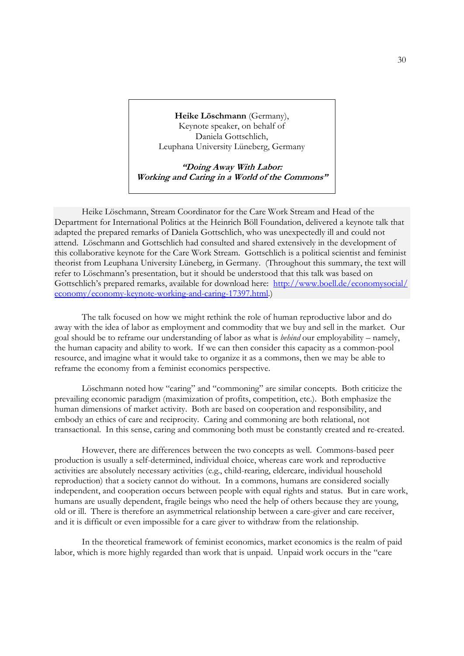**Heike Löschmann** (Germany), Keynote speaker, on behalf of Daniela Gottschlich, Leuphana University Lüneberg, Germany

**"Doing Away With Labor: Working and Caring in a World of the Commons"** 

 Heike Löschmann, Stream Coordinator for the Care Work Stream and Head of the Department for International Politics at the Heinrich Böll Foundation, delivered a keynote talk that adapted the prepared remarks of Daniela Gottschlich, who was unexpectedly ill and could not attend. Löschmann and Gottschlich had consulted and shared extensively in the development of this collaborative keynote for the Care Work Stream. Gottschlich is a political scientist and feminist theorist from Leuphana University Lüneberg, in Germany. (Throughout this summary, the text will refer to Löschmann's presentation, but it should be understood that this talk was based on Gottschlich's prepared remarks, available for download here: http://www.boell.de/economysocial/ economy/economy-keynote-working-and-caring-17397.html.)

 The talk focused on how we might rethink the role of human reproductive labor and do away with the idea of labor as employment and commodity that we buy and sell in the market. Our goal should be to reframe our understanding of labor as what is *behind* our employability – namely, the human capacity and ability to work. If we can then consider this capacity as a common-pool resource, and imagine what it would take to organize it as a commons, then we may be able to reframe the economy from a feminist economics perspective.

 Löschmann noted how "caring" and "commoning" are similar concepts. Both criticize the prevailing economic paradigm (maximization of profits, competition, etc.). Both emphasize the human dimensions of market activity. Both are based on cooperation and responsibility, and embody an ethics of care and reciprocity. Caring and commoning are both relational, not transactional. In this sense, caring and commoning both must be constantly created and re-created.

 However, there are differences between the two concepts as well. Commons-based peer production is usually a self-determined, individual choice, whereas care work and reproductive activities are absolutely necessary activities (e.g., child-rearing, eldercare, individual household reproduction) that a society cannot do without. In a commons, humans are considered socially independent, and cooperation occurs between people with equal rights and status. But in care work, humans are usually dependent, fragile beings who need the help of others because they are young, old or ill. There is therefore an asymmetrical relationship between a care-giver and care receiver, and it is difficult or even impossible for a care giver to withdraw from the relationship.

 In the theoretical framework of feminist economics, market economics is the realm of paid labor, which is more highly regarded than work that is unpaid. Unpaid work occurs in the "care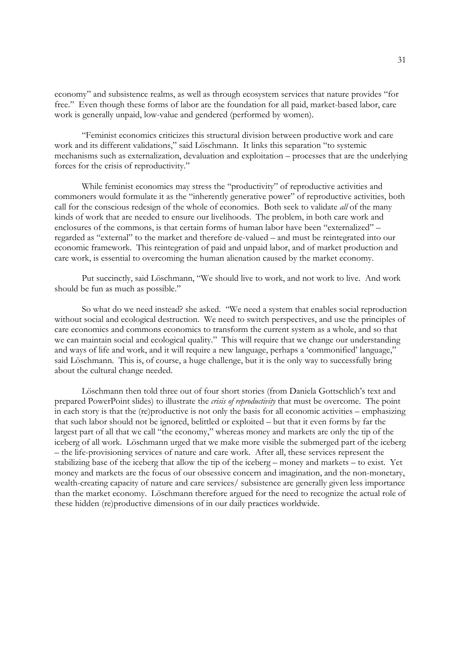economy" and subsistence realms, as well as through ecosystem services that nature provides "for free." Even though these forms of labor are the foundation for all paid, market-based labor, care work is generally unpaid, low-value and gendered (performed by women).

 "Feminist economics criticizes this structural division between productive work and care work and its different validations," said Löschmann. It links this separation "to systemic mechanisms such as externalization, devaluation and exploitation – processes that are the underlying forces for the crisis of reproductivity."

 While feminist economics may stress the "productivity" of reproductive activities and commoners would formulate it as the "inherently generative power" of reproductive activities, both call for the conscious redesign of the whole of economics. Both seek to validate *all* of the many kinds of work that are needed to ensure our livelihoods. The problem, in both care work and enclosures of the commons, is that certain forms of human labor have been "externalized" – regarded as "external" to the market and therefore de-valued – and must be reintegrated into our economic framework. This reintegration of paid and unpaid labor, and of market production and care work, is essential to overcoming the human alienation caused by the market economy.

 Put succinctly, said Löschmann, "We should live to work, and not work to live. And work should be fun as much as possible."

 So what do we need instead? she asked. "We need a system that enables social reproduction without social and ecological destruction. We need to switch perspectives, and use the principles of care economics and commons economics to transform the current system as a whole, and so that we can maintain social and ecological quality." This will require that we change our understanding and ways of life and work, and it will require a new language, perhaps a 'commonified' language," said Löschmann. This is, of course, a huge challenge, but it is the only way to successfully bring about the cultural change needed.

 Löschmann then told three out of four short stories (from Daniela Gottschlich's text and prepared PowerPoint slides) to illustrate the *crisis of reproductivity* that must be overcome. The point in each story is that the (re)productive is not only the basis for all economic activities – emphasizing that such labor should not be ignored, belittled or exploited – but that it even forms by far the largest part of all that we call "the economy," whereas money and markets are only the tip of the iceberg of all work. Löschmann urged that we make more visible the submerged part of the iceberg – the life-provisioning services of nature and care work. After all, these services represent the stabilizing base of the iceberg that allow the tip of the iceberg – money and markets – to exist. Yet money and markets are the focus of our obsessive concern and imagination, and the non-monetary, wealth-creating capacity of nature and care services/ subsistence are generally given less importance than the market economy. Löschmann therefore argued for the need to recognize the actual role of these hidden (re)productive dimensions of in our daily practices worldwide.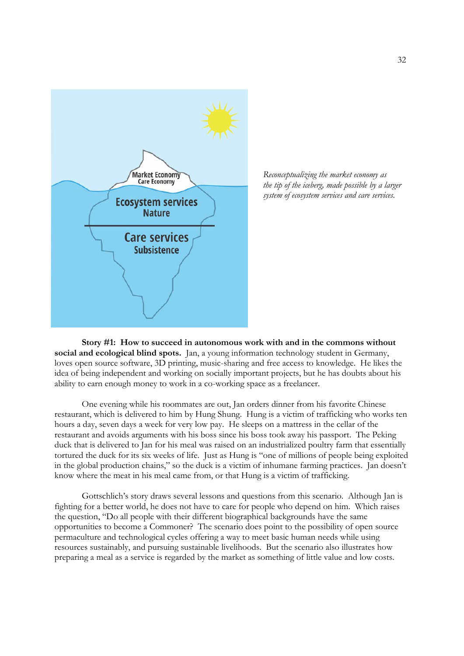



**Story #1: How to succeed in autonomous work with and in the commons without social and ecological blind spots.** Jan, a young information technology student in Germany, loves open source software, 3D printing, music-sharing and free access to knowledge. He likes the idea of being independent and working on socially important projects, but he has doubts about his ability to earn enough money to work in a co-working space as a freelancer.

 One evening while his roommates are out, Jan orders dinner from his favorite Chinese restaurant, which is delivered to him by Hung Shung. Hung is a victim of trafficking who works ten hours a day, seven days a week for very low pay. He sleeps on a mattress in the cellar of the restaurant and avoids arguments with his boss since his boss took away his passport. The Peking duck that is delivered to Jan for his meal was raised on an industrialized poultry farm that essentially tortured the duck for its six weeks of life. Just as Hung is "one of millions of people being exploited in the global production chains," so the duck is a victim of inhumane farming practices. Jan doesn't know where the meat in his meal came from, or that Hung is a victim of trafficking.

 Gottschlich's story draws several lessons and questions from this scenario. Although Jan is fighting for a better world, he does not have to care for people who depend on him. Which raises the question, "Do all people with their different biographical backgrounds have the same opportunities to become a Commoner? The scenario does point to the possibility of open source permaculture and technological cycles offering a way to meet basic human needs while using resources sustainably, and pursuing sustainable livelihoods. But the scenario also illustrates how preparing a meal as a service is regarded by the market as something of little value and low costs.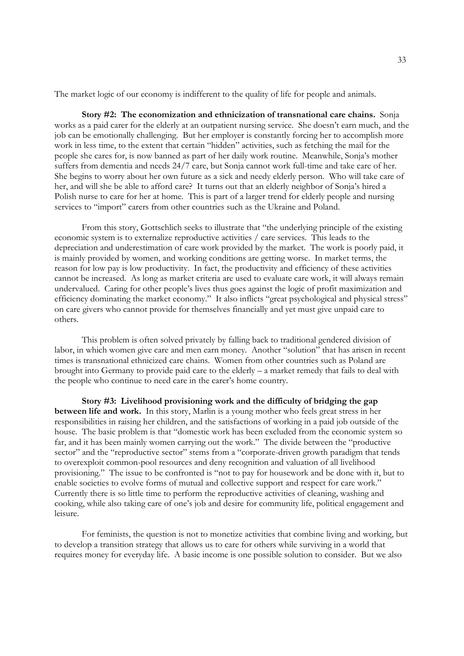The market logic of our economy is indifferent to the quality of life for people and animals.

**Story #2: The economization and ethnicization of transnational care chains.** Sonja works as a paid carer for the elderly at an outpatient nursing service. She doesn't earn much, and the job can be emotionally challenging. But her employer is constantly forcing her to accomplish more work in less time, to the extent that certain "hidden" activities, such as fetching the mail for the people she cares for, is now banned as part of her daily work routine. Meanwhile, Sonja's mother suffers from dementia and needs 24/7 care, but Sonja cannot work full-time and take care of her. She begins to worry about her own future as a sick and needy elderly person. Who will take care of her, and will she be able to afford care? It turns out that an elderly neighbor of Sonja's hired a Polish nurse to care for her at home. This is part of a larger trend for elderly people and nursing services to "import" carers from other countries such as the Ukraine and Poland.

 From this story, Gottschlich seeks to illustrate that "the underlying principle of the existing economic system is to externalize reproductive activities / care services. This leads to the depreciation and underestimation of care work provided by the market. The work is poorly paid, it is mainly provided by women, and working conditions are getting worse. In market terms, the reason for low pay is low productivity. In fact, the productivity and efficiency of these activities cannot be increased. As long as market criteria are used to evaluate care work, it will always remain undervalued. Caring for other people's lives thus goes against the logic of profit maximization and efficiency dominating the market economy." It also inflicts "great psychological and physical stress" on care givers who cannot provide for themselves financially and yet must give unpaid care to others.

 This problem is often solved privately by falling back to traditional gendered division of labor, in which women give care and men earn money. Another "solution" that has arisen in recent times is transnational ethnicized care chains. Women from other countries such as Poland are brought into Germany to provide paid care to the elderly – a market remedy that fails to deal with the people who continue to need care in the carer's home country.

**Story #3: Livelihood provisioning work and the difficulty of bridging the gap between life and work.** In this story, Marlin is a young mother who feels great stress in her responsibilities in raising her children, and the satisfactions of working in a paid job outside of the house. The basic problem is that "domestic work has been excluded from the economic system so far, and it has been mainly women carrying out the work." The divide between the "productive sector" and the "reproductive sector" stems from a "corporate-driven growth paradigm that tends to overexploit common-pool resources and deny recognition and valuation of all livelihood provisioning." The issue to be confronted is "not to pay for housework and be done with it, but to enable societies to evolve forms of mutual and collective support and respect for care work." Currently there is so little time to perform the reproductive activities of cleaning, washing and cooking, while also taking care of one's job and desire for community life, political engagement and leisure.

 For feminists, the question is not to monetize activities that combine living and working, but to develop a transition strategy that allows us to care for others while surviving in a world that requires money for everyday life. A basic income is one possible solution to consider. But we also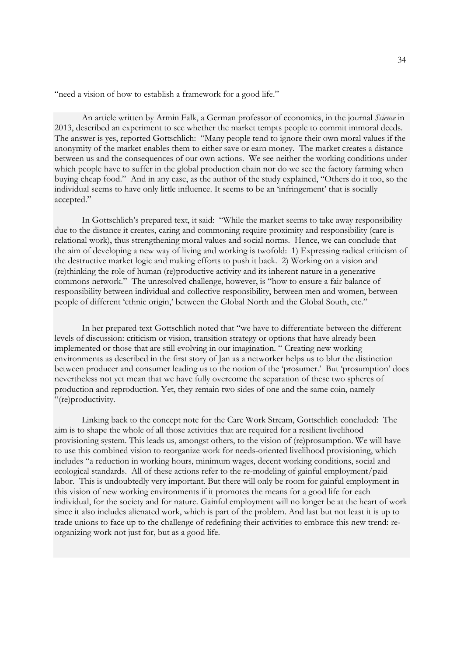"need a vision of how to establish a framework for a good life."

 An article written by Armin Falk, a German professor of economics, in the journal *Science* in 2013, described an experiment to see whether the market tempts people to commit immoral deeds. The answer is yes, reported Gottschlich: "Many people tend to ignore their own moral values if the anonymity of the market enables them to either save or earn money. The market creates a distance between us and the consequences of our own actions. We see neither the working conditions under which people have to suffer in the global production chain nor do we see the factory farming when buying cheap food." And in any case, as the author of the study explained, "Others do it too, so the individual seems to have only little influence. It seems to be an 'infringement' that is socially accepted."

 In Gottschlich's prepared text, it said: "While the market seems to take away responsibility due to the distance it creates, caring and commoning require proximity and responsibility (care is relational work), thus strengthening moral values and social norms. Hence, we can conclude that the aim of developing a new way of living and working is twofold: 1) Expressing radical criticism of the destructive market logic and making efforts to push it back. 2) Working on a vision and (re)thinking the role of human (re)productive activity and its inherent nature in a generative commons network." The unresolved challenge, however, is "how to ensure a fair balance of responsibility between individual and collective responsibility, between men and women, between people of different 'ethnic origin,' between the Global North and the Global South, etc."

 In her prepared text Gottschlich noted that "we have to differentiate between the different levels of discussion: criticism or vision, transition strategy or options that have already been implemented or those that are still evolving in our imagination. " Creating new working environments as described in the first story of Jan as a networker helps us to blur the distinction between producer and consumer leading us to the notion of the 'prosumer.' But 'prosumption' does nevertheless not yet mean that we have fully overcome the separation of these two spheres of production and reproduction. Yet, they remain two sides of one and the same coin, namely "(re)productivity.

 Linking back to the concept note for the Care Work Stream, Gottschlich concluded: The aim is to shape the whole of all those activities that are required for a resilient livelihood provisioning system. This leads us, amongst others, to the vision of (re)prosumption. We will have to use this combined vision to reorganize work for needs-oriented livelihood provisioning, which includes "a reduction in working hours, minimum wages, decent working conditions, social and ecological standards. All of these actions refer to the re-modeling of gainful employment/paid labor. This is undoubtedly very important. But there will only be room for gainful employment in this vision of new working environments if it promotes the means for a good life for each individual, for the society and for nature. Gainful employment will no longer be at the heart of work since it also includes alienated work, which is part of the problem. And last but not least it is up to trade unions to face up to the challenge of redefining their activities to embrace this new trend: reorganizing work not just for, but as a good life.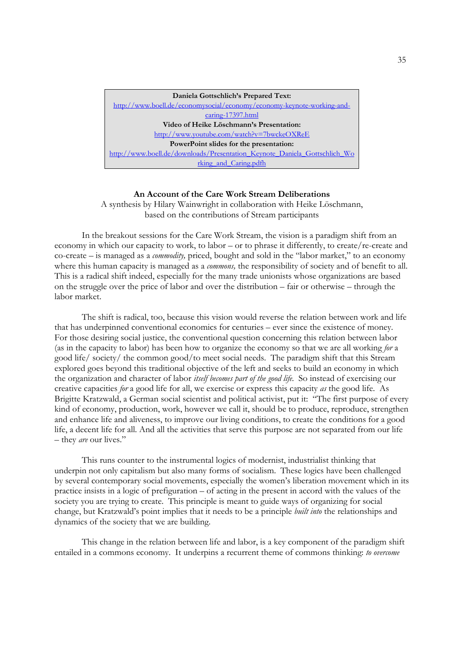| Daniela Gottschlich's Prepared Text:                                      |
|---------------------------------------------------------------------------|
| http://www.boell.de/economysocial/economy/economy-keynote-working-and-    |
| caring-17397.html                                                         |
| Video of Heike Löschmann's Presentation:                                  |
| http://www.youtube.com/watch?v=7bwckeOXReE                                |
| PowerPoint slides for the presentation:                                   |
| http://www.boell.de/downloads/Presentation Keynote Daniela Gottschlich Wo |
| rking and Caring.pdfh                                                     |

#### **An Account of the Care Work Stream Deliberations**

A synthesis by Hilary Wainwright in collaboration with Heike Löschmann, based on the contributions of Stream participants

 In the breakout sessions for the Care Work Stream, the vision is a paradigm shift from an economy in which our capacity to work, to labor – or to phrase it differently, to create/re-create and co-create – is managed as a *commodity,* priced, bought and sold in the "labor market," to an economy where this human capacity is managed as a *commons,* the responsibility of society and of benefit to all. This is a radical shift indeed, especially for the many trade unionists whose organizations are based on the struggle over the price of labor and over the distribution – fair or otherwise – through the labor market.

 The shift is radical, too, because this vision would reverse the relation between work and life that has underpinned conventional economics for centuries – ever since the existence of money. For those desiring social justice, the conventional question concerning this relation between labor (as in the capacity to labor) has been how to organize the economy so that we are all working *for* a good life/ society/ the common good/to meet social needs. The paradigm shift that this Stream explored goes beyond this traditional objective of the left and seeks to build an economy in which the organization and character of labor *itself becomes part of the good life*. So instead of exercising our creative capacities *for* a good life for all, we exercise or express this capacity *as* the good life. As Brigitte Kratzwald, a German social scientist and political activist, put it: "The first purpose of every kind of economy, production, work, however we call it, should be to produce, reproduce, strengthen and enhance life and aliveness, to improve our living conditions, to create the conditions for a good life, a decent life for all. And all the activities that serve this purpose are not separated from our life – they *are* our lives."

 This runs counter to the instrumental logics of modernist, industrialist thinking that underpin not only capitalism but also many forms of socialism. These logics have been challenged by several contemporary social movements, especially the women's liberation movement which in its practice insists in a logic of prefiguration – of acting in the present in accord with the values of the society you are trying to create. This principle is meant to guide ways of organizing for social change, but Kratzwald's point implies that it needs to be a principle *built into* the relationships and dynamics of the society that we are building.

 This change in the relation between life and labor, is a key component of the paradigm shift entailed in a commons economy. It underpins a recurrent theme of commons thinking: *to overcome*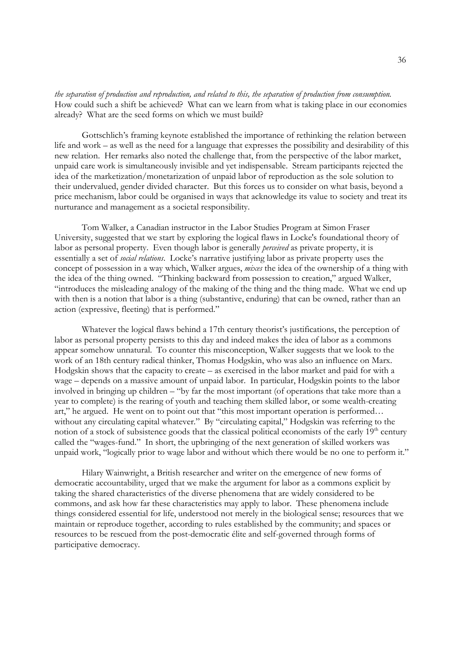*the separation of production and reproduction, and related to this, the separation of production from consumption.*  How could such a shift be achieved? What can we learn from what is taking place in our economies already? What are the seed forms on which we must build?

 Gottschlich's framing keynote established the importance of rethinking the relation between life and work – as well as the need for a language that expresses the possibility and desirability of this new relation. Her remarks also noted the challenge that, from the perspective of the labor market, unpaid care work is simultaneously invisible and yet indispensable. Stream participants rejected the idea of the marketization/monetarization of unpaid labor of reproduction as the sole solution to their undervalued, gender divided character. But this forces us to consider on what basis, beyond a price mechanism, labor could be organised in ways that acknowledge its value to society and treat its nurturance and management as a societal responsibility.

 Tom Walker, a Canadian instructor in the Labor Studies Program at Simon Fraser University, suggested that we start by exploring the logical flaws in Locke's foundational theory of labor as personal property. Even though labor is generally *perceived* as private property, it is essentially a set of *social relations*. Locke's narrative justifying labor as private property uses the concept of possession in a way which, Walker argues, *mixes* the idea of the ownership of a thing with the idea of the thing owned. "Thinking backward from possession to creation," argued Walker, "introduces the misleading analogy of the making of the thing and the thing made. What we end up with then is a notion that labor is a thing (substantive, enduring) that can be owned, rather than an action (expressive, fleeting) that is performed."

 Whatever the logical flaws behind a 17th century theorist's justifications, the perception of labor as personal property persists to this day and indeed makes the idea of labor as a commons appear somehow unnatural. To counter this misconception, Walker suggests that we look to the work of an 18th century radical thinker, Thomas Hodgskin, who was also an influence on Marx. Hodgskin shows that the capacity to create – as exercised in the labor market and paid for with a wage – depends on a massive amount of unpaid labor. In particular, Hodgskin points to the labor involved in bringing up children – "by far the most important (of operations that take more than a year to complete) is the rearing of youth and teaching them skilled labor, or some wealth-creating art," he argued. He went on to point out that "this most important operation is performed… without any circulating capital whatever." By "circulating capital," Hodgskin was referring to the notion of a stock of subsistence goods that the classical political economists of the early  $19<sup>th</sup>$  century called the "wages-fund." In short, the upbringing of the next generation of skilled workers was unpaid work, "logically prior to wage labor and without which there would be no one to perform it."

 Hilary Wainwright, a British researcher and writer on the emergence of new forms of democratic accountability, urged that we make the argument for labor as a commons explicit by taking the shared characteristics of the diverse phenomena that are widely considered to be commons, and ask how far these characteristics may apply to labor. These phenomena include things considered essential for life, understood not merely in the biological sense; resources that we maintain or reproduce together, according to rules established by the community; and spaces or resources to be rescued from the post-democratic élite and self-governed through forms of participative democracy.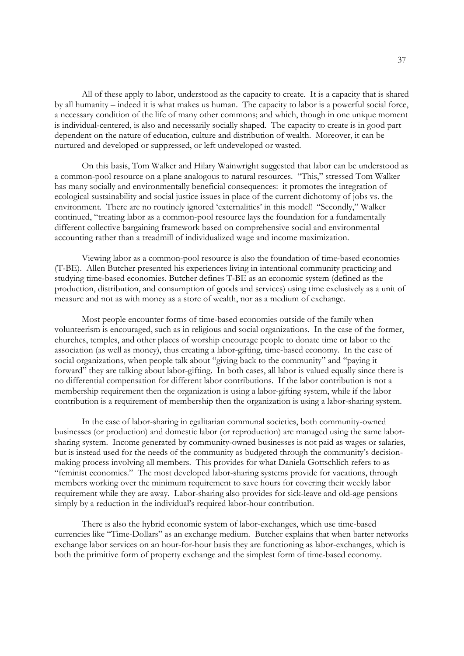All of these apply to labor, understood as the capacity to create. It is a capacity that is shared by all humanity – indeed it is what makes us human. The capacity to labor is a powerful social force, a necessary condition of the life of many other commons; and which, though in one unique moment is individual-centered, is also and necessarily socially shaped. The capacity to create is in good part dependent on the nature of education, culture and distribution of wealth. Moreover, it can be nurtured and developed or suppressed, or left undeveloped or wasted.

 On this basis, Tom Walker and Hilary Wainwright suggested that labor can be understood as a common-pool resource on a plane analogous to natural resources. "This," stressed Tom Walker has many socially and environmentally beneficial consequences: it promotes the integration of ecological sustainability and social justice issues in place of the current dichotomy of jobs vs. the environment. There are no routinely ignored 'externalities' in this model! "Secondly," Walker continued, "treating labor as a common-pool resource lays the foundation for a fundamentally different collective bargaining framework based on comprehensive social and environmental accounting rather than a treadmill of individualized wage and income maximization.

 Viewing labor as a common-pool resource is also the foundation of time-based economies (T-BE). Allen Butcher presented his experiences living in intentional community practicing and studying time-based economies. Butcher defines T-BE as an economic system (defined as the production, distribution, and consumption of goods and services) using time exclusively as a unit of measure and not as with money as a store of wealth, nor as a medium of exchange.

 Most people encounter forms of time-based economies outside of the family when volunteerism is encouraged, such as in religious and social organizations. In the case of the former, churches, temples, and other places of worship encourage people to donate time or labor to the association (as well as money), thus creating a labor-gifting, time-based economy. In the case of social organizations, when people talk about "giving back to the community" and "paying it forward" they are talking about labor-gifting. In both cases, all labor is valued equally since there is no differential compensation for different labor contributions. If the labor contribution is not a membership requirement then the organization is using a labor-gifting system, while if the labor contribution is a requirement of membership then the organization is using a labor-sharing system.

 In the case of labor-sharing in egalitarian communal societies, both community-owned businesses (or production) and domestic labor (or reproduction) are managed using the same laborsharing system. Income generated by community-owned businesses is not paid as wages or salaries, but is instead used for the needs of the community as budgeted through the community's decisionmaking process involving all members. This provides for what Daniela Gottschlich refers to as "feminist economics." The most developed labor-sharing systems provide for vacations, through members working over the minimum requirement to save hours for covering their weekly labor requirement while they are away. Labor-sharing also provides for sick-leave and old-age pensions simply by a reduction in the individual's required labor-hour contribution.

 There is also the hybrid economic system of labor-exchanges, which use time-based currencies like "Time-Dollars" as an exchange medium. Butcher explains that when barter networks exchange labor services on an hour-for-hour basis they are functioning as labor-exchanges, which is both the primitive form of property exchange and the simplest form of time-based economy.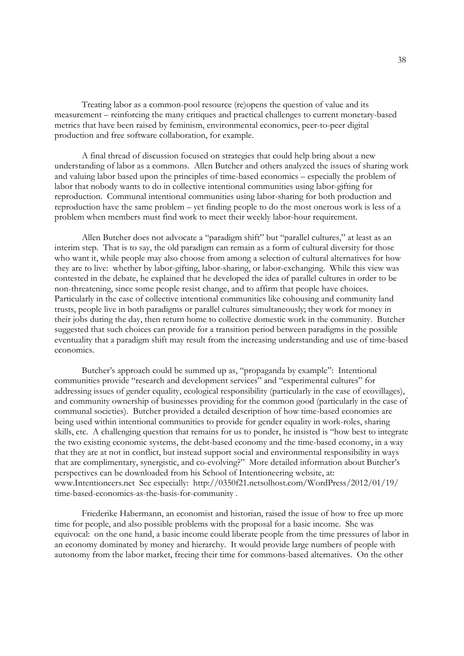Treating labor as a common-pool resource (re)opens the question of value and its measurement – reinforcing the many critiques and practical challenges to current monetary-based metrics that have been raised by feminism, environmental economics, peer-to-peer digital production and free software collaboration, for example.

 A final thread of discussion focused on strategies that could help bring about a new understanding of labor as a commons. Allen Butcher and others analyzed the issues of sharing work and valuing labor based upon the principles of time-based economics – especially the problem of labor that nobody wants to do in collective intentional communities using labor-gifting for reproduction. Communal intentional communities using labor-sharing for both production and reproduction have the same problem – yet finding people to do the most onerous work is less of a problem when members must find work to meet their weekly labor-hour requirement.

 Allen Butcher does not advocate a "paradigm shift" but "parallel cultures," at least as an interim step. That is to say, the old paradigm can remain as a form of cultural diversity for those who want it, while people may also choose from among a selection of cultural alternatives for how they are to live: whether by labor-gifting, labor-sharing, or labor-exchanging. While this view was contested in the debate, he explained that he developed the idea of parallel cultures in order to be non-threatening, since some people resist change, and to affirm that people have choices. Particularly in the case of collective intentional communities like cohousing and community land trusts, people live in both paradigms or parallel cultures simultaneously; they work for money in their jobs during the day, then return home to collective domestic work in the community. Butcher suggested that such choices can provide for a transition period between paradigms in the possible eventuality that a paradigm shift may result from the increasing understanding and use of time-based economics.

 Butcher's approach could be summed up as, "propaganda by example": Intentional communities provide "research and development services" and "experimental cultures" for addressing issues of gender equality, ecological responsibility (particularly in the case of ecovillages), and community ownership of businesses providing for the common good (particularly in the case of communal societies). Butcher provided a detailed description of how time-based economies are being used within intentional communities to provide for gender equality in work-roles, sharing skills, etc. A challenging question that remains for us to ponder, he insisted is "how best to integrate the two existing economic systems, the debt-based economy and the time-based economy, in a way that they are at not in conflict, but instead support social and environmental responsibility in ways that are complimentary, synergistic, and co-evolving?" More detailed information about Butcher's perspectives can be downloaded from his School of Intentioneering website, at: www.Intentioneers.net See especially: http://0350f21.netsolhost.com/WordPress/2012/01/19/ time-based-economics-as-the-basis-for-community .

 Friederike Habermann, an economist and historian, raised the issue of how to free up more time for people, and also possible problems with the proposal for a basic income. She was equivocal: on the one hand, a basic income could liberate people from the time pressures of labor in an economy dominated by money and hierarchy. It would provide large numbers of people with autonomy from the labor market, freeing their time for commons-based alternatives. On the other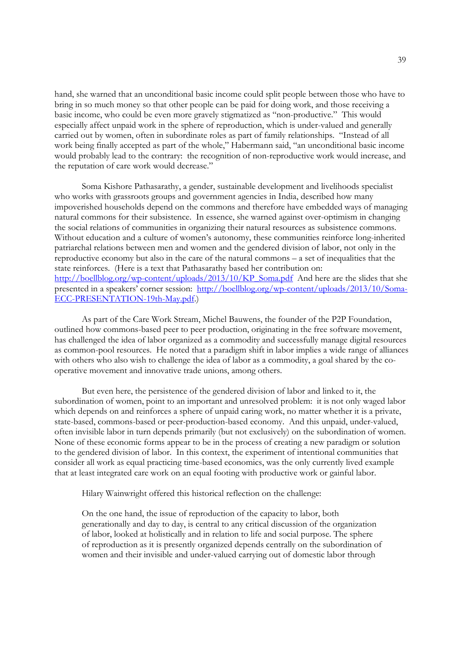hand, she warned that an unconditional basic income could split people between those who have to bring in so much money so that other people can be paid for doing work, and those receiving a basic income, who could be even more gravely stigmatized as "non-productive." This would especially affect unpaid work in the sphere of reproduction, which is under-valued and generally carried out by women, often in subordinate roles as part of family relationships. "Instead of all work being finally accepted as part of the whole," Habermann said, "an unconditional basic income would probably lead to the contrary: the recognition of non-reproductive work would increase, and the reputation of care work would decrease."

 Soma Kishore Pathasarathy, a gender, sustainable development and livelihoods specialist who works with grassroots groups and government agencies in India, described how many impoverished households depend on the commons and therefore have embedded ways of managing natural commons for their subsistence. In essence, she warned against over-optimism in changing the social relations of communities in organizing their natural resources as subsistence commons. Without education and a culture of women's autonomy, these communities reinforce long-inherited patriarchal relations between men and women and the gendered division of labor, not only in the reproductive economy but also in the care of the natural commons – a set of inequalities that the state reinforces. (Here is a text that Pathasarathy based her contribution on: http://boellblog.org/wp-content/uploads/2013/10/KP\_Soma.pdf And here are the slides that she presented in a speakers' corner session: http://boellblog.org/wp-content/uploads/2013/10/Soma-ECC-PRESENTATION-19th-May.pdf.)

 As part of the Care Work Stream, Michel Bauwens, the founder of the P2P Foundation, outlined how commons-based peer to peer production, originating in the free software movement, has challenged the idea of labor organized as a commodity and successfully manage digital resources as common-pool resources. He noted that a paradigm shift in labor implies a wide range of alliances with others who also wish to challenge the idea of labor as a commodity, a goal shared by the cooperative movement and innovative trade unions, among others.

 But even here, the persistence of the gendered division of labor and linked to it, the subordination of women, point to an important and unresolved problem: it is not only waged labor which depends on and reinforces a sphere of unpaid caring work, no matter whether it is a private, state-based, commons-based or peer-production-based economy. And this unpaid, under-valued, often invisible labor in turn depends primarily (but not exclusively) on the subordination of women. None of these economic forms appear to be in the process of creating a new paradigm or solution to the gendered division of labor. In this context, the experiment of intentional communities that consider all work as equal practicing time-based economics, was the only currently lived example that at least integrated care work on an equal footing with productive work or gainful labor.

Hilary Wainwright offered this historical reflection on the challenge:

On the one hand, the issue of reproduction of the capacity to labor, both generationally and day to day, is central to any critical discussion of the organization of labor, looked at holistically and in relation to life and social purpose. The sphere of reproduction as it is presently organized depends centrally on the subordination of women and their invisible and under-valued carrying out of domestic labor through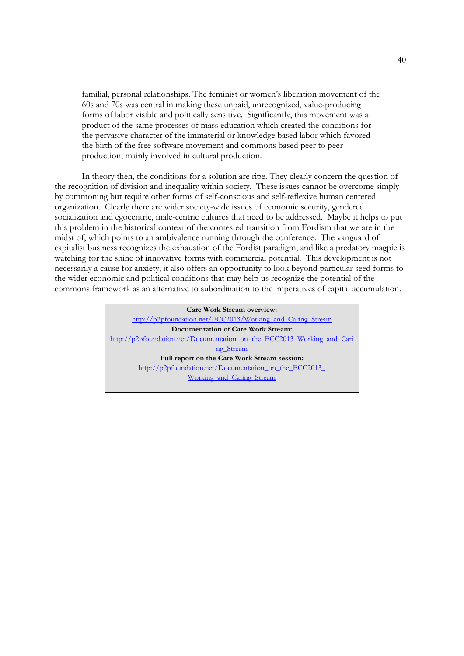familial, personal relationships. The feminist or women's liberation movement of the 60s and 70s was central in making these unpaid, unrecognized, value-producing forms of labor visible and politically sensitive. Significantly, this movement was a product of the same processes of mass education which created the conditions for the pervasive character of the immaterial or knowledge based labor which favored the birth of the free software movement and commons based peer to peer production, mainly involved in cultural production.

 In theory then, the conditions for a solution are ripe. They clearly concern the question of the recognition of division and inequality within society. These issues cannot be overcome simply by commoning but require other forms of self-conscious and self-reflexive human centered organization. Clearly there are wider society-wide issues of economic security, gendered socialization and egocentric, male-centric cultures that need to be addressed. Maybe it helps to put this problem in the historical context of the contested transition from Fordism that we are in the midst of, which points to an ambivalence running through the conference. The vanguard of capitalist business recognizes the exhaustion of the Fordist paradigm, and like a predatory magpie is watching for the shine of innovative forms with commercial potential. This development is not necessarily a cause for anxiety; it also offers an opportunity to look beyond particular seed forms to the wider economic and political conditions that may help us recognize the potential of the commons framework as an alternative to subordination to the imperatives of capital accumulation.

> **Care Work Stream overview:** http://p2pfoundation.net/ECC2013/Working\_and\_Caring\_Stream **Documentation of Care Work Stream:** http://p2pfoundation.net/Documentation\_on\_the\_ECC2013\_Working\_and\_Cari ng\_Stream **Full report on the Care Work Stream session:**  http://p2pfoundation.net/Documentation\_on\_the\_ECC2013 Working\_and\_Caring\_Stream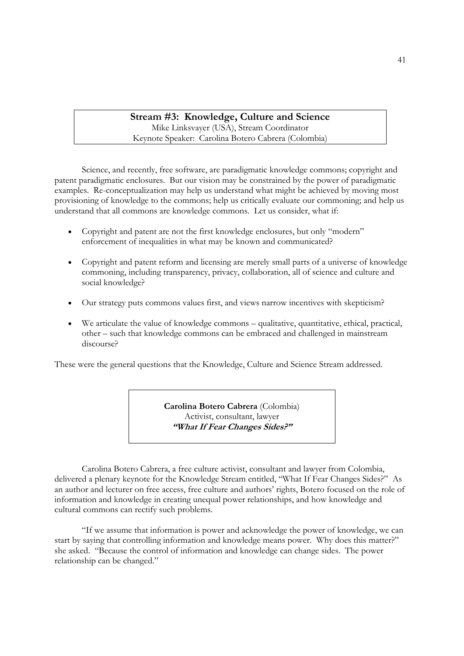# **Stream #3: Knowledge, Culture and Science**

Mike Linksvayer (USA), Stream Coordinator Keynote Speaker: Carolina Botero Cabrera (Colombia)

 Science, and recently, free software, are paradigmatic knowledge commons; copyright and patent paradigmatic enclosures. But our vision may be constrained by the power of paradigmatic examples. Re-conceptualization may help us understand what might be achieved by moving most provisioning of knowledge to the commons; help us critically evaluate our commoning; and help us understand that all commons are knowledge commons. Let us consider, what if:

- Copyright and patent are not the first knowledge enclosures, but only "modern" enforcement of inequalities in what may be known and communicated?
- Copyright and patent reform and licensing are merely small parts of a universe of knowledge commoning, including transparency, privacy, collaboration, all of science and culture and social knowledge?
- Our strategy puts commons values first, and views narrow incentives with skepticism?
- We articulate the value of knowledge commons qualitative, quantitative, ethical, practical, other – such that knowledge commons can be embraced and challenged in mainstream discourse?

These were the general questions that the Knowledge, Culture and Science Stream addressed.

**Carolina Botero Cabrera** (Colombia) Activist, consultant, lawyer **"What If Fear Changes Sides?"** 

 Carolina Botero Cabrera, a free culture activist, consultant and lawyer from Colombia, delivered a plenary keynote for the Knowledge Stream entitled, "What If Fear Changes Sides?" As an author and lecturer on free access, free culture and authors' rights, Botero focused on the role of information and knowledge in creating unequal power relationships, and how knowledge and cultural commons can rectify such problems.

 "If we assume that information is power and acknowledge the power of knowledge, we can start by saying that controlling information and knowledge means power. Why does this matter?" she asked. "Because the control of information and knowledge can change sides. The power relationship can be changed."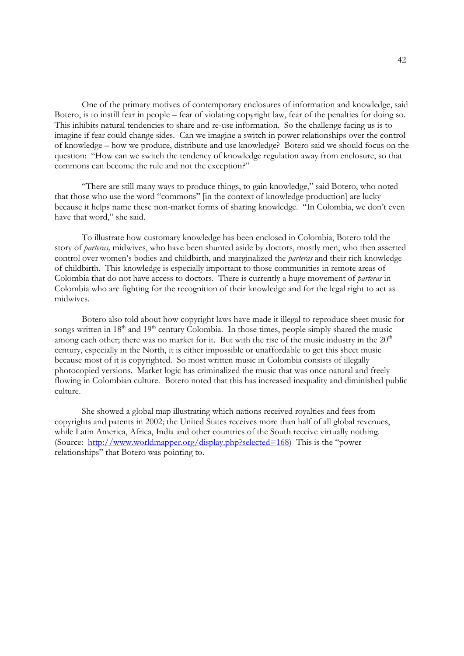One of the primary motives of contemporary enclosures of information and knowledge, said Botero, is to instill fear in people – fear of violating copyright law, fear of the penalties for doing so. This inhibits natural tendencies to share and re-use information. So the challenge facing us is to imagine if fear could change sides. Can we imagine a switch in power relationships over the control of knowledge – how we produce, distribute and use knowledge? Botero said we should focus on the question: "How can we switch the tendency of knowledge regulation away from enclosure, so that commons can become the rule and not the exception?"

 "There are still many ways to produce things, to gain knowledge," said Botero, who noted that those who use the word "commons" [in the context of knowledge production] are lucky because it helps name these non-market forms of sharing knowledge. "In Colombia, we don't even have that word," she said.

 To illustrate how customary knowledge has been enclosed in Colombia, Botero told the story of *parteras,* midwives, who have been shunted aside by doctors, mostly men, who then asserted control over women's bodies and childbirth, and marginalized the *parteras* and their rich knowledge of childbirth. This knowledge is especially important to those communities in remote areas of Colombia that do not have access to doctors. There is currently a huge movement of *parteras* in Colombia who are fighting for the recognition of their knowledge and for the legal right to act as midwives.

 Botero also told about how copyright laws have made it illegal to reproduce sheet music for songs written in  $18<sup>th</sup>$  and  $19<sup>th</sup>$  century Colombia. In those times, people simply shared the music among each other; there was no market for it. But with the rise of the music industry in the 20<sup>th</sup> century, especially in the North, it is either impossible or unaffordable to get this sheet music because most of it is copyrighted. So most written music in Colombia consists of illegally photocopied versions. Market logic has criminalized the music that was once natural and freely flowing in Colombian culture. Botero noted that this has increased inequality and diminished public culture.

 She showed a global map illustrating which nations received royalties and fees from copyrights and patents in 2002; the United States receives more than half of all global revenues, while Latin America, Africa, India and other countries of the South receive virtually nothing. (Source: http://www.worldmapper.org/display.php?selected=168) This is the "power relationships" that Botero was pointing to.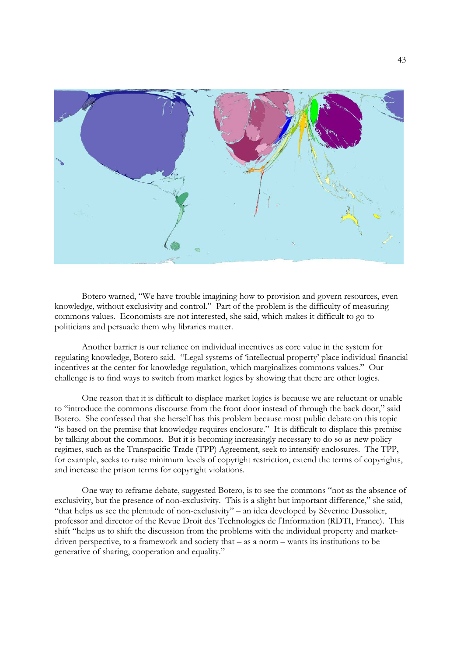

 Botero warned, "We have trouble imagining how to provision and govern resources, even knowledge, without exclusivity and control." Part of the problem is the difficulty of measuring commons values. Economists are not interested, she said, which makes it difficult to go to politicians and persuade them why libraries matter.

 Another barrier is our reliance on individual incentives as core value in the system for regulating knowledge, Botero said. "Legal systems of 'intellectual property' place individual financial incentives at the center for knowledge regulation, which marginalizes commons values." Our challenge is to find ways to switch from market logics by showing that there are other logics.

 One reason that it is difficult to displace market logics is because we are reluctant or unable to "introduce the commons discourse from the front door instead of through the back door," said Botero. She confessed that she herself has this problem because most public debate on this topic "is based on the premise that knowledge requires enclosure." It is difficult to displace this premise by talking about the commons. But it is becoming increasingly necessary to do so as new policy regimes, such as the Transpacific Trade (TPP) Agreement, seek to intensify enclosures. The TPP, for example, seeks to raise minimum levels of copyright restriction, extend the terms of copyrights, and increase the prison terms for copyright violations.

 One way to reframe debate, suggested Botero, is to see the commons "not as the absence of exclusivity, but the presence of non-exclusivity. This is a slight but important difference," she said, "that helps us see the plenitude of non-exclusivity" – an idea developed by Séverine Dussolier, professor and director of the Revue Droit des Technologies de l'Information (RDTI, France). This shift "helps us to shift the discussion from the problems with the individual property and marketdriven perspective, to a framework and society that – as a norm – wants its institutions to be generative of sharing, cooperation and equality."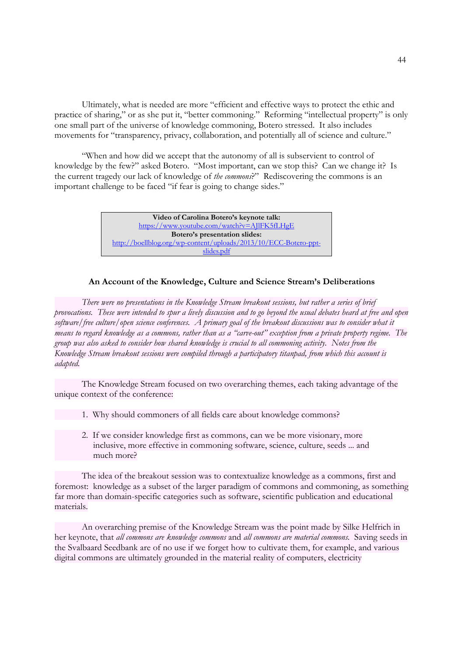Ultimately, what is needed are more "efficient and effective ways to protect the ethic and practice of sharing," or as she put it, "better commoning." Reforming "intellectual property" is only one small part of the universe of knowledge commoning, Botero stressed. It also includes movements for "transparency, privacy, collaboration, and potentially all of science and culture."

 "When and how did we accept that the autonomy of all is subservient to control of knowledge by the few?" asked Botero. "Most important, can we stop this? Can we change it? Is the current tragedy our lack of knowledge of *the commons*?" Rediscovering the commons is an important challenge to be faced "if fear is going to change sides."

> **Video of Carolina Botero's keynote talk:** https://www.youtube.com/watch?v=AJlFK5fLHgE **Botero's presentation slides:**  http://boellblog.org/wp-content/uploads/2013/10/ECC-Botero-pptslides.pdf

#### **An Account of the Knowledge, Culture and Science Stream's Deliberations**

 *There were no presentations in the Knowledge Stream breakout sessions, but rather a series of brief provocations. These were intended to spur a lively discussion and to go beyond the usual debates heard at free and open software/free culture/open science conferences. A primary goal of the breakout discussions was to consider what it means to regard knowledge as a commons, rather than as a "carve-out" exception from a private property regime. The group was also asked to consider how shared knowledge is crucial to all commoning activity. Notes from the Knowledge Stream breakout sessions were compiled through a participatory titanpad, from which this account is adapted.* 

 The Knowledge Stream focused on two overarching themes, each taking advantage of the unique context of the conference:

- 1. Why should commoners of all fields care about knowledge commons?
- 2. If we consider knowledge first as commons, can we be more visionary, more inclusive, more effective in commoning software, science, culture, seeds ... and much more?

 The idea of the breakout session was to contextualize knowledge as a commons, first and foremost: knowledge as a subset of the larger paradigm of commons and commoning, as something far more than domain-specific categories such as software, scientific publication and educational materials.

 An overarching premise of the Knowledge Stream was the point made by Silke Helfrich in her keynote, that *all commons are knowledge commons* and *all commons are material commons.* Saving seeds in the Svalbaard Seedbank are of no use if we forget how to cultivate them, for example, and various digital commons are ultimately grounded in the material reality of computers, electricity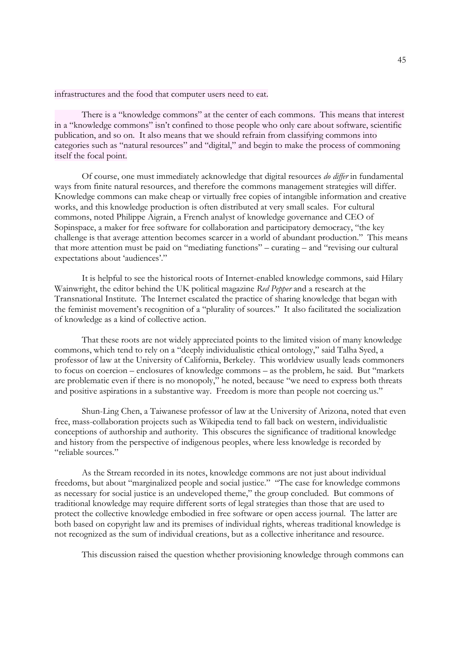infrastructures and the food that computer users need to eat.

 There is a "knowledge commons" at the center of each commons. This means that interest in a "knowledge commons" isn't confined to those people who only care about software, scientific publication, and so on. It also means that we should refrain from classifying commons into categories such as "natural resources" and "digital," and begin to make the process of commoning itself the focal point.

 Of course, one must immediately acknowledge that digital resources *do differ* in fundamental ways from finite natural resources, and therefore the commons management strategies will differ. Knowledge commons can make cheap or virtually free copies of intangible information and creative works, and this knowledge production is often distributed at very small scales. For cultural commons, noted Philippe Aigrain, a French analyst of knowledge governance and CEO of Sopinspace, a maker for free software for collaboration and participatory democracy, "the key challenge is that average attention becomes scarcer in a world of abundant production." This means that more attention must be paid on "mediating functions" – curating – and "revising our cultural expectations about 'audiences'."

 It is helpful to see the historical roots of Internet-enabled knowledge commons, said Hilary Wainwright, the editor behind the UK political magazine *Red Pepper* and a research at the Transnational Institute. The Internet escalated the practice of sharing knowledge that began with the feminist movement's recognition of a "plurality of sources." It also facilitated the socialization of knowledge as a kind of collective action.

 That these roots are not widely appreciated points to the limited vision of many knowledge commons, which tend to rely on a "deeply individualistic ethical ontology," said Talha Syed, a professor of law at the University of California, Berkeley. This worldview usually leads commoners to focus on coercion – enclosures of knowledge commons – as the problem, he said. But "markets are problematic even if there is no monopoly," he noted, because "we need to express both threats and positive aspirations in a substantive way. Freedom is more than people not coercing us."

 Shun-Ling Chen, a Taiwanese professor of law at the University of Arizona, noted that even free, mass-collaboration projects such as Wikipedia tend to fall back on western, individualistic conceptions of authorship and authority. This obscures the significance of traditional knowledge and history from the perspective of indigenous peoples, where less knowledge is recorded by "reliable sources."

 As the Stream recorded in its notes, knowledge commons are not just about individual freedoms, but about "marginalized people and social justice." "The case for knowledge commons as necessary for social justice is an undeveloped theme," the group concluded. But commons of traditional knowledge may require different sorts of legal strategies than those that are used to protect the collective knowledge embodied in free software or open access journal. The latter are both based on copyright law and its premises of individual rights, whereas traditional knowledge is not recognized as the sum of individual creations, but as a collective inheritance and resource.

This discussion raised the question whether provisioning knowledge through commons can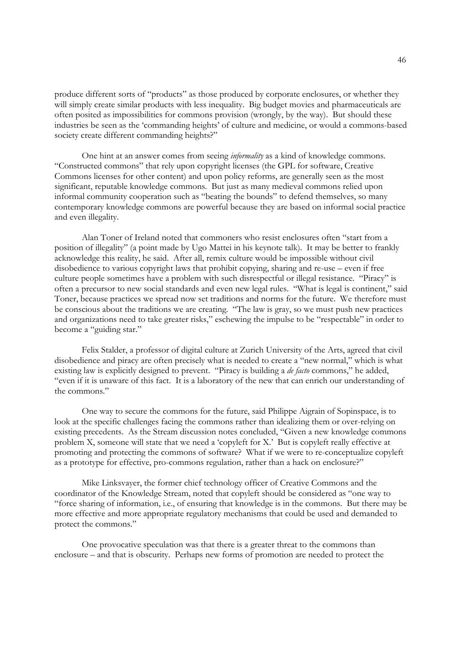produce different sorts of "products" as those produced by corporate enclosures, or whether they will simply create similar products with less inequality. Big budget movies and pharmaceuticals are often posited as impossibilities for commons provision (wrongly, by the way). But should these industries be seen as the 'commanding heights' of culture and medicine, or would a commons-based society create different commanding heights?"

 One hint at an answer comes from seeing *informality* as a kind of knowledge commons. "Constructed commons" that rely upon copyright licenses (the GPL for software, Creative Commons licenses for other content) and upon policy reforms, are generally seen as the most significant, reputable knowledge commons. But just as many medieval commons relied upon informal community cooperation such as "beating the bounds" to defend themselves, so many contemporary knowledge commons are powerful because they are based on informal social practice and even illegality.

 Alan Toner of Ireland noted that commoners who resist enclosures often "start from a position of illegality" (a point made by Ugo Mattei in his keynote talk). It may be better to frankly acknowledge this reality, he said. After all, remix culture would be impossible without civil disobedience to various copyright laws that prohibit copying, sharing and re-use – even if free culture people sometimes have a problem with such disrespectful or illegal resistance. "Piracy" is often a precursor to new social standards and even new legal rules. "What is legal is continent," said Toner, because practices we spread now set traditions and norms for the future. We therefore must be conscious about the traditions we are creating. "The law is gray, so we must push new practices and organizations need to take greater risks," eschewing the impulse to be "respectable" in order to become a "guiding star."

 Felix Stalder, a professor of digital culture at Zurich University of the Arts, agreed that civil disobedience and piracy are often precisely what is needed to create a "new normal," which is what existing law is explicitly designed to prevent. "Piracy is building a *de facto* commons," he added, "even if it is unaware of this fact. It is a laboratory of the new that can enrich our understanding of the commons."

 One way to secure the commons for the future, said Philippe Aigrain of Sopinspace, is to look at the specific challenges facing the commons rather than idealizing them or over-relying on existing precedents. As the Stream discussion notes concluded, "Given a new knowledge commons problem X, someone will state that we need a 'copyleft for X.' But is copyleft really effective at promoting and protecting the commons of software? What if we were to re-conceptualize copyleft as a prototype for effective, pro-commons regulation, rather than a hack on enclosure?"

 Mike Linksvayer, the former chief technology officer of Creative Commons and the coordinator of the Knowledge Stream, noted that copyleft should be considered as "one way to "force sharing of information, i.e., of ensuring that knowledge is in the commons. But there may be more effective and more appropriate regulatory mechanisms that could be used and demanded to protect the commons."

 One provocative speculation was that there is a greater threat to the commons than enclosure – and that is obscurity. Perhaps new forms of promotion are needed to protect the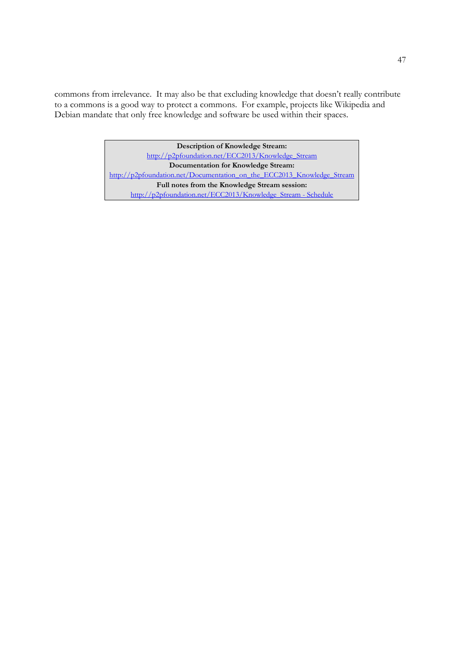commons from irrelevance. It may also be that excluding knowledge that doesn't really contribute to a commons is a good way to protect a commons. For example, projects like Wikipedia and Debian mandate that only free knowledge and software be used within their spaces.

> **Description of Knowledge Stream:** http://p2pfoundation.net/ECC2013/Knowledge\_Stream **Documentation for Knowledge Stream:** http://p2pfoundation.net/Documentation\_on\_the\_ECC2013\_Knowledge\_Stream **Full notes from the Knowledge Stream session:** http://p2pfoundation.net/ECC2013/Knowledge\_Stream - Schedule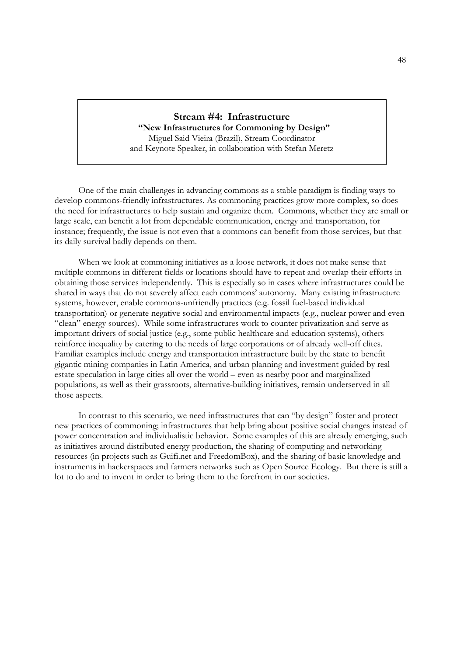## **Stream #4: Infrastructure**

 **"New Infrastructures for Commoning by Design"** Miguel Said Vieira (Brazil), Stream Coordinator and Keynote Speaker, in collaboration with Stefan Meretz

 One of the main challenges in advancing commons as a stable paradigm is finding ways to develop commons-friendly infrastructures. As commoning practices grow more complex, so does the need for infrastructures to help sustain and organize them. Commons, whether they are small or large scale, can benefit a lot from dependable communication, energy and transportation, for instance; frequently, the issue is not even that a commons can benefit from those services, but that its daily survival badly depends on them.

 When we look at commoning initiatives as a loose network, it does not make sense that multiple commons in different fields or locations should have to repeat and overlap their efforts in obtaining those services independently. This is especially so in cases where infrastructures could be shared in ways that do not severely affect each commons' autonomy. Many existing infrastructure systems, however, enable commons-unfriendly practices (e.g. fossil fuel-based individual transportation) or generate negative social and environmental impacts (e.g., nuclear power and even "clean" energy sources). While some infrastructures work to counter privatization and serve as important drivers of social justice (e.g., some public healthcare and education systems), others reinforce inequality by catering to the needs of large corporations or of already well-off elites. Familiar examples include energy and transportation infrastructure built by the state to benefit gigantic mining companies in Latin America, and urban planning and investment guided by real estate speculation in large cities all over the world – even as nearby poor and marginalized populations, as well as their grassroots, alternative-building initiatives, remain underserved in all those aspects.

 In contrast to this scenario, we need infrastructures that can "by design" foster and protect new practices of commoning; infrastructures that help bring about positive social changes instead of power concentration and individualistic behavior. Some examples of this are already emerging, such as initiatives around distributed energy production, the sharing of computing and networking resources (in projects such as Guifi.net and FreedomBox), and the sharing of basic knowledge and instruments in hackerspaces and farmers networks such as Open Source Ecology. But there is still a lot to do and to invent in order to bring them to the forefront in our societies.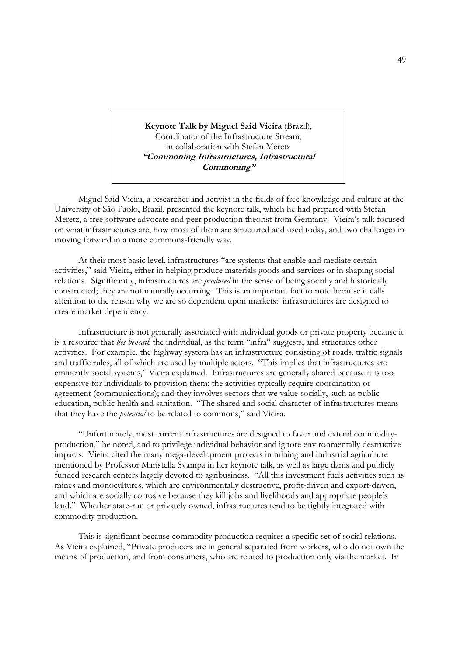**Keynote Talk by Miguel Said Vieira** (Brazil), Coordinator of the Infrastructure Stream, in collaboration with Stefan Meretz **"Commoning Infrastructures, Infrastructural Commoning"** 

Miguel Said Vieira, a researcher and activist in the fields of free knowledge and culture at the University of São Paolo, Brazil, presented the keynote talk, which he had prepared with Stefan Meretz, a free software advocate and peer production theorist from Germany. Vieira's talk focused on what infrastructures are, how most of them are structured and used today, and two challenges in moving forward in a more commons-friendly way.

 At their most basic level, infrastructures "are systems that enable and mediate certain activities," said Vieira, either in helping produce materials goods and services or in shaping social relations. Significantly, infrastructures are *produced* in the sense of being socially and historically constructed; they are not naturally occurring. This is an important fact to note because it calls attention to the reason why we are so dependent upon markets: infrastructures are designed to create market dependency.

 Infrastructure is not generally associated with individual goods or private property because it is a resource that *lies beneath* the individual, as the term "infra" suggests, and structures other activities. For example, the highway system has an infrastructure consisting of roads, traffic signals and traffic rules, all of which are used by multiple actors. "This implies that infrastructures are eminently social systems," Vieira explained. Infrastructures are generally shared because it is too expensive for individuals to provision them; the activities typically require coordination or agreement (communications); and they involves sectors that we value socially, such as public education, public health and sanitation. "The shared and social character of infrastructures means that they have the *potential* to be related to commons," said Vieira.

 "Unfortunately, most current infrastructures are designed to favor and extend commodityproduction," he noted, and to privilege individual behavior and ignore environmentally destructive impacts. Vieira cited the many mega-development projects in mining and industrial agriculture mentioned by Professor Maristella Svampa in her keynote talk, as well as large dams and publicly funded research centers largely devoted to agribusiness. "All this investment fuels activities such as mines and monocultures, which are environmentally destructive, profit-driven and export-driven, and which are socially corrosive because they kill jobs and livelihoods and appropriate people's land." Whether state-run or privately owned, infrastructures tend to be tightly integrated with commodity production.

 This is significant because commodity production requires a specific set of social relations. As Vieira explained, "Private producers are in general separated from workers, who do not own the means of production, and from consumers, who are related to production only via the market. In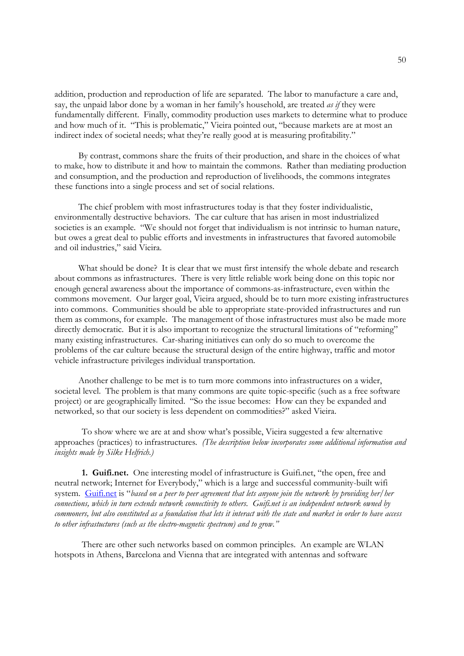addition, production and reproduction of life are separated. The labor to manufacture a care and, say, the unpaid labor done by a woman in her family's household, are treated *as if* they were fundamentally different. Finally, commodity production uses markets to determine what to produce and how much of it. "This is problematic," Vieira pointed out, "because markets are at most an indirect index of societal needs; what they're really good at is measuring profitability."

 By contrast, commons share the fruits of their production, and share in the choices of what to make, how to distribute it and how to maintain the commons. Rather than mediating production and consumption, and the production and reproduction of livelihoods, the commons integrates these functions into a single process and set of social relations.

 The chief problem with most infrastructures today is that they foster individualistic, environmentally destructive behaviors. The car culture that has arisen in most industrialized societies is an example. "We should not forget that individualism is not intrinsic to human nature, but owes a great deal to public efforts and investments in infrastructures that favored automobile and oil industries," said Vieira.

 What should be done? It is clear that we must first intensify the whole debate and research about commons as infrastructures. There is very little reliable work being done on this topic nor enough general awareness about the importance of commons-as-infrastructure, even within the commons movement. Our larger goal, Vieira argued, should be to turn more existing infrastructures into commons. Communities should be able to appropriate state-provided infrastructures and run them as commons, for example. The management of those infrastructures must also be made more directly democratic. But it is also important to recognize the structural limitations of "reforming" many existing infrastructures. Car-sharing initiatives can only do so much to overcome the problems of the car culture because the structural design of the entire highway, traffic and motor vehicle infrastructure privileges individual transportation.

 Another challenge to be met is to turn more commons into infrastructures on a wider, societal level. The problem is that many commons are quite topic-specific (such as a free software project) or are geographically limited. "So the issue becomes: How can they be expanded and networked, so that our society is less dependent on commodities?" asked Vieira.

To show where we are at and show what's possible, Vieira suggested a few alternative approaches (practices) to infrastructures*. (The description below incorporates some additional information and insights made by Silke Helfrich.)*

**1. Guifi.net.** One interesting model of infrastructure is Guifi.net, "the open, free and neutral network; Internet for Everybody," which is a large and successful community-built wifi system. Guifi.net is "*based on a peer to peer agreement that lets anyone join the network by providing her/her connections, which in turn extends network connectivity to others. Guifi.net is an independent network owned by commoners, but also constituted as a foundation that lets it interact with the state and market in order to have access to other infrastuctures (such as the electro-magnetic spectrum) and to grow."*

There are other such networks based on common principles. An example are WLAN hotspots in Athens, Barcelona and Vienna that are integrated with antennas and software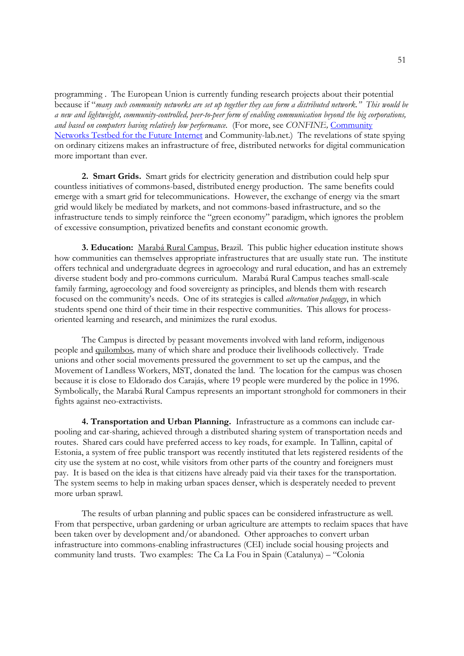programming . The European Union is currently funding research projects about their potential because if "*many such community networks are set up together they can form a distributed network." This would be a new and lightweight, community-controlled, peer-to-peer form of enabling communication beyond the big corporations, and based on computers having relatively low performance.* (For more, see *CONFINE,* Community Networks Testbed for the Future Internet and Community-lab.net.) The revelations of state spying on ordinary citizens makes an infrastructure of free, distributed networks for digital communication more important than ever.

**2. Smart Grids.** Smart grids for electricity generation and distribution could help spur countless initiatives of commons-based, distributed energy production. The same benefits could emerge with a smart grid for telecommunications. However, the exchange of energy via the smart grid would likely be mediated by markets, and not commons-based infrastructure, and so the infrastructure tends to simply reinforce the "green economy" paradigm, which ignores the problem of excessive consumption, privatized benefits and constant economic growth.

**3. Education:** Marabá Rural Campus, Brazil. This public higher education institute shows how communities can themselves appropriate infrastructures that are usually state run. The institute offers technical and undergraduate degrees in agroecology and rural education, and has an extremely diverse student body and pro-commons curriculum. Marabá Rural Campus teaches small-scale family farming, agroecology and food sovereignty as principles, and blends them with research focused on the community's needs. One of its strategies is called *alternation pedagogy*, in which students spend one third of their time in their respective communities. This allows for processoriented learning and research, and minimizes the rural exodus.

 The Campus is directed by peasant movements involved with land reform, indigenous people and quilombos*,* many of which share and produce their livelihoods collectively. Trade unions and other social movements pressured the government to set up the campus, and the Movement of Landless Workers, MST, donated the land. The location for the campus was chosen because it is close to Eldorado dos Carajás, where 19 people were murdered by the police in 1996. Symbolically, the Marabá Rural Campus represents an important stronghold for commoners in their fights against neo-extractivists.

 **4. Transportation and Urban Planning.** Infrastructure as a commons can include carpooling and car-sharing, achieved through a distributed sharing system of transportation needs and routes. Shared cars could have preferred access to key roads, for example. In Tallinn, capital of Estonia, a system of free public transport was recently instituted that lets registered residents of the city use the system at no cost, while visitors from other parts of the country and foreigners must pay. It is based on the idea is that citizens have already paid via their taxes for the transportation. The system seems to help in making urban spaces denser, which is desperately needed to prevent more urban sprawl.

The results of urban planning and public spaces can be considered infrastructure as well. From that perspective, urban gardening or urban agriculture are attempts to reclaim spaces that have been taken over by development and/or abandoned. Other approaches to convert urban infrastructure into commons-enabling infrastructures (CEI) include social housing projects and community land trusts. Two examples: The Ca La Fou in Spain (Catalunya) – "Colonia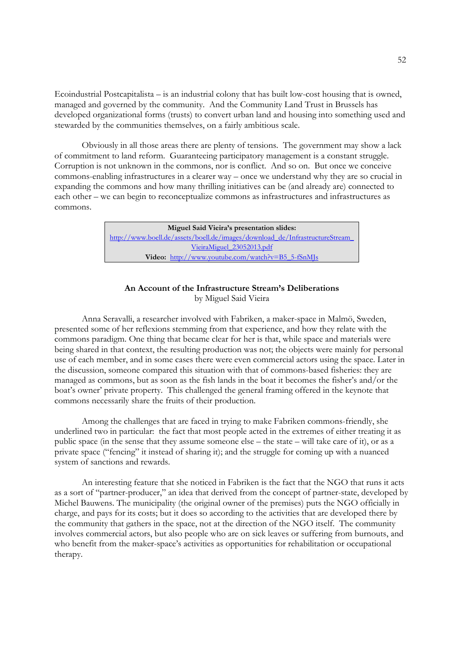Ecoindustrial Postcapitalista – is an industrial colony that has built low-cost housing that is owned, managed and governed by the community. And the Community Land Trust in Brussels has developed organizational forms (trusts) to convert urban land and housing into something used and stewarded by the communities themselves, on a fairly ambitious scale.

Obviously in all those areas there are plenty of tensions*.* The government may show a lack of commitment to land reform. Guaranteeing participatory management is a constant struggle. Corruption is not unknown in the commons, nor is conflict. And so on. But once we conceive commons-enabling infrastructures in a clearer way – once we understand why they are so crucial in expanding the commons and how many thrilling initiatives can be (and already are) connected to each other – we can begin to reconceptualize commons as infrastructures and infrastructures as commons.

> **Miguel Said Vieira's presentation slides:**  http://www.boell.de/assets/boell.de/images/download\_de/InfrastructureStream\_ VieiraMiguel\_23052013.pdf **Video:** http://www.youtube.com/watch?v=B5\_5-fSnMJs

## **An Account of the Infrastructure Stream's Deliberations** by Miguel Said Vieira

 Anna Seravalli, a researcher involved with Fabriken, a maker-space in Malmö, Sweden, presented some of her reflexions stemming from that experience, and how they relate with the commons paradigm. One thing that became clear for her is that, while space and materials were being shared in that context, the resulting production was not; the objects were mainly for personal use of each member, and in some cases there were even commercial actors using the space. Later in the discussion, someone compared this situation with that of commons-based fisheries: they are managed as commons, but as soon as the fish lands in the boat it becomes the fisher's and/or the boat's owner' private property. This challenged the general framing offered in the keynote that commons necessarily share the fruits of their production.

 Among the challenges that are faced in trying to make Fabriken commons-friendly, she underlined two in particular: the fact that most people acted in the extremes of either treating it as public space (in the sense that they assume someone else – the state – will take care of it), or as a private space ("fencing" it instead of sharing it); and the struggle for coming up with a nuanced system of sanctions and rewards.

 An interesting feature that she noticed in Fabriken is the fact that the NGO that runs it acts as a sort of "partner-producer," an idea that derived from the concept of partner-state, developed by Michel Bauwens. The municipality (the original owner of the premises) puts the NGO officially in charge, and pays for its costs; but it does so according to the activities that are developed there by the community that gathers in the space, not at the direction of the NGO itself. The community involves commercial actors, but also people who are on sick leaves or suffering from burnouts, and who benefit from the maker-space's activities as opportunities for rehabilitation or occupational therapy.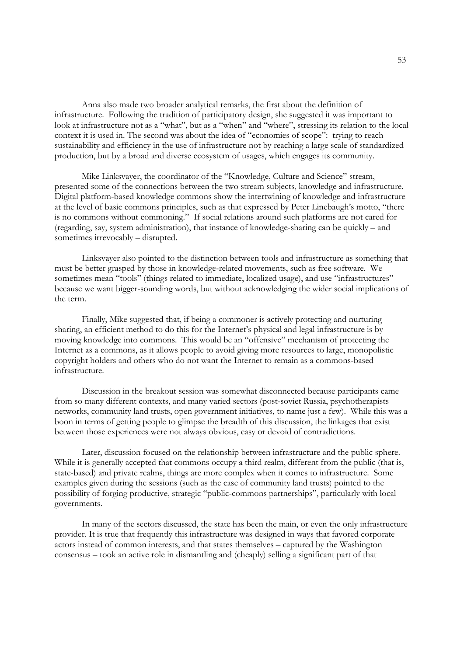Anna also made two broader analytical remarks, the first about the definition of infrastructure. Following the tradition of participatory design, she suggested it was important to look at infrastructure not as a "what", but as a "when" and "where", stressing its relation to the local context it is used in. The second was about the idea of "economies of scope": trying to reach sustainability and efficiency in the use of infrastructure not by reaching a large scale of standardized production, but by a broad and diverse ecosystem of usages, which engages its community.

 Mike Linksvayer, the coordinator of the "Knowledge, Culture and Science" stream, presented some of the connections between the two stream subjects, knowledge and infrastructure. Digital platform-based knowledge commons show the intertwining of knowledge and infrastructure at the level of basic commons principles, such as that expressed by Peter Linebaugh's motto, "there is no commons without commoning." If social relations around such platforms are not cared for (regarding, say, system administration), that instance of knowledge-sharing can be quickly – and sometimes irrevocably – disrupted.

 Linksvayer also pointed to the distinction between tools and infrastructure as something that must be better grasped by those in knowledge-related movements, such as free software. We sometimes mean "tools" (things related to immediate, localized usage), and use "infrastructures" because we want bigger-sounding words, but without acknowledging the wider social implications of the term.

 Finally, Mike suggested that, if being a commoner is actively protecting and nurturing sharing, an efficient method to do this for the Internet's physical and legal infrastructure is by moving knowledge into commons. This would be an "offensive" mechanism of protecting the Internet as a commons, as it allows people to avoid giving more resources to large, monopolistic copyright holders and others who do not want the Internet to remain as a commons-based infrastructure.

 Discussion in the breakout session was somewhat disconnected because participants came from so many different contexts, and many varied sectors (post-soviet Russia, psychotherapists networks, community land trusts, open government initiatives, to name just a few). While this was a boon in terms of getting people to glimpse the breadth of this discussion, the linkages that exist between those experiences were not always obvious, easy or devoid of contradictions.

 Later, discussion focused on the relationship between infrastructure and the public sphere. While it is generally accepted that commons occupy a third realm, different from the public (that is, state-based) and private realms, things are more complex when it comes to infrastructure. Some examples given during the sessions (such as the case of community land trusts) pointed to the possibility of forging productive, strategic "public-commons partnerships", particularly with local governments.

 In many of the sectors discussed, the state has been the main, or even the only infrastructure provider. It is true that frequently this infrastructure was designed in ways that favored corporate actors instead of common interests, and that states themselves – captured by the Washington consensus – took an active role in dismantling and (cheaply) selling a significant part of that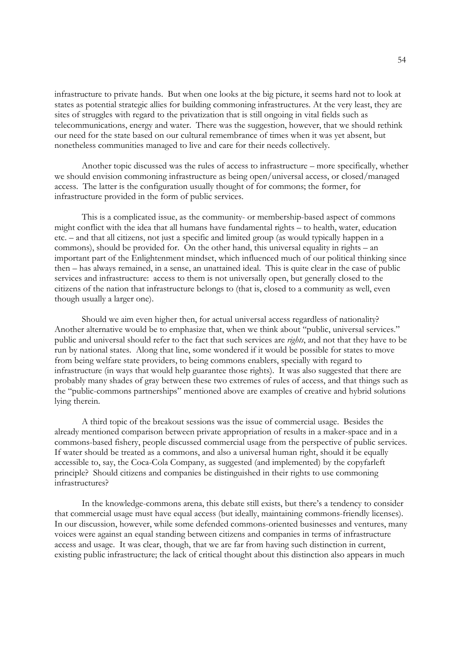infrastructure to private hands. But when one looks at the big picture, it seems hard not to look at states as potential strategic allies for building commoning infrastructures. At the very least, they are sites of struggles with regard to the privatization that is still ongoing in vital fields such as telecommunications, energy and water. There was the suggestion, however, that we should rethink our need for the state based on our cultural remembrance of times when it was yet absent, but nonetheless communities managed to live and care for their needs collectively.

 Another topic discussed was the rules of access to infrastructure – more specifically, whether we should envision commoning infrastructure as being open/universal access, or closed/managed access. The latter is the configuration usually thought of for commons; the former, for infrastructure provided in the form of public services.

 This is a complicated issue, as the community- or membership-based aspect of commons might conflict with the idea that all humans have fundamental rights – to health, water, education etc. – and that all citizens, not just a specific and limited group (as would typically happen in a commons), should be provided for. On the other hand, this universal equality in rights – an important part of the Enlightenment mindset, which influenced much of our political thinking since then – has always remained, in a sense, an unattained ideal. This is quite clear in the case of public services and infrastructure: access to them is not universally open, but generally closed to the citizens of the nation that infrastructure belongs to (that is, closed to a community as well, even though usually a larger one).

 Should we aim even higher then, for actual universal access regardless of nationality? Another alternative would be to emphasize that, when we think about "public, universal services." public and universal should refer to the fact that such services are *rights*, and not that they have to be run by national states. Along that line, some wondered if it would be possible for states to move from being welfare state providers, to being commons enablers, specially with regard to infrastructure (in ways that would help guarantee those rights). It was also suggested that there are probably many shades of gray between these two extremes of rules of access, and that things such as the "public-commons partnerships" mentioned above are examples of creative and hybrid solutions lying therein.

 A third topic of the breakout sessions was the issue of commercial usage. Besides the already mentioned comparison between private appropriation of results in a maker-space and in a commons-based fishery, people discussed commercial usage from the perspective of public services. If water should be treated as a commons, and also a universal human right, should it be equally accessible to, say, the Coca-Cola Company, as suggested (and implemented) by the copyfarleft principle? Should citizens and companies be distinguished in their rights to use commoning infrastructures?

 In the knowledge-commons arena, this debate still exists, but there's a tendency to consider that commercial usage must have equal access (but ideally, maintaining commons-friendly licenses). In our discussion, however, while some defended commons-oriented businesses and ventures, many voices were against an equal standing between citizens and companies in terms of infrastructure access and usage. It was clear, though, that we are far from having such distinction in current, existing public infrastructure; the lack of critical thought about this distinction also appears in much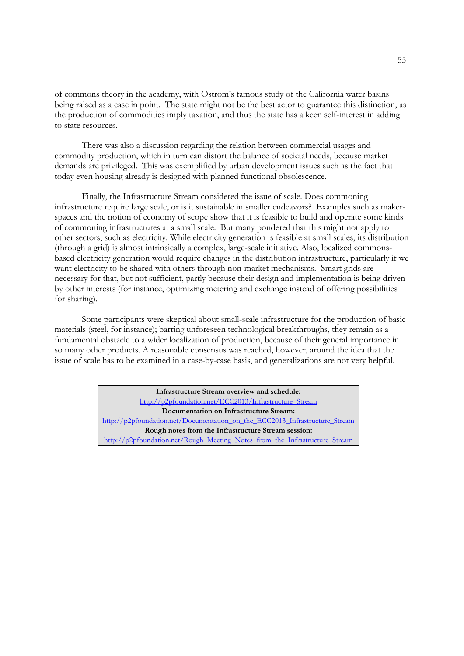of commons theory in the academy, with Ostrom's famous study of the California water basins being raised as a case in point. The state might not be the best actor to guarantee this distinction, as the production of commodities imply taxation, and thus the state has a keen self-interest in adding to state resources.

 There was also a discussion regarding the relation between commercial usages and commodity production, which in turn can distort the balance of societal needs, because market demands are privileged. This was exemplified by urban development issues such as the fact that today even housing already is designed with planned functional obsolescence.

 Finally, the Infrastructure Stream considered the issue of scale. Does commoning infrastructure require large scale, or is it sustainable in smaller endeavors? Examples such as makerspaces and the notion of economy of scope show that it is feasible to build and operate some kinds of commoning infrastructures at a small scale. But many pondered that this might not apply to other sectors, such as electricity. While electricity generation is feasible at small scales, its distribution (through a grid) is almost intrinsically a complex, large-scale initiative. Also, localized commonsbased electricity generation would require changes in the distribution infrastructure, particularly if we want electricity to be shared with others through non-market mechanisms. Smart grids are necessary for that, but not sufficient, partly because their design and implementation is being driven by other interests (for instance, optimizing metering and exchange instead of offering possibilities for sharing).

 Some participants were skeptical about small-scale infrastructure for the production of basic materials (steel, for instance); barring unforeseen technological breakthroughs, they remain as a fundamental obstacle to a wider localization of production, because of their general importance in so many other products. A reasonable consensus was reached, however, around the idea that the issue of scale has to be examined in a case-by-case basis, and generalizations are not very helpful.

> **Infrastructure Stream overview and schedule:** http://p2pfoundation.net/ECC2013/Infrastructure\_Stream **Documentation on Infrastructure Stream:** http://p2pfoundation.net/Documentation\_on\_the\_ECC2013\_Infrastructure\_Stream **Rough notes from the Infrastructure Stream session:** http://p2pfoundation.net/Rough\_Meeting\_Notes\_from\_the\_Infrastructure\_Stream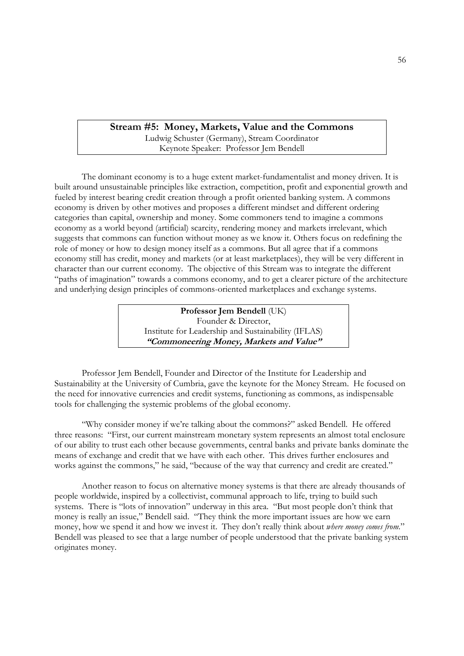**Stream #5: Money, Markets, Value and the Commons** Ludwig Schuster (Germany), Stream Coordinator Keynote Speaker: Professor Jem Bendell

 The dominant economy is to a huge extent market-fundamentalist and money driven. It is built around unsustainable principles like extraction, competition, profit and exponential growth and fueled by interest bearing credit creation through a profit oriented banking system. A commons economy is driven by other motives and proposes a different mindset and different ordering categories than capital, ownership and money. Some commoners tend to imagine a commons economy as a world beyond (artificial) scarcity, rendering money and markets irrelevant, which suggests that commons can function without money as we know it. Others focus on redefining the role of money or how to design money itself as a commons. But all agree that if a commons economy still has credit, money and markets (or at least marketplaces), they will be very different in character than our current economy. The objective of this Stream was to integrate the different "paths of imagination" towards a commons economy, and to get a clearer picture of the architecture and underlying design principles of commons-oriented marketplaces and exchange systems.

> **Professor Jem Bendell** (UK) Founder & Director, Institute for Leadership and Sustainability (IFLAS) **"Commoneering Money, Markets and Value"**

 Professor Jem Bendell, Founder and Director of the Institute for Leadership and Sustainability at the University of Cumbria, gave the keynote for the Money Stream. He focused on the need for innovative currencies and credit systems, functioning as commons, as indispensable tools for challenging the systemic problems of the global economy.

 "Why consider money if we're talking about the commons?" asked Bendell. He offered three reasons: "First, our current mainstream monetary system represents an almost total enclosure of our ability to trust each other because governments, central banks and private banks dominate the means of exchange and credit that we have with each other. This drives further enclosures and works against the commons," he said, "because of the way that currency and credit are created."

 Another reason to focus on alternative money systems is that there are already thousands of people worldwide, inspired by a collectivist, communal approach to life, trying to build such systems. There is "lots of innovation" underway in this area. "But most people don't think that money is really an issue," Bendell said. "They think the more important issues are how we earn money, how we spend it and how we invest it. They don't really think about *where money comes from*." Bendell was pleased to see that a large number of people understood that the private banking system originates money.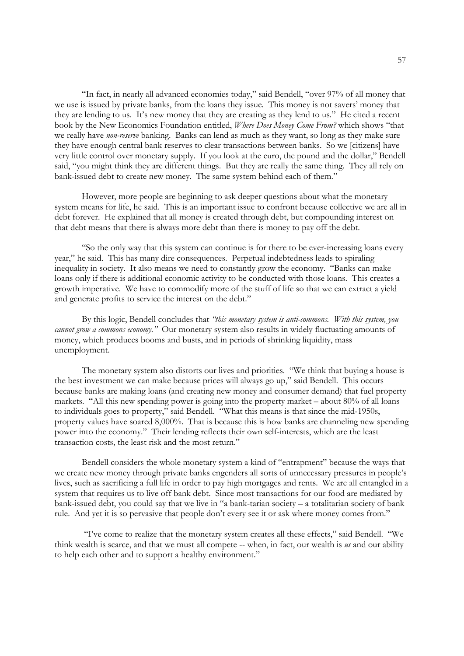"In fact, in nearly all advanced economies today," said Bendell, "over 97% of all money that we use is issued by private banks, from the loans they issue. This money is not savers' money that they are lending to us. It's new money that they are creating as they lend to us." He cited a recent book by the New Economics Foundation entitled, *Where Does Money Come From?* which shows "that we really have *non-reserve* banking. Banks can lend as much as they want, so long as they make sure they have enough central bank reserves to clear transactions between banks. So we [citizens] have very little control over monetary supply. If you look at the euro, the pound and the dollar," Bendell said, "you might think they are different things. But they are really the same thing. They all rely on bank-issued debt to create new money. The same system behind each of them."

 However, more people are beginning to ask deeper questions about what the monetary system means for life, he said. This is an important issue to confront because collective we are all in debt forever. He explained that all money is created through debt, but compounding interest on that debt means that there is always more debt than there is money to pay off the debt.

 "So the only way that this system can continue is for there to be ever-increasing loans every year," he said. This has many dire consequences. Perpetual indebtedness leads to spiraling inequality in society. It also means we need to constantly grow the economy. "Banks can make loans only if there is additional economic activity to be conducted with those loans. This creates a growth imperative. We have to commodify more of the stuff of life so that we can extract a yield and generate profits to service the interest on the debt."

 By this logic, Bendell concludes that *"this monetary system is anti-commons. With this system, you cannot grow a commons economy."* Our monetary system also results in widely fluctuating amounts of money, which produces booms and busts, and in periods of shrinking liquidity, mass unemployment.

 The monetary system also distorts our lives and priorities. "We think that buying a house is the best investment we can make because prices will always go up," said Bendell. This occurs because banks are making loans (and creating new money and consumer demand) that fuel property markets. "All this new spending power is going into the property market – about 80% of all loans to individuals goes to property," said Bendell. "What this means is that since the mid-1950s, property values have soared 8,000%. That is because this is how banks are channeling new spending power into the economy." Their lending reflects their own self-interests, which are the least transaction costs, the least risk and the most return."

 Bendell considers the whole monetary system a kind of "entrapment" because the ways that we create new money through private banks engenders all sorts of unnecessary pressures in people's lives, such as sacrificing a full life in order to pay high mortgages and rents. We are all entangled in a system that requires us to live off bank debt. Since most transactions for our food are mediated by bank-issued debt, you could say that we live in "a bank-tarian society – a totalitarian society of bank rule. And yet it is so pervasive that people don't every see it or ask where money comes from."

 "I've come to realize that the monetary system creates all these effects," said Bendell. "We think wealth is scarce, and that we must all compete -- when, in fact, our wealth is *us* and our ability to help each other and to support a healthy environment."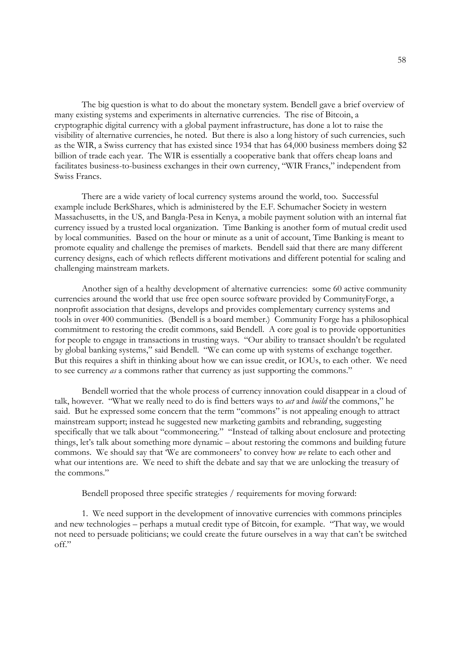The big question is what to do about the monetary system. Bendell gave a brief overview of many existing systems and experiments in alternative currencies. The rise of Bitcoin, a cryptographic digital currency with a global payment infrastructure, has done a lot to raise the visibility of alternative currencies, he noted. But there is also a long history of such currencies, such as the WIR, a Swiss currency that has existed since 1934 that has 64,000 business members doing \$2 billion of trade each year. The WIR is essentially a cooperative bank that offers cheap loans and facilitates business-to-business exchanges in their own currency, "WIR Francs," independent from Swiss Francs.

 There are a wide variety of local currency systems around the world, too. Successful example include BerkShares, which is administered by the E.F. Schumacher Society in western Massachusetts, in the US, and Bangla-Pesa in Kenya, a mobile payment solution with an internal fiat currency issued by a trusted local organization. Time Banking is another form of mutual credit used by local communities. Based on the hour or minute as a unit of account, Time Banking is meant to promote equality and challenge the premises of markets. Bendell said that there are many different currency designs, each of which reflects different motivations and different potential for scaling and challenging mainstream markets.

 Another sign of a healthy development of alternative currencies: some 60 active community currencies around the world that use free open source software provided by CommunityForge, a nonprofit association that designs, develops and provides complementary currency systems and tools in over 400 communities. (Bendell is a board member.) Community Forge has a philosophical commitment to restoring the credit commons, said Bendell. A core goal is to provide opportunities for people to engage in transactions in trusting ways. "Our ability to transact shouldn't be regulated by global banking systems," said Bendell. "We can come up with systems of exchange together. But this requires a shift in thinking about how we can issue credit, or IOUs, to each other. We need to see currency *as* a commons rather that currency as just supporting the commons."

 Bendell worried that the whole process of currency innovation could disappear in a cloud of talk, however. "What we really need to do is find betters ways to *act* and *build* the commons," he said. But he expressed some concern that the term "commons" is not appealing enough to attract mainstream support; instead he suggested new marketing gambits and rebranding, suggesting specifically that we talk about "commoneering." "Instead of talking about enclosure and protecting things, let's talk about something more dynamic – about restoring the commons and building future commons. We should say that 'We are commoneers' to convey how *we* relate to each other and what our intentions are. We need to shift the debate and say that we are unlocking the treasury of the commons."

Bendell proposed three specific strategies / requirements for moving forward:

 1. We need support in the development of innovative currencies with commons principles and new technologies – perhaps a mutual credit type of Bitcoin, for example. "That way, we would not need to persuade politicians; we could create the future ourselves in a way that can't be switched off."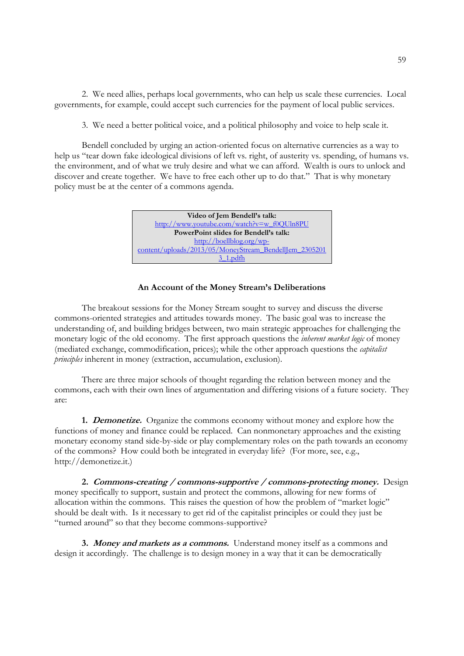2. We need allies, perhaps local governments, who can help us scale these currencies. Local governments, for example, could accept such currencies for the payment of local public services.

3. We need a better political voice, and a political philosophy and voice to help scale it.

 Bendell concluded by urging an action-oriented focus on alternative currencies as a way to help us "tear down fake ideological divisions of left vs. right, of austerity vs. spending, of humans vs. the environment, and of what we truly desire and what we can afford. Wealth is ours to unlock and discover and create together. We have to free each other up to do that." That is why monetary policy must be at the center of a commons agenda.



#### **An Account of the Money Stream's Deliberations**

 The breakout sessions for the Money Stream sought to survey and discuss the diverse commons-oriented strategies and attitudes towards money. The basic goal was to increase the understanding of, and building bridges between, two main strategic approaches for challenging the monetary logic of the old economy. The first approach questions the *inherent market logic* of money (mediated exchange, commodification, prices); while the other approach questions the *capitalist principles* inherent in money (extraction, accumulation, exclusion).

 There are three major schools of thought regarding the relation between money and the commons, each with their own lines of argumentation and differing visions of a future society. They are:

**1. Demonetize.** Organize the commons economy without money and explore how the functions of money and finance could be replaced. Can nonmonetary approaches and the existing monetary economy stand side-by-side or play complementary roles on the path towards an economy of the commons? How could both be integrated in everyday life? (For more, see, e.g., http://demonetize.it.)

**2. Commons-creating / commons-supportive / commons-protecting money.** Design money specifically to support, sustain and protect the commons, allowing for new forms of allocation within the commons. This raises the question of how the problem of "market logic" should be dealt with. Is it necessary to get rid of the capitalist principles or could they just be "turned around" so that they become commons-supportive?

**3. Money and markets as a commons.** Understand money itself as a commons and design it accordingly. The challenge is to design money in a way that it can be democratically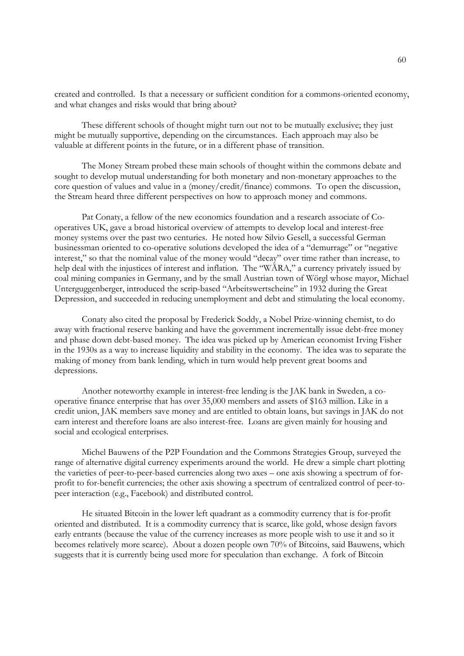created and controlled. Is that a necessary or sufficient condition for a commons-oriented economy, and what changes and risks would that bring about?

 These different schools of thought might turn out not to be mutually exclusive; they just might be mutually supportive, depending on the circumstances. Each approach may also be valuable at different points in the future, or in a different phase of transition.

 The Money Stream probed these main schools of thought within the commons debate and sought to develop mutual understanding for both monetary and non-monetary approaches to the core question of values and value in a (money/credit/finance) commons. To open the discussion, the Stream heard three different perspectives on how to approach money and commons.

 Pat Conaty, a fellow of the new economics foundation and a research associate of Cooperatives UK, gave a broad historical overview of attempts to develop local and interest-free money systems over the past two centuries. He noted how Silvio Gesell, a successful German businessman oriented to co-operative solutions developed the idea of a "demurrage" or "negative interest," so that the nominal value of the money would "decay" over time rather than increase, to help deal with the injustices of interest and inflation. The "WÄRA," a currency privately issued by coal mining companies in Germany, and by the small Austrian town of Wörgl whose mayor, Michael Unterguggenberger, introduced the scrip-based "Arbeitswertscheine" in 1932 during the Great Depression, and succeeded in reducing unemployment and debt and stimulating the local economy.

 Conaty also cited the proposal by Frederick Soddy, a Nobel Prize-winning chemist, to do away with fractional reserve banking and have the government incrementally issue debt-free money and phase down debt-based money. The idea was picked up by American economist Irving Fisher in the 1930s as a way to increase liquidity and stability in the economy. The idea was to separate the making of money from bank lending, which in turn would help prevent great booms and depressions.

 Another noteworthy example in interest-free lending is the JAK bank in Sweden, a cooperative finance enterprise that has over 35,000 members and assets of \$163 million. Like in a credit union, JAK members save money and are entitled to obtain loans, but savings in JAK do not earn interest and therefore loans are also interest-free. Loans are given mainly for housing and social and ecological enterprises.

 Michel Bauwens of the P2P Foundation and the Commons Strategies Group, surveyed the range of alternative digital currency experiments around the world. He drew a simple chart plotting the varieties of peer-to-peer-based currencies along two axes – one axis showing a spectrum of forprofit to for-benefit currencies; the other axis showing a spectrum of centralized control of peer-topeer interaction (e.g., Facebook) and distributed control.

 He situated Bitcoin in the lower left quadrant as a commodity currency that is for-profit oriented and distributed. It is a commodity currency that is scarce, like gold, whose design favors early entrants (because the value of the currency increases as more people wish to use it and so it becomes relatively more scarce). About a dozen people own 70% of Bitcoins, said Bauwens, which suggests that it is currently being used more for speculation than exchange. A fork of Bitcoin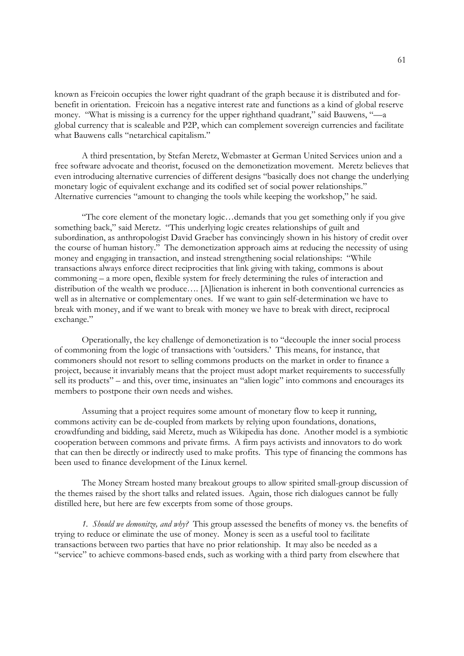known as Freicoin occupies the lower right quadrant of the graph because it is distributed and forbenefit in orientation. Freicoin has a negative interest rate and functions as a kind of global reserve money. "What is missing is a currency for the upper righthand quadrant," said Bauwens, "—a global currency that is scaleable and P2P, which can complement sovereign currencies and facilitate what Bauwens calls "netarchical capitalism."

 A third presentation, by Stefan Meretz, Webmaster at German United Services union and a free software advocate and theorist, focused on the demonetization movement. Meretz believes that even introducing alternative currencies of different designs "basically does not change the underlying monetary logic of equivalent exchange and its codified set of social power relationships." Alternative currencies "amount to changing the tools while keeping the workshop," he said.

 "The core element of the monetary logic…demands that you get something only if you give something back," said Meretz. "This underlying logic creates relationships of guilt and subordination, as anthropologist David Graeber has convincingly shown in his history of credit over the course of human history." The demonetization approach aims at reducing the necessity of using money and engaging in transaction, and instead strengthening social relationships: "While transactions always enforce direct reciprocities that link giving with taking, commons is about commoning – a more open, flexible system for freely determining the rules of interaction and distribution of the wealth we produce…. [A]lienation is inherent in both conventional currencies as well as in alternative or complementary ones. If we want to gain self-determination we have to break with money, and if we want to break with money we have to break with direct, reciprocal exchange."

 Operationally, the key challenge of demonetization is to "decouple the inner social process of commoning from the logic of transactions with 'outsiders.' This means, for instance, that commoners should not resort to selling commons products on the market in order to finance a project, because it invariably means that the project must adopt market requirements to successfully sell its products" – and this, over time, insinuates an "alien logic" into commons and encourages its members to postpone their own needs and wishes.

 Assuming that a project requires some amount of monetary flow to keep it running, commons activity can be de-coupled from markets by relying upon foundations, donations, crowdfunding and bidding, said Meretz, much as Wikipedia has done. Another model is a symbiotic cooperation between commons and private firms. A firm pays activists and innovators to do work that can then be directly or indirectly used to make profits. This type of financing the commons has been used to finance development of the Linux kernel.

 The Money Stream hosted many breakout groups to allow spirited small-group discussion of the themes raised by the short talks and related issues. Again, those rich dialogues cannot be fully distilled here, but here are few excerpts from some of those groups.

*1. Should we demonitze, and why?* This group assessed the benefits of money vs. the benefits of trying to reduce or eliminate the use of money. Money is seen as a useful tool to facilitate transactions between two parties that have no prior relationship. It may also be needed as a "service" to achieve commons-based ends, such as working with a third party from elsewhere that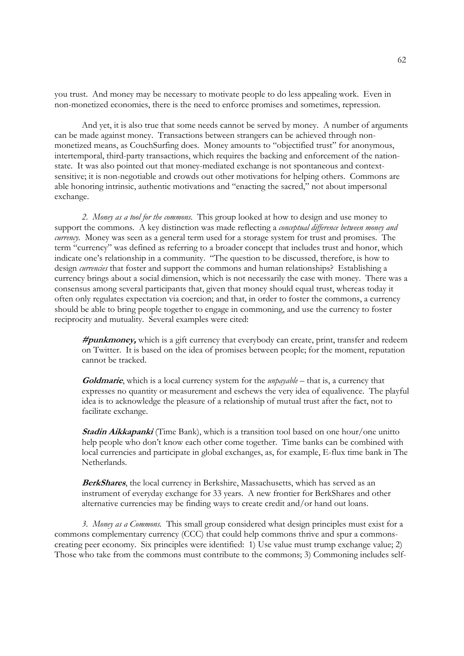you trust. And money may be necessary to motivate people to do less appealing work. Even in non-monetized economies, there is the need to enforce promises and sometimes, repression.

 And yet, it is also true that some needs cannot be served by money. A number of arguments can be made against money. Transactions between strangers can be achieved through nonmonetized means, as CouchSurfing does. Money amounts to "objectified trust" for anonymous, intertemporal, third-party transactions, which requires the backing and enforcement of the nationstate. It was also pointed out that money-mediated exchange is not spontaneous and contextsensitive; it is non-negotiable and crowds out other motivations for helping others. Commons are able honoring intrinsic, authentic motivations and "enacting the sacred," not about impersonal exchange.

*2. Money as a tool for the commons.* This group looked at how to design and use money to support the commons. A key distinction was made reflecting a *conceptual difference between money and currency*. Money was seen as a general term used for a storage system for trust and promises. The term "currency" was defined as referring to a broader concept that includes trust and honor, which indicate one's relationship in a community. "The question to be discussed, therefore, is how to design *currencies* that foster and support the commons and human relationships? Establishing a currency brings about a social dimension, which is not necessarily the case with money. There was a consensus among several participants that, given that money should equal trust, whereas today it often only regulates expectation via coercion; and that, in order to foster the commons, a currency should be able to bring people together to engage in commoning, and use the currency to foster reciprocity and mutuality. Several examples were cited:

**#punkmoney,** which is a gift currency that everybody can create, print, transfer and redeem on Twitter. It is based on the idea of promises between people; for the moment, reputation cannot be tracked.

**Goldmarie**, which is a local currency system for the *unpayable* – that is, a currency that expresses no quantity or measurement and eschews the very idea of equalivence. The playful idea is to acknowledge the pleasure of a relationship of mutual trust after the fact, not to facilitate exchange.

**Stadin Aikkapanki** (Time Bank), which is a transition tool based on one hour/one unitto help people who don't know each other come together. Time banks can be combined with local currencies and participate in global exchanges, as, for example, E-flux time bank in The Netherlands.

**BerkShares**, the local currency in Berkshire, Massachusetts, which has served as an instrument of everyday exchange for 33 years. A new frontier for BerkShares and other alternative currencies may be finding ways to create credit and/or hand out loans.

*3. Money as a Commons.* This small group considered what design principles must exist for a commons complementary currency (CCC) that could help commons thrive and spur a commonscreating peer economy. Six principles were identified: 1) Use value must trump exchange value; 2) Those who take from the commons must contribute to the commons; 3) Commoning includes self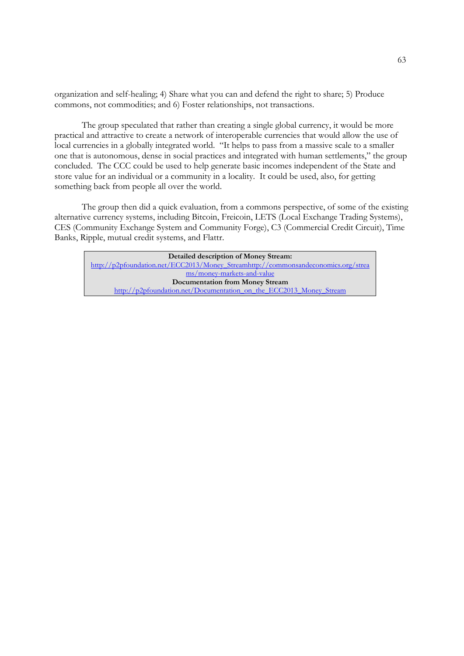organization and self-healing; 4) Share what you can and defend the right to share; 5) Produce commons, not commodities; and 6) Foster relationships, not transactions.

 The group speculated that rather than creating a single global currency, it would be more practical and attractive to create a network of interoperable currencies that would allow the use of local currencies in a globally integrated world. "It helps to pass from a massive scale to a smaller one that is autonomous, dense in social practices and integrated with human settlements," the group concluded. The CCC could be used to help generate basic incomes independent of the State and store value for an individual or a community in a locality. It could be used, also, for getting something back from people all over the world.

 The group then did a quick evaluation, from a commons perspective, of some of the existing alternative currency systems, including Bitcoin, Freicoin, LETS (Local Exchange Trading Systems), CES (Community Exchange System and Community Forge), C3 (Commercial Credit Circuit), Time Banks, Ripple, mutual credit systems, and Flattr.

**Detailed description of Money Stream:** http://p2pfoundation.net/ECC2013/Money\_Streamhttp://commonsandeconomics.org/strea ms/money-markets-and-value **Documentation from Money Stream** http://p2pfoundation.net/Documentation\_on\_the\_ECC2013\_Money\_Stream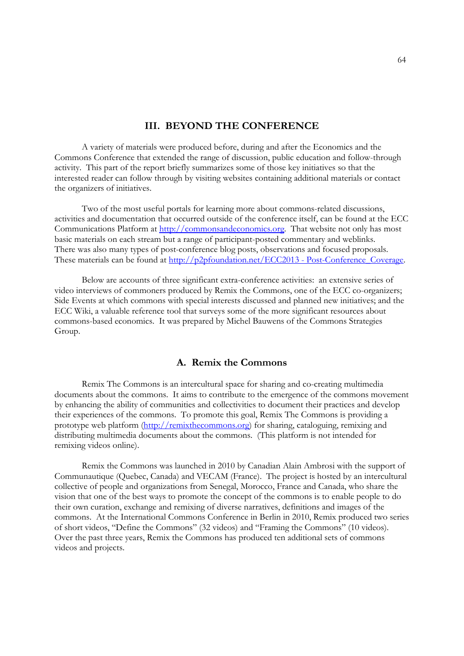# **III. BEYOND THE CONFERENCE**

A variety of materials were produced before, during and after the Economics and the Commons Conference that extended the range of discussion, public education and follow-through activity. This part of the report briefly summarizes some of those key initiatives so that the interested reader can follow through by visiting websites containing additional materials or contact the organizers of initiatives.

Two of the most useful portals for learning more about commons-related discussions, activities and documentation that occurred outside of the conference itself, can be found at the ECC Communications Platform at http://commonsandeconomics.org. That website not only has most basic materials on each stream but a range of participant-posted commentary and weblinks. There was also many types of post-conference blog posts, observations and focused proposals. These materials can be found at http://p2pfoundation.net/ECC2013 - Post-Conference Coverage.

 Below are accounts of three significant extra-conference activities: an extensive series of video interviews of commoners produced by Remix the Commons, one of the ECC co-organizers; Side Events at which commons with special interests discussed and planned new initiatives; and the ECC Wiki, a valuable reference tool that surveys some of the more significant resources about commons-based economics. It was prepared by Michel Bauwens of the Commons Strategies Group.

## **A. Remix the Commons**

 Remix The Commons is an intercultural space for sharing and co-creating multimedia documents about the commons. It aims to contribute to the emergence of the commons movement by enhancing the ability of communities and collectivities to document their practices and develop their experiences of the commons. To promote this goal, Remix The Commons is providing a prototype web platform (http://remixthecommons.org) for sharing, cataloguing, remixing and distributing multimedia documents about the commons. (This platform is not intended for remixing videos online).

 Remix the Commons was launched in 2010 by Canadian Alain Ambrosi with the support of Communautique (Quebec, Canada) and VECAM (France). The project is hosted by an intercultural collective of people and organizations from Senegal, Morocco, France and Canada, who share the vision that one of the best ways to promote the concept of the commons is to enable people to do their own curation, exchange and remixing of diverse narratives, definitions and images of the commons. At the International Commons Conference in Berlin in 2010, Remix produced two series of short videos, "Define the Commons" (32 videos) and "Framing the Commons" (10 videos). Over the past three years, Remix the Commons has produced ten additional sets of commons videos and projects.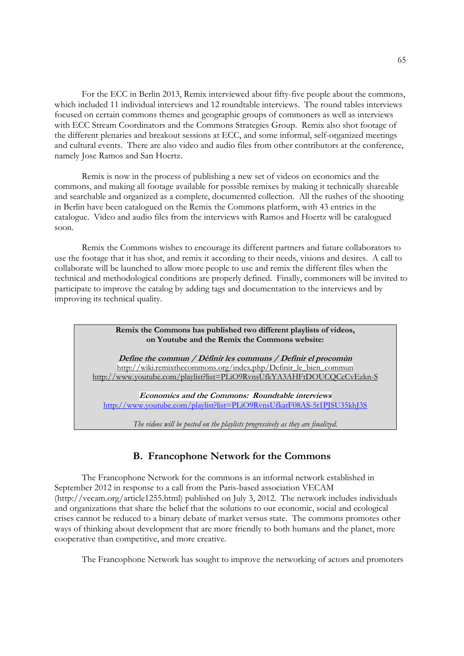For the ECC in Berlin 2013, Remix interviewed about fifty-five people about the commons, which included 11 individual interviews and 12 roundtable interviews. The round tables interviews focused on certain commons themes and geographic groups of commoners as well as interviews with ECC Stream Coordinators and the Commons Strategies Group. Remix also shot footage of the different plenaries and breakout sessions at ECC, and some informal, self-organized meetings and cultural events. There are also video and audio files from other contributors at the conference, namely Jose Ramos and San Hoertz.

 Remix is now in the process of publishing a new set of videos on economics and the commons, and making all footage available for possible remixes by making it technically shareable and searchable and organized as a complete, documented collection. All the rushes of the shooting in Berlin have been catalogued on the Remix the Commons platform, with 43 entries in the catalogue. Video and audio files from the interviews with Ramos and Hoertz will be catalogued soon.

 Remix the Commons wishes to encourage its different partners and future collaborators to use the footage that it has shot, and remix it according to their needs, visions and desires. A call to collaborate will be launched to allow more people to use and remix the different files when the technical and methodological conditions are properly defined. Finally, commoners will be invited to participate to improve the catalog by adding tags and documentation to the interviews and by improving its technical quality.

> **Remix the Commons has published two different playlists of videos, on Youtube and the Remix the Commons website:**

**Define the commun / Définir les communs / Definir el procomùn**  http://wiki.remixthecommons.org/index.php/Definir\_le\_bien\_commun http://www.youtube.com/playlist?list=PLiO9RvnsUfkYA3AHFtDOUCQCcCvEzkn-S

**Economics and the Commons: Roundtable interviews**  http://www.youtube.com/playlist?list=PLiO9RvnsUfkatF08AS-5t1PJSU35khJ3S

*The videos will be posted on the playlists progressively as they are finalized.* 

# **B. Francophone Network for the Commons**

 The Francophone Network for the commons is an informal network established in September 2012 in response to a call from the Paris-based association VECAM (http://vecam.org/article1255.html) published on July 3, 2012. The network includes individuals and organizations that share the belief that the solutions to our economic, social and ecological crises cannot be reduced to a binary debate of market versus state. The commons promotes other ways of thinking about development that are more friendly to both humans and the planet, more cooperative than competitive, and more creative.

The Francophone Network has sought to improve the networking of actors and promoters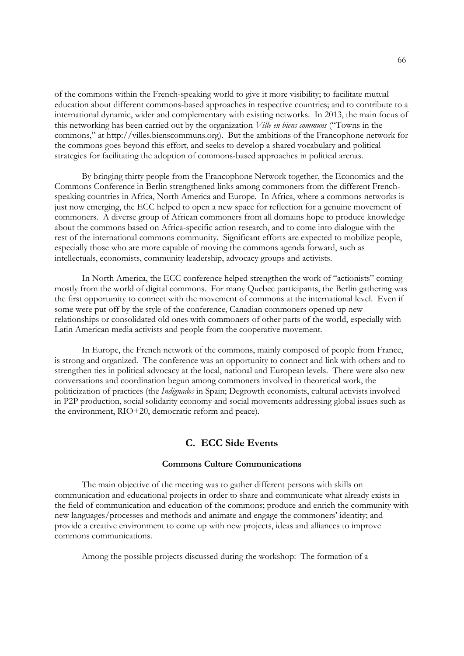of the commons within the French-speaking world to give it more visibility; to facilitate mutual education about different commons-based approaches in respective countries; and to contribute to a international dynamic, wider and complementary with existing networks. In 2013, the main focus of this networking has been carried out by the organization *Ville en biens communs* ("Towns in the commons," at http://villes.bienscommuns.org). But the ambitions of the Francophone network for the commons goes beyond this effort, and seeks to develop a shared vocabulary and political strategies for facilitating the adoption of commons-based approaches in political arenas.

 By bringing thirty people from the Francophone Network together, the Economics and the Commons Conference in Berlin strengthened links among commoners from the different Frenchspeaking countries in Africa, North America and Europe. In Africa, where a commons networks is just now emerging, the ECC helped to open a new space for reflection for a genuine movement of commoners. A diverse group of African commoners from all domains hope to produce knowledge about the commons based on Africa-specific action research, and to come into dialogue with the rest of the international commons community. Significant efforts are expected to mobilize people, especially those who are more capable of moving the commons agenda forward, such as intellectuals, economists, community leadership, advocacy groups and activists.

 In North America, the ECC conference helped strengthen the work of "actionists" coming mostly from the world of digital commons. For many Quebec participants, the Berlin gathering was the first opportunity to connect with the movement of commons at the international level. Even if some were put off by the style of the conference, Canadian commoners opened up new relationships or consolidated old ones with commoners of other parts of the world, especially with Latin American media activists and people from the cooperative movement.

 In Europe, the French network of the commons, mainly composed of people from France, is strong and organized. The conference was an opportunity to connect and link with others and to strengthen ties in political advocacy at the local, national and European levels. There were also new conversations and coordination begun among commoners involved in theoretical work, the politicization of practices (the *Indignados* in Spain; Degrowth economists, cultural activists involved in P2P production, social solidarity economy and social movements addressing global issues such as the environment, RIO+20, democratic reform and peace).

# **C. ECC Side Events**

#### **Commons Culture Communications**

 The main objective of the meeting was to gather different persons with skills on communication and educational projects in order to share and communicate what already exists in the field of communication and education of the commons; produce and enrich the community with new languages/processes and methods and animate and engage the commoners' identity; and provide a creative environment to come up with new projects, ideas and alliances to improve commons communications.

Among the possible projects discussed during the workshop: The formation of a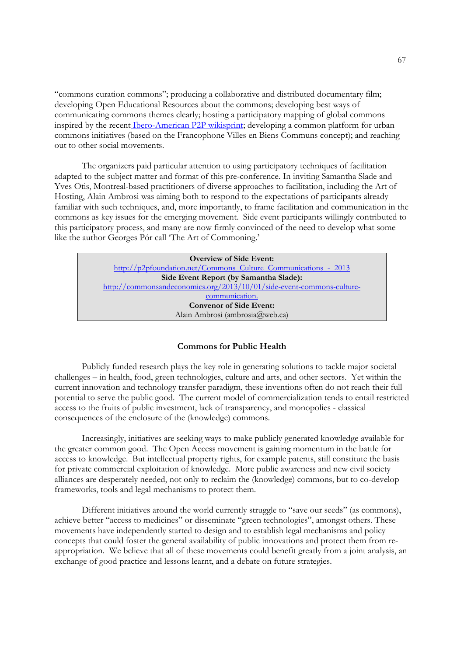"commons curation commons"; producing a collaborative and distributed documentary film; developing Open Educational Resources about the commons; developing best ways of communicating commons themes clearly; hosting a participatory mapping of global commons inspired by the recent Ibero-American P2P wikisprint; developing a common platform for urban commons initiatives (based on the Francophone Villes en Biens Communs concept); and reaching out to other social movements.

 The organizers paid particular attention to using participatory techniques of facilitation adapted to the subject matter and format of this pre-conference. In inviting Samantha Slade and Yves Otis, Montreal-based practitioners of diverse approaches to facilitation, including the Art of Hosting, Alain Ambrosi was aiming both to respond to the expectations of participants already familiar with such techniques, and, more importantly, to frame facilitation and communication in the commons as key issues for the emerging movement. Side event participants willingly contributed to this participatory process, and many are now firmly convinced of the need to develop what some like the author Georges Pór call 'The Art of Commoning.'

> **Overview of Side Event:** http://p2pfoundation.net/Commons\_Culture\_Communications - 2013 **Side Event Report (by Samantha Slade):**  http://commonsandeconomics.org/2013/10/01/side-event-commons-culturecommunication. **Convenor of Side Event:** Alain Ambrosi (ambrosia@web.ca)

#### **Commons for Public Health**

 Publicly funded research plays the key role in generating solutions to tackle major societal challenges – in health, food, green technologies, culture and arts, and other sectors. Yet within the current innovation and technology transfer paradigm, these inventions often do not reach their full potential to serve the public good. The current model of commercialization tends to entail restricted access to the fruits of public investment, lack of transparency, and monopolies - classical consequences of the enclosure of the (knowledge) commons.

 Increasingly, initiatives are seeking ways to make publicly generated knowledge available for the greater common good. The Open Access movement is gaining momentum in the battle for access to knowledge. But intellectual property rights, for example patents, still constitute the basis for private commercial exploitation of knowledge. More public awareness and new civil society alliances are desperately needed, not only to reclaim the (knowledge) commons, but to co-develop frameworks, tools and legal mechanisms to protect them.

 Different initiatives around the world currently struggle to "save our seeds" (as commons), achieve better "access to medicines" or disseminate "green technologies", amongst others. These movements have independently started to design and to establish legal mechanisms and policy concepts that could foster the general availability of public innovations and protect them from reappropriation. We believe that all of these movements could benefit greatly from a joint analysis, an exchange of good practice and lessons learnt, and a debate on future strategies.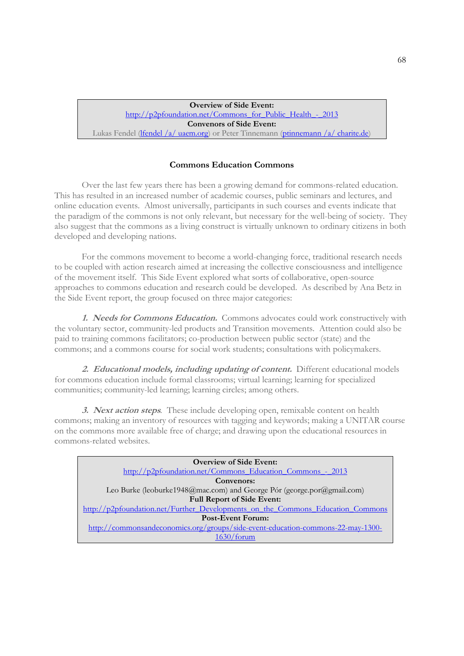**Overview of Side Event:** http://p2pfoundation.net/Commons\_for\_Public\_Health\_-\_2013 **Convenors of Side Event:** Lukas Fendel (lfendel /a/ uaem.org) or Peter Tinnemann (ptinnemann /a/ charite.de)

## **Commons Education Commons**

 Over the last few years there has been a growing demand for commons-related education. This has resulted in an increased number of academic courses, public seminars and lectures, and online education events. Almost universally, participants in such courses and events indicate that the paradigm of the commons is not only relevant, but necessary for the well-being of society. They also suggest that the commons as a living construct is virtually unknown to ordinary citizens in both developed and developing nations.

 For the commons movement to become a world-changing force, traditional research needs to be coupled with action research aimed at increasing the collective consciousness and intelligence of the movement itself. This Side Event explored what sorts of collaborative, open-source approaches to commons education and research could be developed. As described by Ana Betz in the Side Event report, the group focused on three major categories:

**1. Needs for Commons Education.** Commons advocates could work constructively with the voluntary sector, community-led products and Transition movements. Attention could also be paid to training commons facilitators; co-production between public sector (state) and the commons; and a commons course for social work students; consultations with policymakers.

**2. Educational models, including updating of content.** Different educational models for commons education include formal classrooms; virtual learning; learning for specialized communities; community-led learning; learning circles; among others.

**3. Next action steps***.* These include developing open, remixable content on health commons; making an inventory of resources with tagging and keywords; making a UNITAR course on the commons more available free of charge; and drawing upon the educational resources in commons-related websites.

| <b>Overview of Side Event:</b>                                                  |  |
|---------------------------------------------------------------------------------|--|
| http://p2pfoundation.net/Commons Education Commons - 2013                       |  |
| Convenors:                                                                      |  |
| Leo Burke (leoburke1948@mac.com) and George Pór (george.por@gmail.com)          |  |
| <b>Full Report of Side Event:</b>                                               |  |
| http://p2pfoundation.net/Further Developments on the Commons Education Commons  |  |
| <b>Post-Event Forum:</b>                                                        |  |
| http://commonsandeconomics.org/groups/side-event-education-commons-22-may-1300- |  |
| $1630/f$ orum                                                                   |  |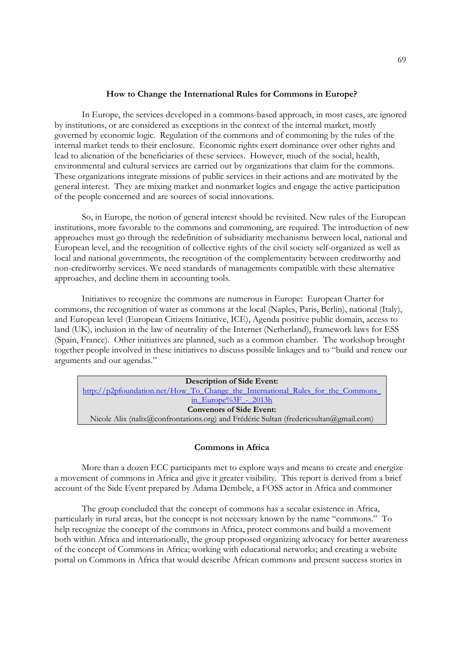#### **How to Change the International Rules for Commons in Europe?**

 In Europe, the services developed in a commons-based approach, in most cases, are ignored by institutions, or are considered as exceptions in the context of the internal market, mostly governed by economic logic. Regulation of the commons and of commoning by the rules of the internal market tends to their enclosure. Economic rights exert dominance over other rights and lead to alienation of the beneficiaries of these services. However, much of the social, health, environmental and cultural services are carried out by organizations that claim for the commons. These organizations integrate missions of public services in their actions and are motivated by the general interest. They are mixing market and nonmarket logics and engage the active participation of the people concerned and are sources of social innovations.

 So, in Europe, the notion of general interest should be revisited. New rules of the European institutions, more favorable to the commons and commoning, are required. The introduction of new approaches must go through the redefinition of subsidiarity mechanisms between local, national and European level, and the recognition of collective rights of the civil society self-organized as well as local and national governments, the recognition of the complementarity between creditworthy and non-creditworthy services. We need standards of managements compatible with these alternative approaches, and decline them in accounting tools.

 Initiatives to recognize the commons are numerous in Europe: European Charter for commons, the recognition of water as commons at the local (Naples, Paris, Berlin), national (Italy), and European level (European Citizens Initiative, ICE), Agenda positive public domain, access to land (UK), inclusion in the law of neutrality of the Internet (Netherland), framework laws for ESS (Spain, France). Other initiatives are planned, such as a common chamber. The workshop brought together people involved in these initiatives to discuss possible linkages and to "build and renew our arguments and our agendas."

| <b>Description of Side Event:</b>                                                     |  |
|---------------------------------------------------------------------------------------|--|
| http://p2pfoundation.net/How To Change the International Rules for the Commons        |  |
| in Europe% $3F - 2013h$                                                               |  |
| <b>Convenors of Side Event:</b>                                                       |  |
| Nicole Alix (nalix@confrontations.org) and Frédéric Sultan (fredericsultan@gmail.com) |  |

## **Commons in Africa**

 More than a dozen ECC participants met to explore ways and means to create and energize a movement of commons in Africa and give it greater visibility. This report is derived from a brief account of the Side Event prepared by Adama Dembele, a FOSS actor in Africa and commoner

 The group concluded that the concept of commons has a secular existence in Africa, particularly in rural areas, but the concept is not necessary known by the name "commons." To help recognize the concept of the commons in Africa, protect commons and build a movement both within Africa and internationally, the group proposed organizing advocacy for better awareness of the concept of Commons in Africa; working with educational networks; and creating a website portal on Commons in Africa that would describe African commons and present success stories in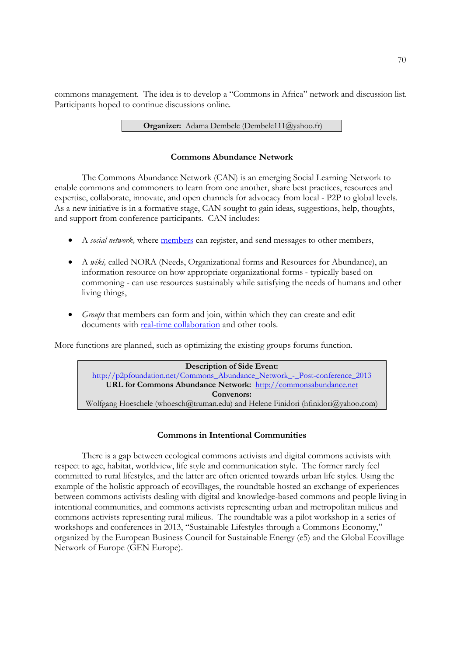commons management. The idea is to develop a "Commons in Africa" network and discussion list. Participants hoped to continue discussions online.

**Organizer:** Adama Dembele (Dembele111@yahoo.fr)

## **Commons Abundance Network**

 The Commons Abundance Network (CAN) is an emerging Social Learning Network to enable commons and commoners to learn from one another, share best practices, resources and expertise, collaborate, innovate, and open channels for advocacy from local - P2P to global levels. As a new initiative is in a formative stage, CAN sought to gain ideas, suggestions, help, thoughts, and support from conference participants. CAN includes:

- A *social network,* where members can register, and send messages to other members,
- A *wiki,* called NORA (Needs, Organizational forms and Resources for Abundance), an information resource on how appropriate organizational forms - typically based on commoning - can use resources sustainably while satisfying the needs of humans and other living things,
- *Groups* that members can form and join, within which they can create and edit documents with real-time collaboration and other tools.

More functions are planned, such as optimizing the existing groups forums function.



# **Commons in Intentional Communities**

 There is a gap between ecological commons activists and digital commons activists with respect to age, habitat, worldview, life style and communication style. The former rarely feel committed to rural lifestyles, and the latter are often oriented towards urban life styles. Using the example of the holistic approach of ecovillages, the roundtable hosted an exchange of experiences between commons activists dealing with digital and knowledge-based commons and people living in intentional communities, and commons activists representing urban and metropolitan milieus and commons activists representing rural milieus. The roundtable was a pilot workshop in a series of workshops and conferences in 2013, "Sustainable Lifestyles through a Commons Economy," organized by the European Business Council for Sustainable Energy (e5) and the Global Ecovillage Network of Europe (GEN Europe).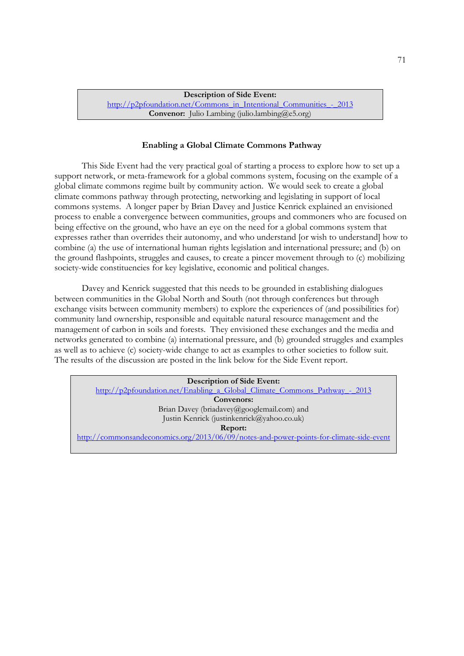**Description of Side Event:** http://p2pfoundation.net/Commons\_in\_Intentional\_Communities\_-\_2013 **Convenor:** Julio Lambing (julio.lambing  $(a)$ e5.org)

#### **Enabling a Global Climate Commons Pathway**

 This Side Event had the very practical goal of starting a process to explore how to set up a support network, or meta-framework for a global commons system, focusing on the example of a global climate commons regime built by community action. We would seek to create a global climate commons pathway through protecting, networking and legislating in support of local commons systems. A longer paper by Brian Davey and Justice Kenrick explained an envisioned process to enable a convergence between communities, groups and commoners who are focused on being effective on the ground, who have an eye on the need for a global commons system that expresses rather than overrides their autonomy, and who understand [or wish to understand] how to combine (a) the use of international human rights legislation and international pressure; and (b) on the ground flashpoints, struggles and causes, to create a pincer movement through to (c) mobilizing society-wide constituencies for key legislative, economic and political changes.

 Davey and Kenrick suggested that this needs to be grounded in establishing dialogues between communities in the Global North and South (not through conferences but through exchange visits between community members) to explore the experiences of (and possibilities for) community land ownership, responsible and equitable natural resource management and the management of carbon in soils and forests. They envisioned these exchanges and the media and networks generated to combine (a) international pressure, and (b) grounded struggles and examples as well as to achieve (c) society-wide change to act as examples to other societies to follow suit. The results of the discussion are posted in the link below for the Side Event report.

| <b>Description of Side Event:</b>                                                       |
|-----------------------------------------------------------------------------------------|
| http://p2pfoundation.net/Enabling a Global Climate Commons Pathway - 2013               |
| Convenors:                                                                              |
| Brian Davey (briadavey@googlemail.com) and                                              |
| Justin Kenrick (justinkenrick@yahoo.co.uk)                                              |
| <b>Report:</b>                                                                          |
| http://commonsandeconomics.org/2013/06/09/notes-and-power-points-for-climate-side-event |
|                                                                                         |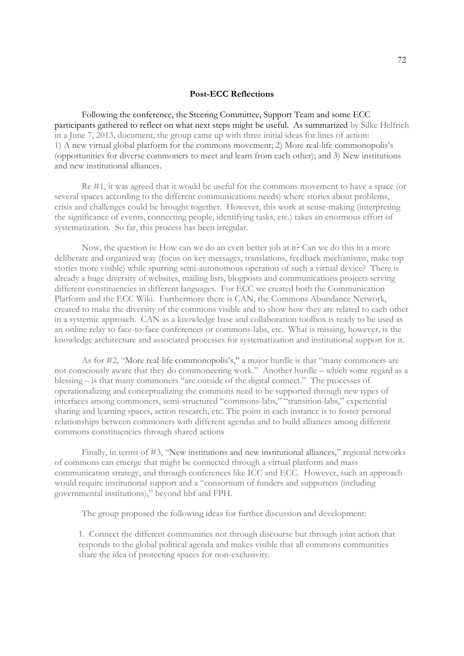#### **Post-ECC Reflections**

 Following the conference, the Steering Committee, Support Team and some ECC participants gathered to reflect on what next steps might be useful. As summarized by Silke Helfrich in a June 7, 2013, document, the group came up with three initial ideas for lines of action: 1) A new virtual global platform for the commons movement; 2) More real-life commonopolis's (opportunities for diverse commoners to meet and learn from each other); and 3) New institutions and new institutional alliances.

 Re #1, it was agreed that it would be useful for the commons movement to have a space (or several spaces according to the different communications needs) where stories about problems, crisis and challenges could be brought together. However, this work at sense-making (interpreting the significance of events, connecting people, identifying tasks, etc.) takes an enormous effort of systematization. So far, this process has been irregular.

 Now, the question is: How can we do an even better job at it? Can we do this in a more deliberate and organized way (focus on key messages, translations, feedback mechanisms, make top stories more visible) while spurring semi-autonomous operation of such a virtual device? There is already a huge diversity of websites, mailing lists, blogposts and communications projects serving different constituencies in different languages. For ECC we created both the Communication Platform and the ECC Wiki. Furthermore there is CAN, the Commons Abundance Network, created to make the diversity of the commons visible and to show how they are related to each other in a systemic approach. CAN as a knowledge base and collaboration toolbox is ready to be used as an online relay to face-to-face conferences or commons-labs, etc. What is missing, however, is the knowledge architecture and associated processes for systematization and institutional support for it.

 As for #2, "More real-life commonopolis's," a major hurdle is that "many commoners are not consciously aware that they do commoneering work." Another hurdle – which some regard as a blessing – is that many commoners "are outside of the digital connect." The processes of operationalizing and conceptualizing the commons need to be supported through new types of interfaces among commoners, semi-structured "commons-labs," "transition-labs," experiential sharing and learning spaces, action research, etc. The point in each instance is to foster personal relationships between commoners with different agendas and to build alliances among different commons constituencies through shared actions

Finally, in terms of #3, "New institutions and new institutional alliances," regional networks of commons can emerge that might be connected through a virtual platform and mass communication strategy, and through conferences like ICC and ECC. However, such an approach would require institutional support and a "consortium of funders and supporters (including governmental institutions)," beyond hbf and FPH.

The group proposed the following ideas for further discussion and development:

1. Connect the different communities not through discourse but through joint action that responds to the global political agenda and makes visible that all commons communities share the idea of protecting spaces for non-exclusivity.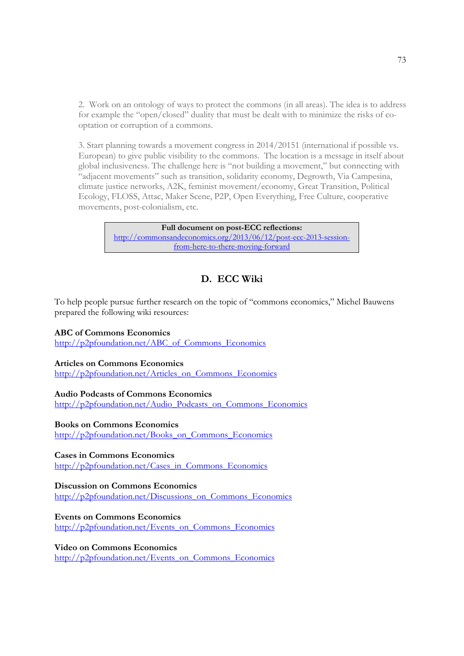2. Work on an ontology of ways to protect the commons (in all areas). The idea is to address for example the "open/closed" duality that must be dealt with to minimize the risks of cooptation or corruption of a commons.

3. Start planning towards a movement congress in 2014/20151 (international if possible vs. European) to give public visibility to the commons. The location is a message in itself about global inclusiveness. The challenge here is "not building a movement," but connecting with "adjacent movements" such as transition, solidarity economy, Degrowth, Via Campesina, climate justice networks, A2K, feminist movement/economy, Great Transition, Political Ecology, FLOSS, Attac, Maker Scene, P2P, Open Everything, Free Culture, cooperative movements, post-colonialism, etc.

> **Full document on post-ECC reflections:** http://commonsandeconomics.org/2013/06/12/post-ecc-2013-sessionfrom-here-to-there-moving-forward

# **D. ECC Wiki**

To help people pursue further research on the topic of "commons economics," Michel Bauwens prepared the following wiki resources:

## **ABC of Commons Economics**

http://p2pfoundation.net/ABC\_of\_Commons\_Economics

## **Articles on Commons Economics**

http://p2pfoundation.net/Articles\_on\_Commons\_Economics

## **Audio Podcasts of Commons Economics**

http://p2pfoundation.net/Audio\_Podcasts\_on\_Commons\_Economics

## **Books on Commons Economics**

http://p2pfoundation.net/Books\_on\_Commons\_Economics

# **Cases in Commons Economics**

http://p2pfoundation.net/Cases\_in\_Commons\_Economics

#### **Discussion on Commons Economics**

http://p2pfoundation.net/Discussions\_on\_Commons\_Economics

# **Events on Commons Economics**

http://p2pfoundation.net/Events\_on\_Commons\_Economics

# **Video on Commons Economics**

http://p2pfoundation.net/Events\_on\_Commons\_Economics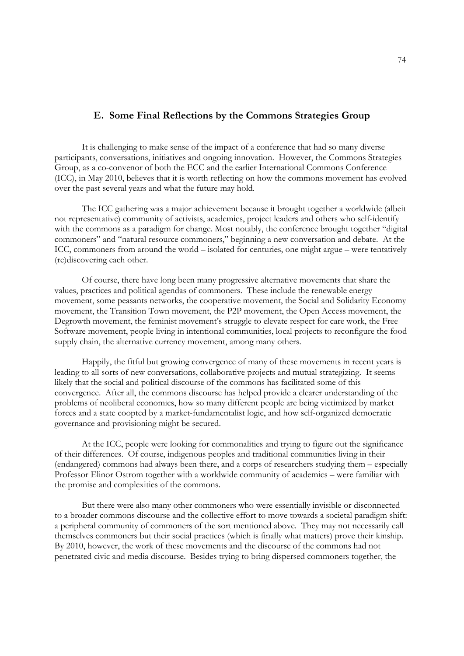# **E. Some Final Reflections by the Commons Strategies Group**

 It is challenging to make sense of the impact of a conference that had so many diverse participants, conversations, initiatives and ongoing innovation. However, the Commons Strategies Group, as a co-convenor of both the ECC and the earlier International Commons Conference (ICC), in May 2010, believes that it is worth reflecting on how the commons movement has evolved over the past several years and what the future may hold.

 The ICC gathering was a major achievement because it brought together a worldwide (albeit not representative) community of activists, academics, project leaders and others who self-identify with the commons as a paradigm for change. Most notably, the conference brought together "digital commoners" and "natural resource commoners," beginning a new conversation and debate. At the ICC, commoners from around the world – isolated for centuries, one might argue – were tentatively (re)discovering each other.

 Of course, there have long been many progressive alternative movements that share the values, practices and political agendas of commoners. These include the renewable energy movement, some peasants networks, the cooperative movement, the Social and Solidarity Economy movement, the Transition Town movement, the P2P movement, the Open Access movement, the Degrowth movement, the feminist movement's struggle to elevate respect for care work, the Free Software movement, people living in intentional communities, local projects to reconfigure the food supply chain, the alternative currency movement, among many others.

 Happily, the fitful but growing convergence of many of these movements in recent years is leading to all sorts of new conversations, collaborative projects and mutual strategizing. It seems likely that the social and political discourse of the commons has facilitated some of this convergence. After all, the commons discourse has helped provide a clearer understanding of the problems of neoliberal economics, how so many different people are being victimized by market forces and a state coopted by a market-fundamentalist logic, and how self-organized democratic governance and provisioning might be secured.

 At the ICC, people were looking for commonalities and trying to figure out the significance of their differences. Of course, indigenous peoples and traditional communities living in their (endangered) commons had always been there, and a corps of researchers studying them – especially Professor Elinor Ostrom together with a worldwide community of academics – were familiar with the promise and complexities of the commons.

 But there were also many other commoners who were essentially invisible or disconnected to a broader commons discourse and the collective effort to move towards a societal paradigm shift: a peripheral community of commoners of the sort mentioned above. They may not necessarily call themselves commoners but their social practices (which is finally what matters) prove their kinship. By 2010, however, the work of these movements and the discourse of the commons had not penetrated civic and media discourse. Besides trying to bring dispersed commoners together, the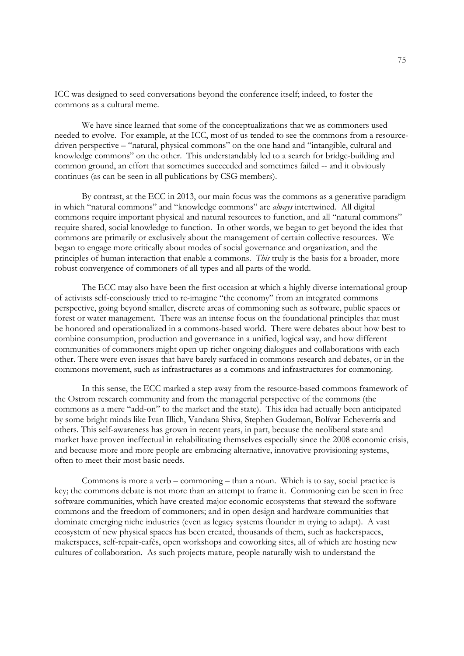ICC was designed to seed conversations beyond the conference itself; indeed, to foster the commons as a cultural meme.

 We have since learned that some of the conceptualizations that we as commoners used needed to evolve. For example, at the ICC, most of us tended to see the commons from a resourcedriven perspective – "natural, physical commons" on the one hand and "intangible, cultural and knowledge commons" on the other. This understandably led to a search for bridge-building and common ground, an effort that sometimes succeeded and sometimes failed -- and it obviously continues (as can be seen in all publications by CSG members).

 By contrast, at the ECC in 2013, our main focus was the commons as a generative paradigm in which "natural commons" and "knowledge commons" are *always* intertwined. All digital commons require important physical and natural resources to function, and all "natural commons" require shared, social knowledge to function. In other words, we began to get beyond the idea that commons are primarily or exclusively about the management of certain collective resources. We began to engage more critically about modes of social governance and organization, and the principles of human interaction that enable a commons. *This* truly is the basis for a broader, more robust convergence of commoners of all types and all parts of the world.

 The ECC may also have been the first occasion at which a highly diverse international group of activists self-consciously tried to re-imagine "the economy" from an integrated commons perspective, going beyond smaller, discrete areas of commoning such as software, public spaces or forest or water management. There was an intense focus on the foundational principles that must be honored and operationalized in a commons-based world. There were debates about how best to combine consumption, production and governance in a unified, logical way, and how different communities of commoners might open up richer ongoing dialogues and collaborations with each other. There were even issues that have barely surfaced in commons research and debates, or in the commons movement, such as infrastructures as a commons and infrastructures for commoning.

 In this sense, the ECC marked a step away from the resource-based commons framework of the Ostrom research community and from the managerial perspective of the commons (the commons as a mere "add-on" to the market and the state). This idea had actually been anticipated by some bright minds like Ivan Illich, Vandana Shiva, Stephen Gudeman, Bolívar Echeverría and others. This self-awareness has grown in recent years, in part, because the neoliberal state and market have proven ineffectual in rehabilitating themselves especially since the 2008 economic crisis, and because more and more people are embracing alternative, innovative provisioning systems, often to meet their most basic needs.

 Commons is more a verb – commoning – than a noun. Which is to say, social practice is key; the commons debate is not more than an attempt to frame it. Commoning can be seen in free software communities, which have created major economic ecosystems that steward the software commons and the freedom of commoners; and in open design and hardware communities that dominate emerging niche industries (even as legacy systems flounder in trying to adapt). A vast ecosystem of new physical spaces has been created, thousands of them, such as hackerspaces, makerspaces, self-repair-cafés, open workshops and coworking sites, all of which are hosting new cultures of collaboration. As such projects mature, people naturally wish to understand the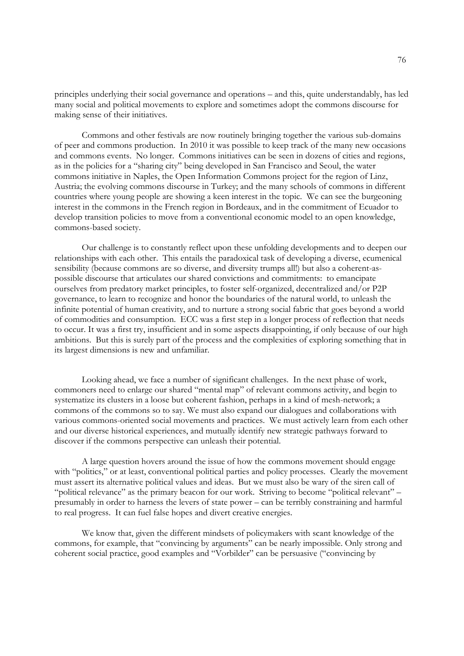principles underlying their social governance and operations – and this, quite understandably, has led many social and political movements to explore and sometimes adopt the commons discourse for making sense of their initiatives.

 Commons and other festivals are now routinely bringing together the various sub-domains of peer and commons production. In 2010 it was possible to keep track of the many new occasions and commons events. No longer. Commons initiatives can be seen in dozens of cities and regions, as in the policies for a "sharing city" being developed in San Francisco and Seoul, the water commons initiative in Naples, the Open Information Commons project for the region of Linz, Austria; the evolving commons discourse in Turkey; and the many schools of commons in different countries where young people are showing a keen interest in the topic. We can see the burgeoning interest in the commons in the French region in Bordeaux, and in the commitment of Ecuador to develop transition policies to move from a conventional economic model to an open knowledge, commons-based society.

 Our challenge is to constantly reflect upon these unfolding developments and to deepen our relationships with each other. This entails the paradoxical task of developing a diverse, ecumenical sensibility (because commons are so diverse, and diversity trumps all!) but also a coherent-aspossible discourse that articulates our shared convictions and commitments: to emancipate ourselves from predatory market principles, to foster self-organized, decentralized and/or P2P governance, to learn to recognize and honor the boundaries of the natural world, to unleash the infinite potential of human creativity, and to nurture a strong social fabric that goes beyond a world of commodities and consumption. ECC was a first step in a longer process of reflection that needs to occur. It was a first try, insufficient and in some aspects disappointing, if only because of our high ambitions. But this is surely part of the process and the complexities of exploring something that in its largest dimensions is new and unfamiliar.

 Looking ahead, we face a number of significant challenges. In the next phase of work, commoners need to enlarge our shared "mental map" of relevant commons activity, and begin to systematize its clusters in a loose but coherent fashion, perhaps in a kind of mesh-network; a commons of the commons so to say. We must also expand our dialogues and collaborations with various commons-oriented social movements and practices. We must actively learn from each other and our diverse historical experiences, and mutually identify new strategic pathways forward to discover if the commons perspective can unleash their potential.

 A large question hovers around the issue of how the commons movement should engage with "politics," or at least, conventional political parties and policy processes. Clearly the movement must assert its alternative political values and ideas. But we must also be wary of the siren call of "political relevance" as the primary beacon for our work. Striving to become "political relevant" – presumably in order to harness the levers of state power – can be terribly constraining and harmful to real progress. It can fuel false hopes and divert creative energies.

 We know that, given the different mindsets of policymakers with scant knowledge of the commons, for example, that "convincing by arguments" can be nearly impossible. Only strong and coherent social practice, good examples and "Vorbilder" can be persuasive ("convincing by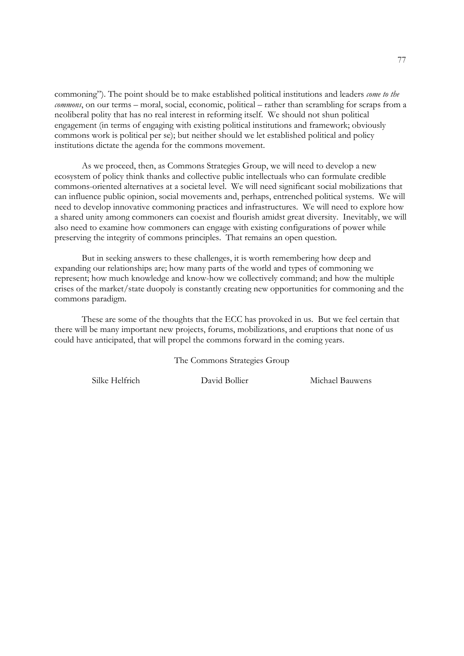commoning"). The point should be to make established political institutions and leaders *come to the commons*, on our terms – moral, social, economic, political – rather than scrambling for scraps from a neoliberal polity that has no real interest in reforming itself. We should not shun political engagement (in terms of engaging with existing political institutions and framework; obviously commons work is political per se); but neither should we let established political and policy institutions dictate the agenda for the commons movement.

 As we proceed, then, as Commons Strategies Group, we will need to develop a new ecosystem of policy think thanks and collective public intellectuals who can formulate credible commons-oriented alternatives at a societal level. We will need significant social mobilizations that can influence public opinion, social movements and, perhaps, entrenched political systems. We will need to develop innovative commoning practices and infrastructures. We will need to explore how a shared unity among commoners can coexist and flourish amidst great diversity. Inevitably, we will also need to examine how commoners can engage with existing configurations of power while preserving the integrity of commons principles. That remains an open question.

 But in seeking answers to these challenges, it is worth remembering how deep and expanding our relationships are; how many parts of the world and types of commoning we represent; how much knowledge and know-how we collectively command; and how the multiple crises of the market/state duopoly is constantly creating new opportunities for commoning and the commons paradigm.

 These are some of the thoughts that the ECC has provoked in us. But we feel certain that there will be many important new projects, forums, mobilizations, and eruptions that none of us could have anticipated, that will propel the commons forward in the coming years.

The Commons Strategies Group

Silke Helfrich David Bollier Michael Bauwens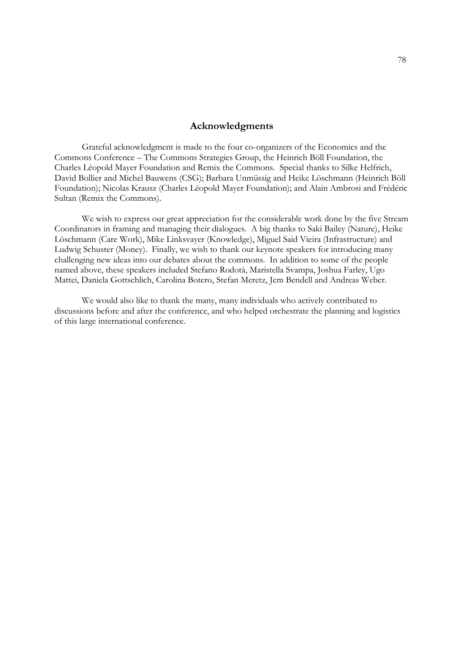#### **Acknowledgments**

Grateful acknowledgment is made to the four co-organizers of the Economics and the Commons Conference – The Commons Strategies Group, the Heinrich Böll Foundation, the Charles Léopold Mayer Foundation and Remix the Commons. Special thanks to Silke Helfrich, David Bollier and Michel Bauwens (CSG); Barbara Unmüssig and Heike Löschmann (Heinrich Böll Foundation); Nicolas Krausz (Charles Léopold Mayer Foundation); and Alain Ambrosi and Frédéric Sultan (Remix the Commons).

 We wish to express our great appreciation for the considerable work done by the five Stream Coordinators in framing and managing their dialogues. A big thanks to Saki Bailey (Nature), Heike Löschmann (Care Work), Mike Linksvayer (Knowledge), Miguel Said Vieira (Infrastructure) and Ludwig Schuster (Money). Finally, we wish to thank our keynote speakers for introducing many challenging new ideas into our debates about the commons. In addition to some of the people named above, these speakers included Stefano Rodotà, Maristella Svampa, Joshua Farley, Ugo Mattei, Daniela Gottschlich, Carolina Botero, Stefan Meretz, Jem Bendell and Andreas Weber.

 We would also like to thank the many, many individuals who actively contributed to discussions before and after the conference, and who helped orchestrate the planning and logistics of this large international conference.